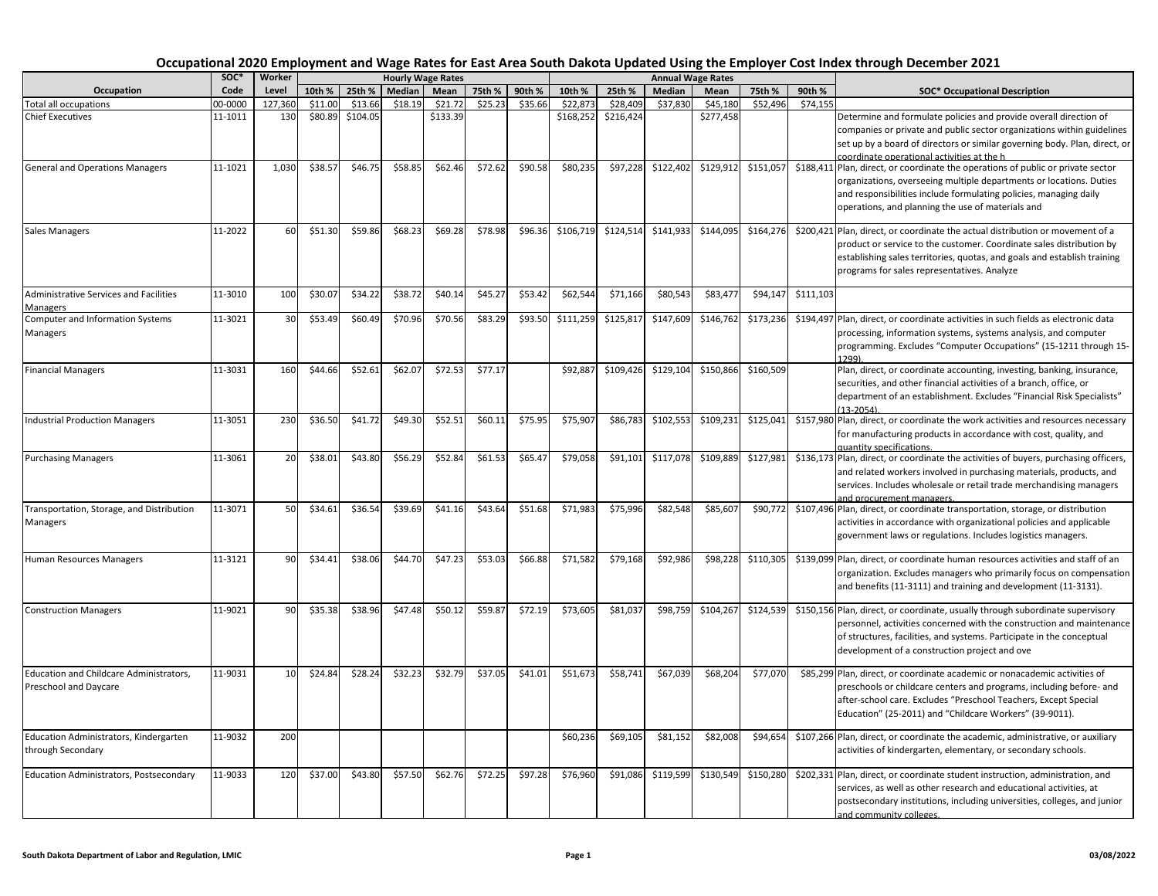|                                                                  | soc*    | Worker  |         |          |         | <b>Hourly Wage Rates</b> |         |         |           |           |           | <b>Annual Wage Rates</b> |           |           |                                                                                                                                                                                                                                                                                   |
|------------------------------------------------------------------|---------|---------|---------|----------|---------|--------------------------|---------|---------|-----------|-----------|-----------|--------------------------|-----------|-----------|-----------------------------------------------------------------------------------------------------------------------------------------------------------------------------------------------------------------------------------------------------------------------------------|
| Occupation                                                       | Code    | Level   | 10th %  | 25th %   | Median  | Mean                     | 75th %  | 90th %  | 10th %    | 25th %    | Median    | Mean                     | 75th %    | 90th %    | <b>SOC* Occupational Description</b>                                                                                                                                                                                                                                              |
| <b>Total all occupations</b>                                     | 00-0000 | 127,360 | \$11.00 | \$13.66  | \$18.19 | \$21.72                  | \$25.23 | \$35.66 | \$22,873  | \$28,409  | \$37,830  | \$45,180                 | \$52,496  | \$74,155  |                                                                                                                                                                                                                                                                                   |
| <b>Chief Executives</b>                                          | 11-1011 | 130     | \$80.89 | \$104.05 |         | \$133.39                 |         |         | \$168,252 | \$216,424 |           | \$277,458                |           |           | Determine and formulate policies and provide overall direction of<br>companies or private and public sector organizations within guidelines<br>set up by a board of directors or similar governing body. Plan, direct, or<br>coordinate operational activities at the h           |
| <b>General and Operations Managers</b>                           | 11-1021 | 1,030   | \$38.57 | \$46.75  | \$58.85 | \$62.46                  | \$72.62 | \$90.58 | \$80,235  | \$97,228  | \$122,402 | \$129,912                | \$151,057 |           | \$188,411 Plan, direct, or coordinate the operations of public or private sector<br>organizations, overseeing multiple departments or locations. Duties<br>and responsibilities include formulating policies, managing daily<br>operations, and planning the use of materials and |
| <b>Sales Managers</b>                                            | 11-2022 | 60      | \$51.30 | \$59.86  | \$68.23 | \$69.28                  | \$78.98 | \$96.36 | \$106,719 | \$124,514 | \$141,933 | \$144,095                | \$164,276 |           | \$200,421 Plan, direct, or coordinate the actual distribution or movement of a<br>product or service to the customer. Coordinate sales distribution by<br>establishing sales territories, quotas, and goals and establish training<br>programs for sales representatives. Analyze |
| Administrative Services and Facilities<br>Managers               | 11-3010 | 100     | \$30.07 | \$34.22  | \$38.72 | \$40.14                  | \$45.27 | \$53.42 | \$62,544  | \$71,166  | \$80,543  | \$83,477                 | \$94,147  | \$111,103 |                                                                                                                                                                                                                                                                                   |
| Computer and Information Systems<br>Managers                     | 11-3021 | 30      | \$53.49 | \$60.49  | \$70.96 | \$70.56                  | \$83.29 | \$93.50 | \$111,259 | \$125,817 | \$147,609 | \$146,762                | \$173,236 |           | \$194,497 Plan, direct, or coordinate activities in such fields as electronic data<br>processing, information systems, systems analysis, and computer<br>programming. Excludes "Computer Occupations" (15-1211 through 15-<br>1299)                                               |
| <b>Financial Managers</b>                                        | 11-3031 | 160     | \$44.66 | \$52.61  | \$62.07 | \$72.53                  | \$77.17 |         | \$92,887  | \$109,426 | \$129,104 | \$150,866                | \$160,509 |           | Plan, direct, or coordinate accounting, investing, banking, insurance,<br>securities, and other financial activities of a branch, office, or<br>department of an establishment. Excludes "Financial Risk Specialists"<br>$(13-2054)$                                              |
| <b>Industrial Production Managers</b>                            | 11-3051 | 230     | \$36.50 | \$41.72  | \$49.30 | \$52.51                  | \$60.11 | \$75.95 | \$75,907  | \$86,783  | \$102,553 | \$109,231                | \$125,041 |           | \$157,980 Plan, direct, or coordinate the work activities and resources necessary<br>for manufacturing products in accordance with cost, quality, and<br>quantity specifications.                                                                                                 |
| <b>Purchasing Managers</b>                                       | 11-3061 | 20      | \$38.01 | \$43.80  | \$56.29 | \$52.84                  | \$61.53 | \$65.47 | \$79,058  | \$91,101  | \$117,078 | \$109,889                | \$127,981 |           | \$136,173 Plan, direct, or coordinate the activities of buyers, purchasing officers,<br>and related workers involved in purchasing materials, products, and<br>services. Includes wholesale or retail trade merchandising managers<br>and procurement managers.                   |
| Transportation, Storage, and Distribution<br>Managers            | 11-3071 | 50      | \$34.61 | \$36.54  | \$39.69 | \$41.16                  | \$43.64 | \$51.68 | \$71,983  | \$75,996  | \$82,548  | \$85,607                 | \$90,772  |           | \$107,496 Plan, direct, or coordinate transportation, storage, or distribution<br>activities in accordance with organizational policies and applicable<br>government laws or regulations. Includes logistics managers.                                                            |
| Human Resources Managers                                         | 11-3121 | 90      | \$34.41 | \$38.06  | \$44.70 | \$47.23                  | \$53.03 | \$66.88 | \$71,582  | \$79,168  | \$92,986  | \$98,228                 | \$110,305 |           | \$139,099 Plan, direct, or coordinate human resources activities and staff of an<br>organization. Excludes managers who primarily focus on compensation<br>and benefits (11-3111) and training and development (11-3131).                                                         |
| <b>Construction Managers</b>                                     | 11-9021 | 90      | \$35.38 | \$38.96  | \$47.48 | \$50.12                  | \$59.87 | \$72.19 | \$73,605  | \$81,037  | \$98,759  | \$104,267                | \$124,539 |           | \$150,156 Plan, direct, or coordinate, usually through subordinate supervisory<br>personnel, activities concerned with the construction and maintenance<br>of structures, facilities, and systems. Participate in the conceptual<br>development of a construction project and ove |
| Education and Childcare Administrators,<br>Preschool and Daycare | 11-9031 | 10      | \$24.84 | \$28.24  | \$32.23 | \$32.79                  | \$37.05 | \$41.01 | \$51,673  | \$58,741  | \$67,039  | \$68.204                 | \$77,070  |           | \$85,299 Plan, direct, or coordinate academic or nonacademic activities of<br>preschools or childcare centers and programs, including before- and<br>after-school care. Excludes "Preschool Teachers, Except Special<br>Education" (25-2011) and "Childcare Workers" (39-9011).   |
| Education Administrators, Kindergarten<br>through Secondary      | 11-9032 | 200     |         |          |         |                          |         |         | \$60,236  | \$69,105  | \$81,152  | \$82,008                 | \$94,654  |           | \$107,266 Plan, direct, or coordinate the academic, administrative, or auxiliary<br>activities of kindergarten, elementary, or secondary schools.                                                                                                                                 |
| <b>Education Administrators, Postsecondary</b>                   | 11-9033 | 120     | \$37.00 | \$43.80  | \$57.50 | \$62.76                  | \$72.25 | \$97.28 | \$76,960  | \$91,086  | \$119,599 | \$130,549                | \$150,280 |           | \$202,331 Plan, direct, or coordinate student instruction, administration, and<br>services, as well as other research and educational activities, at<br>postsecondary institutions, including universities, colleges, and junior<br>and community colleges.                       |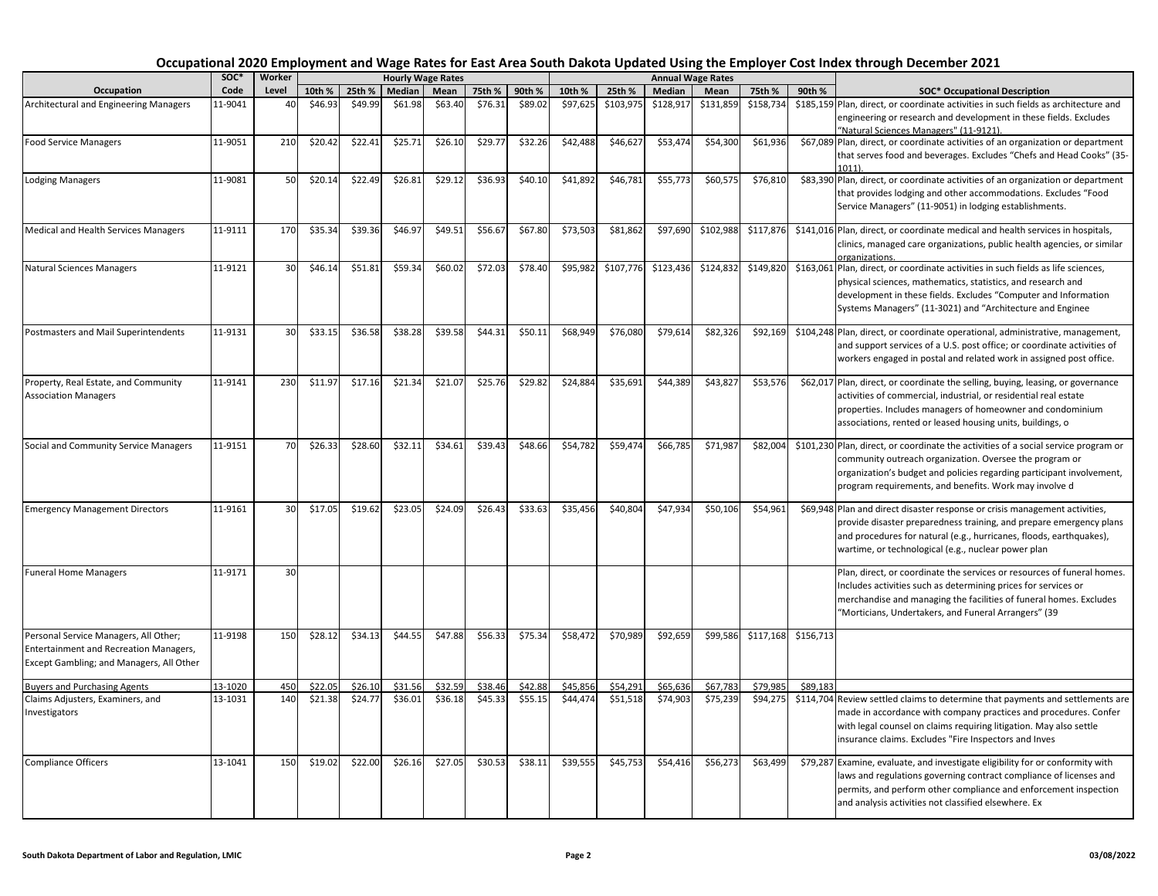|                                               | soc*    | Worker |         |         |         | <b>Hourly Wage Rates</b> |         |         |          |           |           | <b>Annual Wage Rates</b> |           |           |                                                                                                                                                |
|-----------------------------------------------|---------|--------|---------|---------|---------|--------------------------|---------|---------|----------|-----------|-----------|--------------------------|-----------|-----------|------------------------------------------------------------------------------------------------------------------------------------------------|
| Occupation                                    | Code    | Level  | 10th %  | 25th %  | Median  | Mean                     | 75th %  | 90th %  | 10th %   | 25th %    | Median    | Mean                     | 75th %    | 90th %    | <b>SOC* Occupational Description</b>                                                                                                           |
| Architectural and Engineering Managers        | L1-9041 | 40     | \$46.93 | \$49.99 | \$61.98 | \$63.40                  | \$76.31 | \$89.02 | \$97,625 | \$103,975 | \$128,917 | \$131,859                | \$158,734 |           | \$185,159 Plan, direct, or coordinate activities in such fields as architecture and                                                            |
|                                               |         |        |         |         |         |                          |         |         |          |           |           |                          |           |           | engineering or research and development in these fields. Excludes                                                                              |
| <b>Food Service Managers</b>                  | 11-9051 | 210    | \$20.42 | \$22.41 | \$25.71 | \$26.10                  | \$29.77 | \$32.26 | \$42,488 | \$46,627  | \$53,474  | \$54,300                 | \$61,936  |           | "Natural Sciences Managers" (11-9121).<br>\$67,089 Plan, direct, or coordinate activities of an organization or department                     |
|                                               |         |        |         |         |         |                          |         |         |          |           |           |                          |           |           | that serves food and beverages. Excludes "Chefs and Head Cooks" (35-                                                                           |
|                                               |         |        |         |         |         |                          |         |         |          |           |           |                          |           |           | $1011$ ).                                                                                                                                      |
| <b>Lodging Managers</b>                       | 11-9081 | 50     | \$20.14 | \$22.49 | \$26.81 | \$29.12                  | \$36.93 | \$40.10 | \$41,892 | \$46,781  | \$55,773  | \$60,575                 | \$76,810  |           | \$83,390 Plan, direct, or coordinate activities of an organization or department                                                               |
|                                               |         |        |         |         |         |                          |         |         |          |           |           |                          |           |           | that provides lodging and other accommodations. Excludes "Food                                                                                 |
|                                               |         |        |         |         |         |                          |         |         |          |           |           |                          |           |           | Service Managers" (11-9051) in lodging establishments.                                                                                         |
| <b>Medical and Health Services Managers</b>   | 11-9111 | 170    | \$35.34 | \$39.36 | \$46.97 | \$49.51                  | \$56.67 | \$67.80 | \$73,503 | \$81,862  | \$97,690  | \$102,988                | \$117,876 |           | \$141,016 Plan, direct, or coordinate medical and health services in hospitals,                                                                |
|                                               |         |        |         |         |         |                          |         |         |          |           |           |                          |           |           | clinics, managed care organizations, public health agencies, or similar                                                                        |
|                                               |         |        |         |         |         |                          |         |         |          |           |           |                          |           |           | organizations.                                                                                                                                 |
| <b>Natural Sciences Managers</b>              | 11-9121 | 30     | \$46.14 | \$51.81 | \$59.34 | \$60.02                  | \$72.03 | \$78.40 | \$95,982 | \$107,776 | \$123,436 | \$124,832                | \$149,820 |           | \$163,061 Plan, direct, or coordinate activities in such fields as life sciences,                                                              |
|                                               |         |        |         |         |         |                          |         |         |          |           |           |                          |           |           | physical sciences, mathematics, statistics, and research and                                                                                   |
|                                               |         |        |         |         |         |                          |         |         |          |           |           |                          |           |           | development in these fields. Excludes "Computer and Information                                                                                |
|                                               |         |        |         |         |         |                          |         |         |          |           |           |                          |           |           | Systems Managers" (11-3021) and "Architecture and Enginee                                                                                      |
| Postmasters and Mail Superintendents          | 11-9131 | 30     | \$33.15 | \$36.58 | \$38.28 | \$39.58                  | \$44.31 | \$50.11 | \$68,949 | \$76,080  | \$79,614  | \$82,326                 | \$92,169  |           | \$104,248 Plan, direct, or coordinate operational, administrative, management,                                                                 |
|                                               |         |        |         |         |         |                          |         |         |          |           |           |                          |           |           | and support services of a U.S. post office; or coordinate activities of                                                                        |
|                                               |         |        |         |         |         |                          |         |         |          |           |           |                          |           |           | workers engaged in postal and related work in assigned post office.                                                                            |
| Property, Real Estate, and Community          | 11-9141 | 230    | \$11.97 | \$17.16 | \$21.34 | \$21.07                  | \$25.76 | \$29.82 | \$24,884 | \$35,691  | \$44,389  | \$43,827                 | \$53,576  |           | \$62,017 Plan, direct, or coordinate the selling, buying, leasing, or governance                                                               |
| <b>Association Managers</b>                   |         |        |         |         |         |                          |         |         |          |           |           |                          |           |           | activities of commercial, industrial, or residential real estate                                                                               |
|                                               |         |        |         |         |         |                          |         |         |          |           |           |                          |           |           | properties. Includes managers of homeowner and condominium                                                                                     |
|                                               |         |        |         |         |         |                          |         |         |          |           |           |                          |           |           | associations, rented or leased housing units, buildings, o                                                                                     |
|                                               |         | 70     |         | \$28.60 | \$32.11 | \$34.61                  | \$39.43 | \$48.66 | \$54,782 |           |           | \$71,987                 | \$82,004  |           |                                                                                                                                                |
| Social and Community Service Managers         | 11-9151 |        | \$26.33 |         |         |                          |         |         |          | \$59,474  | \$66,785  |                          |           |           | \$101,230 Plan, direct, or coordinate the activities of a social service program or<br>community outreach organization. Oversee the program or |
|                                               |         |        |         |         |         |                          |         |         |          |           |           |                          |           |           | organization's budget and policies regarding participant involvement,                                                                          |
|                                               |         |        |         |         |         |                          |         |         |          |           |           |                          |           |           | program requirements, and benefits. Work may involve d                                                                                         |
|                                               |         |        |         |         |         |                          |         |         |          |           |           |                          |           |           |                                                                                                                                                |
| <b>Emergency Management Directors</b>         | 11-9161 | 30     | \$17.05 | \$19.62 | \$23.05 | \$24.09                  | \$26.43 | \$33.63 | \$35,456 | \$40,804  | \$47,934  | \$50,106                 | \$54,961  |           | \$69,948 Plan and direct disaster response or crisis management activities,                                                                    |
|                                               |         |        |         |         |         |                          |         |         |          |           |           |                          |           |           | provide disaster preparedness training, and prepare emergency plans<br>and procedures for natural (e.g., hurricanes, floods, earthquakes),     |
|                                               |         |        |         |         |         |                          |         |         |          |           |           |                          |           |           | wartime, or technological (e.g., nuclear power plan                                                                                            |
|                                               |         |        |         |         |         |                          |         |         |          |           |           |                          |           |           |                                                                                                                                                |
| <b>Funeral Home Managers</b>                  | 11-9171 | 30     |         |         |         |                          |         |         |          |           |           |                          |           |           | Plan, direct, or coordinate the services or resources of funeral homes.                                                                        |
|                                               |         |        |         |         |         |                          |         |         |          |           |           |                          |           |           | Includes activities such as determining prices for services or                                                                                 |
|                                               |         |        |         |         |         |                          |         |         |          |           |           |                          |           |           | merchandise and managing the facilities of funeral homes. Excludes<br>"Morticians, Undertakers, and Funeral Arrangers" (39                     |
|                                               |         |        |         |         |         |                          |         |         |          |           |           |                          |           |           |                                                                                                                                                |
| Personal Service Managers, All Other;         | 11-9198 | 150    | \$28.12 | \$34.13 | \$44.55 | \$47.88                  | \$56.33 | \$75.34 | \$58,472 | \$70,989  | \$92,659  | \$99,586                 | \$117,168 | \$156,713 |                                                                                                                                                |
| <b>Entertainment and Recreation Managers,</b> |         |        |         |         |         |                          |         |         |          |           |           |                          |           |           |                                                                                                                                                |
| Except Gambling; and Managers, All Other      |         |        |         |         |         |                          |         |         |          |           |           |                          |           |           |                                                                                                                                                |
| <b>Buyers and Purchasing Agents</b>           | 13-1020 | 450    | \$22.05 | \$26.10 | \$31.56 | \$32.59                  | \$38.46 | \$42.88 | \$45,856 | \$54,291  | \$65,636  | \$67,783                 | \$79,985  | \$89,183  |                                                                                                                                                |
| Claims Adjusters, Examiners, and              | 13-1031 | 140    | \$21.38 | \$24.77 | \$36.01 | \$36.18                  | \$45.33 | \$55.15 | \$44,474 | \$51,518  | \$74,903  | \$75,239                 | \$94,275  |           | \$114,704 Review settled claims to determine that payments and settlements are                                                                 |
| Investigators                                 |         |        |         |         |         |                          |         |         |          |           |           |                          |           |           | made in accordance with company practices and procedures. Confer                                                                               |
|                                               |         |        |         |         |         |                          |         |         |          |           |           |                          |           |           | with legal counsel on claims requiring litigation. May also settle                                                                             |
|                                               |         |        |         |         |         |                          |         |         |          |           |           |                          |           |           | insurance claims. Excludes "Fire Inspectors and Inves                                                                                          |
| <b>Compliance Officers</b>                    | 13-1041 | 150    | \$19.02 | \$22.00 | \$26.16 | \$27.05                  | \$30.53 | \$38.11 | \$39,555 | \$45,753  | \$54,416  | \$56,273                 | \$63,499  |           | \$79,287 Examine, evaluate, and investigate eligibility for or conformity with                                                                 |
|                                               |         |        |         |         |         |                          |         |         |          |           |           |                          |           |           | laws and regulations governing contract compliance of licenses and                                                                             |
|                                               |         |        |         |         |         |                          |         |         |          |           |           |                          |           |           | permits, and perform other compliance and enforcement inspection                                                                               |
|                                               |         |        |         |         |         |                          |         |         |          |           |           |                          |           |           | and analysis activities not classified elsewhere. Ex                                                                                           |
|                                               |         |        |         |         |         |                          |         |         |          |           |           |                          |           |           |                                                                                                                                                |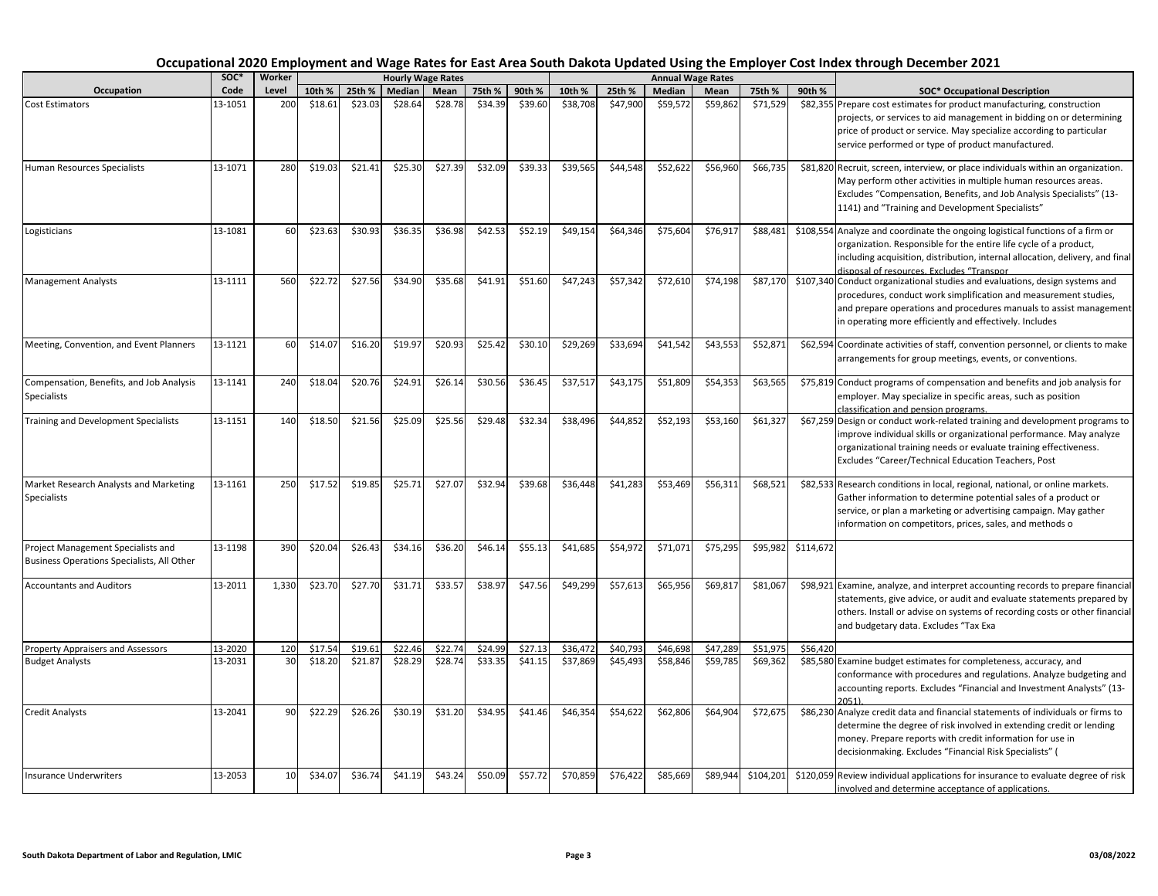|                                                                                  | soc*    | Worker |         |         |         | <b>Hourly Wage Rates</b> |         |         |          |          |          | <b>Annual Wage Rates</b> |           |           |                                                                                                                                                                                                                                                                                   |
|----------------------------------------------------------------------------------|---------|--------|---------|---------|---------|--------------------------|---------|---------|----------|----------|----------|--------------------------|-----------|-----------|-----------------------------------------------------------------------------------------------------------------------------------------------------------------------------------------------------------------------------------------------------------------------------------|
| Occupation                                                                       | Code    | Level  | 10th %  | 25th %  | Median  | Mean                     | 75th %  | 90th %  | 10th %   | 25th %   | Median   | Mean                     | 75th %    | 90th %    | <b>SOC* Occupational Description</b>                                                                                                                                                                                                                                              |
| <b>Cost Estimators</b>                                                           | 13-1051 | 200    | \$18.61 | \$23.03 | \$28.64 | \$28.78                  | \$34.39 | \$39.60 | \$38,708 | \$47,900 | \$59,572 | \$59,862                 | \$71,529  |           | \$82,355 Prepare cost estimates for product manufacturing, construction<br>projects, or services to aid management in bidding on or determining<br>price of product or service. May specialize according to particular<br>service performed or type of product manufactured.      |
| Human Resources Specialists                                                      | 13-1071 | 280    | \$19.03 | \$21.41 | \$25.30 | \$27.39                  | \$32.09 | \$39.33 | \$39,565 | \$44,548 | \$52,622 | \$56,960                 | \$66,735  |           | \$81,820 Recruit, screen, interview, or place individuals within an organization.<br>May perform other activities in multiple human resources areas.<br>Excludes "Compensation, Benefits, and Job Analysis Specialists" (13-<br>1141) and "Training and Development Specialists"  |
| Logisticians                                                                     | 13-1081 | 60     | \$23.63 | \$30.93 | \$36.35 | \$36.98                  | \$42.53 | \$52.19 | \$49,154 | \$64,346 | \$75,604 | \$76,917                 | \$88,481  |           | \$108,554 Analyze and coordinate the ongoing logistical functions of a firm or<br>organization. Responsible for the entire life cycle of a product,<br>including acquisition, distribution, internal allocation, delivery, and final<br>disposal of resources. Excludes "Transpor |
| <b>Management Analysts</b>                                                       | 13-1111 | 560    | \$22.72 | \$27.56 | \$34.90 | \$35.68                  | \$41.91 | \$51.60 | \$47,243 | \$57,342 | \$72,610 | \$74,198                 | \$87,170  |           | \$107,340 Conduct organizational studies and evaluations, design systems and<br>procedures, conduct work simplification and measurement studies,<br>and prepare operations and procedures manuals to assist management<br>in operating more efficiently and effectively. Includes |
| Meeting, Convention, and Event Planners                                          | 13-1121 | 60     | \$14.07 | \$16.20 | \$19.97 | \$20.93                  | \$25.42 | \$30.10 | \$29,269 | \$33,694 | \$41,542 | \$43,553                 | \$52,871  |           | \$62,594 Coordinate activities of staff, convention personnel, or clients to make<br>arrangements for group meetings, events, or conventions.                                                                                                                                     |
| Compensation, Benefits, and Job Analysis<br>Specialists                          | 13-1141 | 240    | \$18.04 | \$20.76 | \$24.91 | \$26.14                  | \$30.56 | \$36.45 | \$37,517 | \$43,175 | \$51,809 | \$54,353                 | \$63,565  |           | \$75,819 Conduct programs of compensation and benefits and job analysis for<br>employer. May specialize in specific areas, such as position<br>classification and pension programs.                                                                                               |
| Training and Development Specialists                                             | 13-1151 | 140    | \$18.50 | \$21.56 | \$25.09 | \$25.56                  | \$29.48 | \$32.34 | \$38,496 | \$44,852 | \$52,193 | \$53,160                 | \$61,327  |           | \$67,259 Design or conduct work-related training and development programs to<br>improve individual skills or organizational performance. May analyze<br>organizational training needs or evaluate training effectiveness.<br>Excludes "Career/Technical Education Teachers, Post  |
| Market Research Analysts and Marketing<br><b>Specialists</b>                     | 13-1161 | 250    | \$17.52 | \$19.85 | \$25.71 | \$27.07                  | \$32.94 | \$39.68 | \$36,448 | \$41,283 | \$53,469 | \$56,311                 | \$68,521  |           | \$82,533 Research conditions in local, regional, national, or online markets.<br>Gather information to determine potential sales of a product or<br>service, or plan a marketing or advertising campaign. May gather<br>information on competitors, prices, sales, and methods o  |
| Project Management Specialists and<br>Business Operations Specialists, All Other | 13-1198 | 390    | \$20.04 | \$26.43 | \$34.16 | \$36.20                  | \$46.14 | \$55.13 | \$41,685 | \$54,972 | \$71,071 | \$75,295                 | \$95,982  | \$114,672 |                                                                                                                                                                                                                                                                                   |
| <b>Accountants and Auditors</b>                                                  | 13-2011 | 1,330  | \$23.70 | \$27.70 | \$31.71 | \$33.57                  | \$38.97 | \$47.56 | \$49,299 | \$57,613 | \$65,956 | \$69,817                 | \$81,067  |           | \$98,921 Examine, analyze, and interpret accounting records to prepare financial<br>statements, give advice, or audit and evaluate statements prepared by<br>others. Install or advise on systems of recording costs or other financial<br>and budgetary data. Excludes "Tax Exa  |
| <b>Property Appraisers and Assessors</b>                                         | 13-2020 | 120    | \$17.54 | \$19.61 | \$22.46 | \$22.74                  | \$24.99 | \$27.13 | \$36,472 | \$40,793 | \$46,698 | \$47,289                 | \$51,975  | \$56,420  |                                                                                                                                                                                                                                                                                   |
| <b>Budget Analysts</b>                                                           | 13-2031 | 30     | \$18.20 | \$21.87 | \$28.29 | \$28.74                  | \$33.35 | \$41.15 | \$37,869 | \$45,493 | \$58,846 | \$59,785                 | \$69,362  |           | \$85,580 Examine budget estimates for completeness, accuracy, and<br>conformance with procedures and regulations. Analyze budgeting and<br>accounting reports. Excludes "Financial and Investment Analysts" (13-<br>2051)                                                         |
| <b>Credit Analysts</b>                                                           | 13-2041 | 90     | \$22.29 | \$26.26 | \$30.19 | \$31.20                  | \$34.95 | \$41.46 | \$46,354 | \$54,622 | \$62,806 | \$64,904                 | \$72,675  |           | \$86,230 Analyze credit data and financial statements of individuals or firms to<br>determine the degree of risk involved in extending credit or lending<br>money. Prepare reports with credit information for use in<br>decisionmaking. Excludes "Financial Risk Specialists" (  |
| <b>Insurance Underwriters</b>                                                    | 13-2053 | 10     | \$34.07 | \$36.74 | \$41.19 | \$43.24                  | \$50.09 | \$57.72 | \$70,859 | \$76,422 | \$85,669 | \$89,944                 | \$104,201 |           | \$120,059 Review individual applications for insurance to evaluate degree of risk<br>involved and determine acceptance of applications.                                                                                                                                           |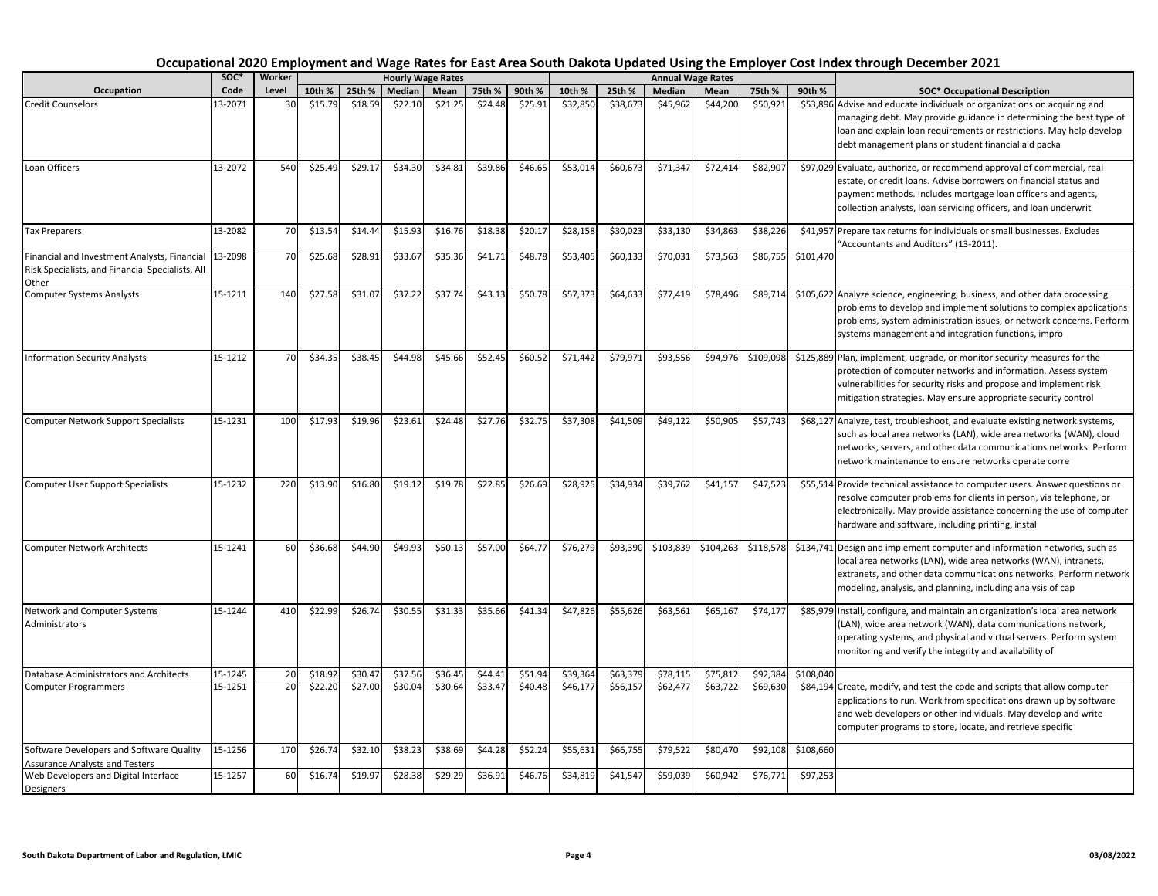|                                                                                                           | soc*    | Worker |         |         |         | <b>Hourly Wage Rates</b> |         |         |          |          |           | <b>Annual Wage Rates</b> |           |           |                                                                                                                                                                                                                                                                                   |
|-----------------------------------------------------------------------------------------------------------|---------|--------|---------|---------|---------|--------------------------|---------|---------|----------|----------|-----------|--------------------------|-----------|-----------|-----------------------------------------------------------------------------------------------------------------------------------------------------------------------------------------------------------------------------------------------------------------------------------|
| Occupation                                                                                                | Code    | Level  | 10th %  | 25th %  | Median  | Mean                     | 75th %  | 90th %  | 10th %   | 25th %   | Median    | Mean                     | 75th %    | 90th %    | <b>SOC* Occupational Description</b>                                                                                                                                                                                                                                              |
| <b>Credit Counselors</b>                                                                                  | 13-2071 | 30     | \$15.79 | \$18.59 | \$22.10 | \$21.25                  | \$24.48 | \$25.91 | \$32,850 | \$38,673 | \$45,962  | \$44,200                 | \$50,921  |           | \$53,896 Advise and educate individuals or organizations on acquiring and<br>managing debt. May provide guidance in determining the best type of<br>loan and explain loan requirements or restrictions. May help develop<br>debt management plans or student financial aid packa  |
| Loan Officers                                                                                             | 13-2072 | 540    | \$25.49 | \$29.17 | \$34.30 | \$34.81                  | \$39.86 | \$46.65 | \$53,014 | \$60,673 | \$71,347  | \$72,414                 | \$82,907  |           | \$97,029 Evaluate, authorize, or recommend approval of commercial, real<br>estate, or credit loans. Advise borrowers on financial status and<br>payment methods. Includes mortgage loan officers and agents,<br>collection analysts, loan servicing officers, and loan underwrit  |
| <b>Tax Preparers</b>                                                                                      | 13-2082 | 70     | \$13.54 | \$14.44 | \$15.93 | \$16.76                  | \$18.38 | \$20.17 | \$28,158 | \$30,023 | \$33,130  | \$34,863                 | \$38,226  |           | \$41,957 Prepare tax returns for individuals or small businesses. Excludes<br>"Accountants and Auditors" (13-2011).                                                                                                                                                               |
| Financial and Investment Analysts, Financial<br>Risk Specialists, and Financial Specialists, All<br>Other | 13-2098 | 70     | \$25.68 | \$28.91 | \$33.67 | \$35.36                  | \$41.71 | \$48.78 | \$53,405 | \$60,133 | \$70,031  | \$73,563                 | \$86,755  | \$101,470 |                                                                                                                                                                                                                                                                                   |
| <b>Computer Systems Analysts</b>                                                                          | 15-1211 | 140    | \$27.58 | \$31.07 | \$37.22 | \$37.74                  | \$43.13 | \$50.78 | \$57,373 | \$64,633 | \$77,419  | \$78,496                 | \$89,714  |           | \$105,622 Analyze science, engineering, business, and other data processing<br>problems to develop and implement solutions to complex applications<br>problems, system administration issues, or network concerns. Perform<br>systems management and integration functions, impro |
| <b>Information Security Analysts</b>                                                                      | 15-1212 | 70     | \$34.35 | \$38.45 | \$44.98 | \$45.66                  | \$52.45 | \$60.52 | \$71,442 | \$79,971 | \$93,556  | \$94,976                 | \$109,098 |           | \$125,889 Plan, implement, upgrade, or monitor security measures for the<br>protection of computer networks and information. Assess system<br>vulnerabilities for security risks and propose and implement risk<br>mitigation strategies. May ensure appropriate security control |
| <b>Computer Network Support Specialists</b>                                                               | 15-1231 | 100    | \$17.93 | \$19.96 | \$23.61 | \$24.48                  | \$27.76 | \$32.75 | \$37,308 | \$41,509 | \$49,122  | \$50,905                 | \$57,743  |           | \$68,127 Analyze, test, troubleshoot, and evaluate existing network systems,<br>such as local area networks (LAN), wide area networks (WAN), cloud<br>networks, servers, and other data communications networks. Perform<br>network maintenance to ensure networks operate corre  |
| <b>Computer User Support Specialists</b>                                                                  | 15-1232 | 220    | \$13.90 | \$16.80 | \$19.12 | \$19.78                  | \$22.85 | \$26.69 | \$28,925 | \$34.934 | \$39.762  | \$41.157                 | \$47,523  |           | \$55,514 Provide technical assistance to computer users. Answer questions or<br>resolve computer problems for clients in person, via telephone, or<br>electronically. May provide assistance concerning the use of computer<br>hardware and software, including printing, instal  |
| <b>Computer Network Architects</b>                                                                        | 15-1241 | 60     | \$36.68 | \$44.90 | \$49.93 | \$50.13                  | \$57.00 | \$64.77 | \$76,279 | \$93,390 | \$103,839 | \$104,263                | \$118,578 |           | \$134,741 Design and implement computer and information networks, such as<br>local area networks (LAN), wide area networks (WAN), intranets,<br>extranets, and other data communications networks. Perform network<br>modeling, analysis, and planning, including analysis of cap |
| Network and Computer Systems<br>Administrators                                                            | 15-1244 | 410    | \$22.99 | \$26.74 | \$30.55 | \$31.33                  | \$35.66 | \$41.34 | \$47,826 | \$55,626 | \$63,561  | \$65,167                 | \$74,177  |           | \$85,979 Install, configure, and maintain an organization's local area network<br>(LAN), wide area network (WAN), data communications network,<br>operating systems, and physical and virtual servers. Perform system<br>monitoring and verify the integrity and availability of  |
| Database Administrators and Architects                                                                    | 15-1245 | 20     | \$18.92 | \$30.47 | \$37.56 | \$36.45                  | \$44.41 | \$51.9  | \$39.364 | \$63.379 | \$78.11   | \$75.81                  | \$92.384  | \$108.040 |                                                                                                                                                                                                                                                                                   |
| <b>Computer Programmers</b>                                                                               | 15-1251 | 20     | \$22.20 | \$27.00 | \$30.04 | \$30.64                  | \$33.47 | \$40.48 | \$46,177 | \$56,157 | \$62,477  | \$63,722                 | \$69,630  |           | \$84,194 Create, modify, and test the code and scripts that allow computer<br>applications to run. Work from specifications drawn up by software<br>and web developers or other individuals. May develop and write<br>computer programs to store, locate, and retrieve specific   |
| Software Developers and Software Quality                                                                  | 15-1256 | 170    | \$26.74 | \$32.10 | \$38.23 | \$38.69                  | \$44.28 | \$52.24 | \$55,631 | \$66,755 | \$79,522  | \$80,470                 | \$92,108  | \$108,660 |                                                                                                                                                                                                                                                                                   |
| <b>Assurance Analysts and Testers</b><br>Web Developers and Digital Interface<br>Designers                | 15-1257 | 60     | \$16.74 | \$19.97 | \$28.38 | \$29.29                  | \$36.91 | \$46.76 | \$34,819 | \$41,547 | \$59,039  | \$60,942                 | \$76,771  | \$97,253  |                                                                                                                                                                                                                                                                                   |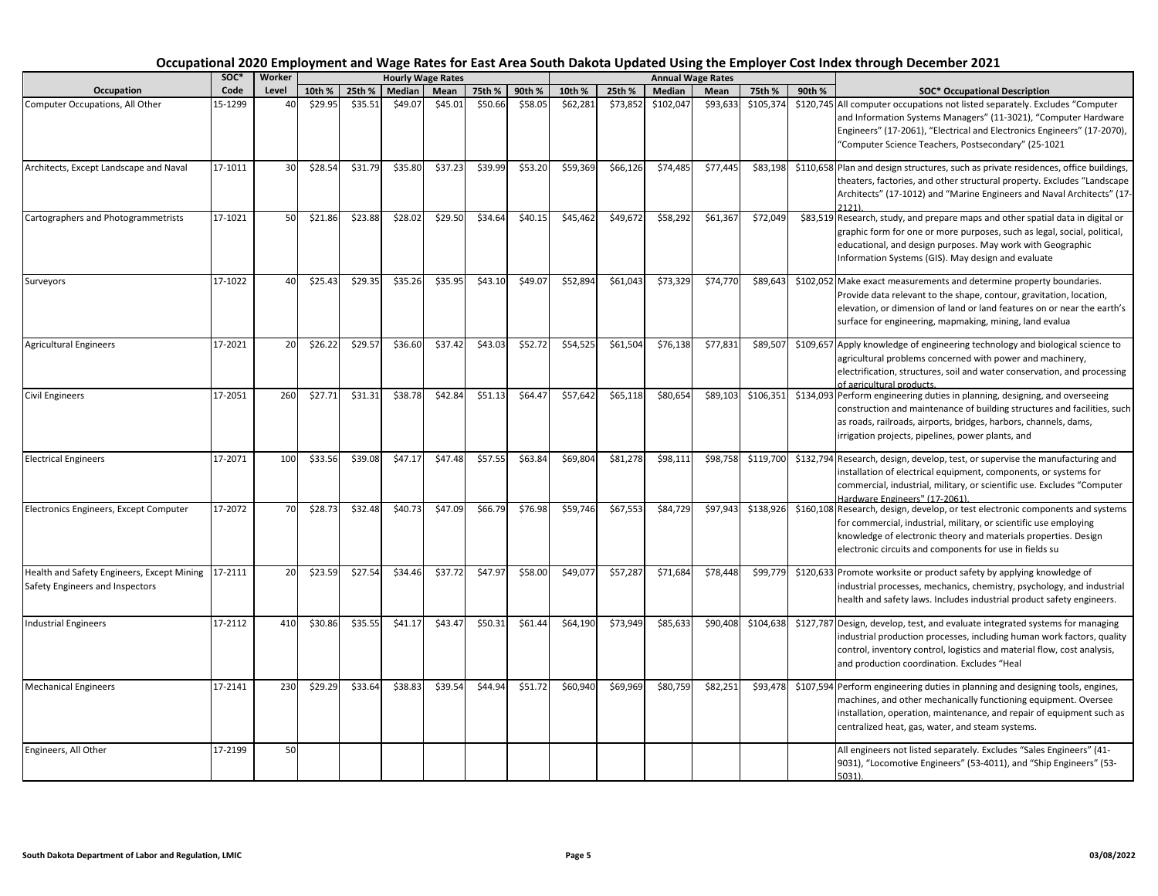|                                                                                       | SOC*    | Worker          |         |         |         | <b>Hourly Wage Rates</b> |         |         |          |          |           | <b>Annual Wage Rates</b> |           |        |                                                                                                                                                                                                                                                                                   |
|---------------------------------------------------------------------------------------|---------|-----------------|---------|---------|---------|--------------------------|---------|---------|----------|----------|-----------|--------------------------|-----------|--------|-----------------------------------------------------------------------------------------------------------------------------------------------------------------------------------------------------------------------------------------------------------------------------------|
| Occupation                                                                            | Code    | Level           | 10th %  | 25th %  | Median  | Mean                     | 75th %  | 90th %  | 10th %   | 25th %   | Median    | Mean                     | 75th %    | 90th % | <b>SOC* Occupational Description</b>                                                                                                                                                                                                                                              |
| Computer Occupations, All Other                                                       | 15-1299 | 40              | \$29.95 | \$35.51 | \$49.07 | \$45.01                  | \$50.66 | \$58.05 | \$62,281 | \$73,852 | \$102,047 | \$93,633                 | \$105,374 |        | \$120,745 All computer occupations not listed separately. Excludes "Computer<br>and Information Systems Managers" (11-3021), "Computer Hardware<br>Engineers" (17-2061), "Electrical and Electronics Engineers" (17-2070),<br>"Computer Science Teachers, Postsecondary" (25-1021 |
| Architects, Except Landscape and Naval                                                | 17-1011 | 30 <sup>1</sup> | \$28.54 | \$31.79 | \$35.80 | \$37.23                  | \$39.99 | \$53.20 | \$59,369 | \$66,126 | \$74,485  | \$77,445                 | \$83,198  |        | \$110,658 Plan and design structures, such as private residences, office buildings,<br>theaters, factories, and other structural property. Excludes "Landscape<br>Architects" (17-1012) and "Marine Engineers and Naval Architects" (17-                                          |
| Cartographers and Photogrammetrists                                                   | 17-1021 | 50              | \$21.86 | \$23.88 | \$28.02 | \$29.50                  | \$34.64 | \$40.15 | \$45,462 | \$49,672 | \$58,292  | \$61,367                 | \$72,049  |        | \$83,519 Research, study, and prepare maps and other spatial data in digital or<br>graphic form for one or more purposes, such as legal, social, political,<br>educational, and design purposes. May work with Geographic<br>Information Systems (GIS). May design and evaluate   |
| Surveyors                                                                             | 17-1022 | 40              | \$25.43 | \$29.35 | \$35.26 | \$35.95                  | \$43.10 | \$49.07 | \$52,894 | \$61,043 | \$73,329  | \$74,770                 | \$89,643  |        | \$102,052 Make exact measurements and determine property boundaries.<br>Provide data relevant to the shape, contour, gravitation, location,<br>elevation, or dimension of land or land features on or near the earth's<br>surface for engineering, mapmaking, mining, land evalua |
| <b>Agricultural Engineers</b>                                                         | 17-2021 | 20              | \$26.22 | \$29.57 | \$36.60 | \$37.42                  | \$43.03 | \$52.72 | \$54,525 | \$61,504 | \$76,138  | \$77,831                 | \$89,507  |        | \$109,657 Apply knowledge of engineering technology and biological science to<br>agricultural problems concerned with power and machinery,<br>electrification, structures, soil and water conservation, and processing<br>of agricultural products.                               |
| <b>Civil Engineers</b>                                                                | 17-2051 | 260             | \$27.71 | \$31.31 | \$38.78 | \$42.84                  | \$51.13 | \$64.47 | \$57,642 | \$65,118 | \$80,654  | \$89,103                 | \$106,351 |        | \$134,093 Perform engineering duties in planning, designing, and overseeing<br>construction and maintenance of building structures and facilities, such<br>as roads, railroads, airports, bridges, harbors, channels, dams,<br>irrigation projects, pipelines, power plants, and  |
| <b>Electrical Engineers</b>                                                           | 17-2071 | 100             | \$33.56 | \$39.08 | \$47.17 | \$47.48                  | \$57.55 | \$63.84 | \$69,804 | \$81,278 | \$98,111  | \$98,758                 | \$119,700 |        | \$132,794 Research, design, develop, test, or supervise the manufacturing and<br>installation of electrical equipment, components, or systems for<br>commercial, industrial, military, or scientific use. Excludes "Computer<br>Hardware Engineers" (17-2061).                    |
| Electronics Engineers, Except Computer                                                | 17-2072 | 70              | \$28.73 | \$32.48 | \$40.73 | \$47.09                  | \$66.79 | \$76.98 | \$59,746 | \$67,553 | \$84,729  | \$97,943                 | \$138,926 |        | \$160,108 Research, design, develop, or test electronic components and systems<br>for commercial, industrial, military, or scientific use employing<br>knowledge of electronic theory and materials properties. Design<br>electronic circuits and components for use in fields su |
| Health and Safety Engineers, Except Mining 17-2111<br>Safety Engineers and Inspectors |         | 20              | \$23.59 | \$27.54 | \$34.46 | \$37.72                  | \$47.97 | \$58.00 | \$49,077 | \$57,287 | \$71,684  | \$78,448                 | \$99,779  |        | \$120,633 Promote worksite or product safety by applying knowledge of<br>industrial processes, mechanics, chemistry, psychology, and industrial<br>health and safety laws. Includes industrial product safety engineers.                                                          |
| <b>Industrial Engineers</b>                                                           | 17-2112 | 410             | \$30.86 | \$35.55 | \$41.17 | \$43.47                  | \$50.31 | \$61.44 | \$64,190 | \$73,949 | \$85,633  | \$90,408                 | \$104,638 |        | \$127,787 Design, develop, test, and evaluate integrated systems for managing<br>industrial production processes, including human work factors, quality<br>control, inventory control, logistics and material flow, cost analysis,<br>and production coordination. Excludes "Heal |
| <b>Mechanical Engineers</b>                                                           | 17-2141 | 230             | \$29.29 | \$33.64 | \$38.83 | \$39.54                  | \$44.94 | \$51.72 | \$60,940 | \$69,969 | \$80,759  | \$82,251                 | \$93,478  |        | \$107,594 Perform engineering duties in planning and designing tools, engines,<br>machines, and other mechanically functioning equipment. Oversee<br>installation, operation, maintenance, and repair of equipment such as<br>centralized heat, gas, water, and steam systems.    |
| Engineers, All Other                                                                  | 17-2199 | 50              |         |         |         |                          |         |         |          |          |           |                          |           |        | All engineers not listed separately. Excludes "Sales Engineers" (41-<br>9031), "Locomotive Engineers" (53-4011), and "Ship Engineers" (53-<br>$5031$ ).                                                                                                                           |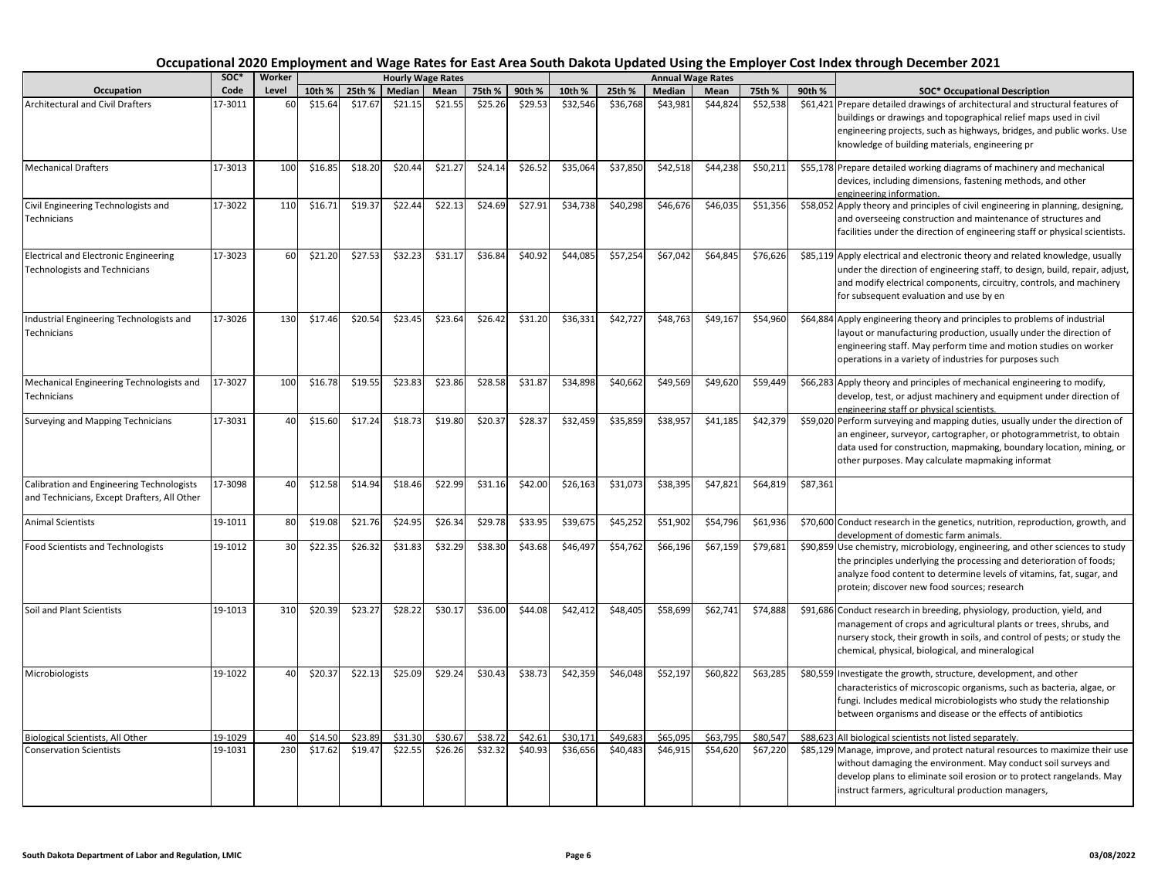| Occupation                                                                                      | soc*    | Worker |         |         |         | <b>Hourly Wage Rates</b> |         |         |          |          | <b>Annual Wage Rates</b> |          |          |          |                                                                                                                                                                                                                                                                                  |
|-------------------------------------------------------------------------------------------------|---------|--------|---------|---------|---------|--------------------------|---------|---------|----------|----------|--------------------------|----------|----------|----------|----------------------------------------------------------------------------------------------------------------------------------------------------------------------------------------------------------------------------------------------------------------------------------|
|                                                                                                 | Code    | Level  | 10th %  | 25th %  | Median  | Mean                     | 75th %  | 90th %  | 10th %   | 25th %   | Median                   | Mean     | 75th %   | 90th %   | <b>SOC* Occupational Description</b>                                                                                                                                                                                                                                             |
| <b>Architectural and Civil Drafters</b>                                                         | 17-3011 | 60     | \$15.64 | \$17.67 | \$21.15 | \$21.55                  | \$25.26 | \$29.53 | \$32,546 | \$36,768 | \$43,981                 | \$44,824 | \$52,538 |          | \$61,421 Prepare detailed drawings of architectural and structural features of<br>buildings or drawings and topographical relief maps used in civil<br>engineering projects, such as highways, bridges, and public works. Use<br>knowledge of building materials, engineering pr |
| <b>Mechanical Drafters</b>                                                                      | 17-3013 | 100    | \$16.85 | \$18.20 | \$20.44 | \$21.27                  | \$24.14 | \$26.52 | \$35,064 | \$37,850 | \$42,518                 | \$44,238 | \$50,211 |          | \$55,178 Prepare detailed working diagrams of machinery and mechanical<br>devices, including dimensions, fastening methods, and other<br>engineering information.                                                                                                                |
| Civil Engineering Technologists and<br>Technicians                                              | 17-3022 | 110    | \$16.71 | \$19.37 | \$22.44 | \$22.13                  | \$24.69 | \$27.91 | \$34,738 | \$40,298 | \$46,676                 | \$46,035 | \$51,356 |          | \$58,052 Apply theory and principles of civil engineering in planning, designing,<br>and overseeing construction and maintenance of structures and<br>facilities under the direction of engineering staff or physical scientists.                                                |
| <b>Electrical and Electronic Engineering</b><br>Technologists and Technicians                   | 17-3023 | 60     | \$21.20 | \$27.53 | \$32.23 | \$31.17                  | \$36.84 | \$40.92 | \$44,085 | \$57,254 | \$67,042                 | \$64,845 | \$76,626 |          | \$85,119 Apply electrical and electronic theory and related knowledge, usually<br>under the direction of engineering staff, to design, build, repair, adjust,<br>and modify electrical components, circuitry, controls, and machinery<br>for subsequent evaluation and use by en |
| Industrial Engineering Technologists and<br>Technicians                                         | 17-3026 | 130    | \$17.46 | \$20.54 | \$23.45 | \$23.64                  | \$26.42 | \$31.20 | \$36,331 | \$42,727 | \$48,763                 | \$49,167 | \$54,960 |          | \$64,884 Apply engineering theory and principles to problems of industrial<br>layout or manufacturing production, usually under the direction of<br>engineering staff. May perform time and motion studies on worker<br>operations in a variety of industries for purposes such  |
| Mechanical Engineering Technologists and<br>Technicians                                         | 17-3027 | 100    | \$16.78 | \$19.55 | \$23.83 | \$23.86                  | \$28.58 | \$31.87 | \$34,898 | \$40,662 | \$49,569                 | \$49,620 | \$59,449 |          | \$66,283 Apply theory and principles of mechanical engineering to modify,<br>develop, test, or adjust machinery and equipment under direction of<br>engineering staff or physical scientists.                                                                                    |
| Surveying and Mapping Technicians                                                               | 17-3031 | 40     | \$15.60 | \$17.24 | \$18.73 | \$19.80                  | \$20.37 | \$28.37 | \$32,459 | \$35,859 | \$38,957                 | \$41,185 | \$42,379 |          | \$59,020 Perform surveying and mapping duties, usually under the direction of<br>an engineer, surveyor, cartographer, or photogrammetrist, to obtain<br>data used for construction, mapmaking, boundary location, mining, or<br>other purposes. May calculate mapmaking informat |
| <b>Calibration and Engineering Technologists</b><br>and Technicians, Except Drafters, All Other | 17-3098 | 40     | \$12.58 | \$14.94 | \$18.46 | \$22.99                  | \$31.16 | \$42.00 | \$26,163 | \$31,073 | \$38,395                 | \$47,821 | \$64,819 | \$87,361 |                                                                                                                                                                                                                                                                                  |
| <b>Animal Scientists</b>                                                                        | 19-1011 | 80     | \$19.08 | \$21.76 | \$24.95 | \$26.34                  | \$29.78 | \$33.95 | \$39,675 | \$45,252 | \$51,902                 | \$54,796 | \$61,936 |          | \$70,600 Conduct research in the genetics, nutrition, reproduction, growth, and<br>development of domestic farm animals.                                                                                                                                                         |
| Food Scientists and Technologists                                                               | 19-1012 | 30     | \$22.35 | \$26.32 | \$31.83 | \$32.29                  | \$38.30 | \$43.68 | \$46,497 | \$54,762 | \$66,196                 | \$67,159 | \$79,681 |          | \$90,859 Use chemistry, microbiology, engineering, and other sciences to study<br>the principles underlying the processing and deterioration of foods;<br>analyze food content to determine levels of vitamins, fat, sugar, and<br>protein; discover new food sources; research  |
| Soil and Plant Scientists                                                                       | 19-1013 | 310    | \$20.39 | \$23.27 | \$28.22 | \$30.17                  | \$36.00 | \$44.08 | \$42,412 | \$48,405 | \$58,699                 | \$62,741 | \$74,888 |          | \$91,686 Conduct research in breeding, physiology, production, yield, and<br>management of crops and agricultural plants or trees, shrubs, and<br>nursery stock, their growth in soils, and control of pests; or study the<br>chemical, physical, biological, and mineralogical  |
| Microbiologists                                                                                 | 19-1022 | 40     | \$20.37 | \$22.13 | \$25.09 | \$29.24                  | \$30.43 | \$38.73 | \$42,359 | \$46,048 | \$52,197                 | \$60,822 | \$63,285 |          | \$80,559 Investigate the growth, structure, development, and other<br>characteristics of microscopic organisms, such as bacteria, algae, or<br>fungi. Includes medical microbiologists who study the relationship<br>between organisms and disease or the effects of antibiotics |
| Biological Scientists, All Other                                                                | 19-1029 | 40     | \$14.50 | \$23.89 | \$31.30 | \$30.67                  | \$38.72 | \$42.61 | \$30,171 | \$49,683 | \$65,095                 | \$63,795 | \$80,547 |          | \$88,623 All biological scientists not listed separately.                                                                                                                                                                                                                        |
| <b>Conservation Scientists</b>                                                                  | 19-1031 | 230    | \$17.62 | \$19.47 | \$22.55 | \$26.26                  | \$32.32 | \$40.93 | \$36,656 | \$40,483 | \$46,915                 | \$54,620 | \$67,220 |          | \$85,129 Manage, improve, and protect natural resources to maximize their use<br>without damaging the environment. May conduct soil surveys and<br>develop plans to eliminate soil erosion or to protect rangelands. May<br>instruct farmers, agricultural production managers,  |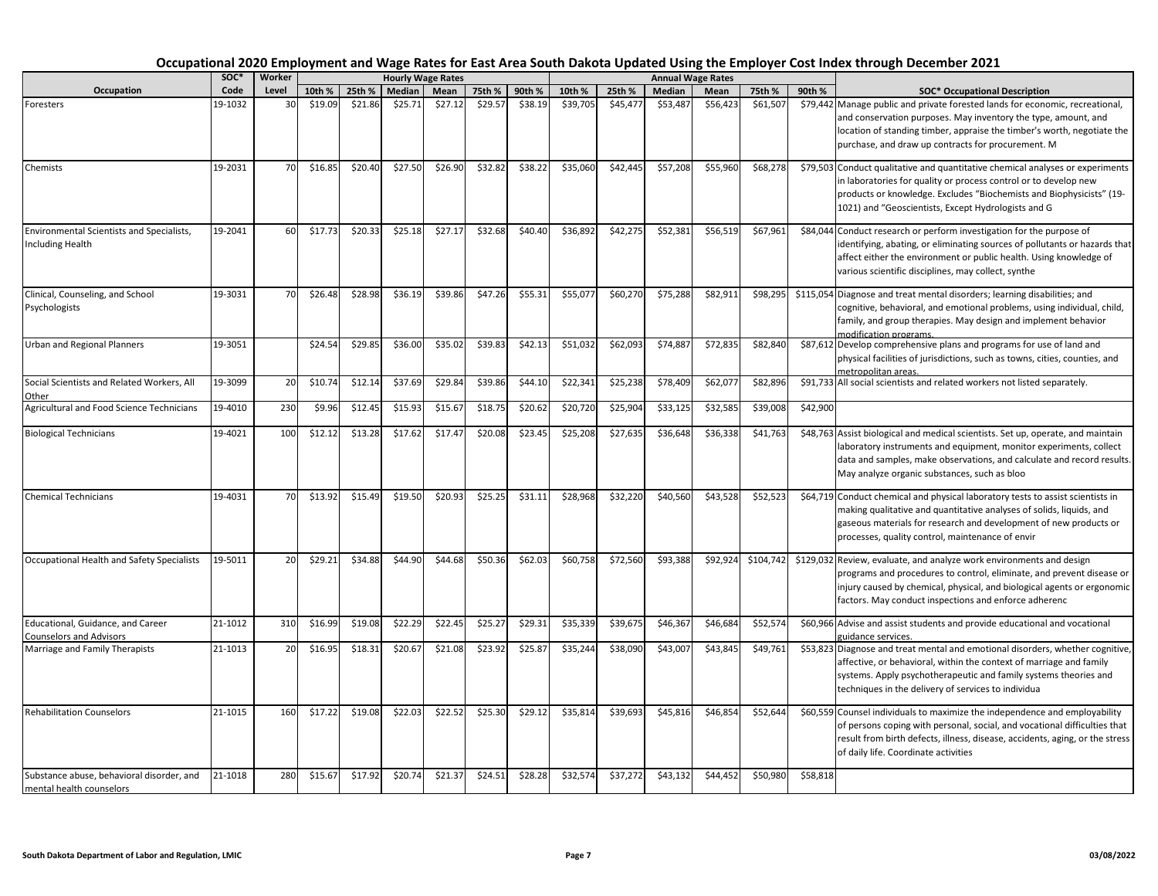|                                                                       | SOC*    | Worker |         |         |         | <b>Hourly Wage Rates</b> |         |         |          |          |          | <b>Annual Wage Rates</b> |           |                                      |                                                                                                                                                                                                                                                                                   |
|-----------------------------------------------------------------------|---------|--------|---------|---------|---------|--------------------------|---------|---------|----------|----------|----------|--------------------------|-----------|--------------------------------------|-----------------------------------------------------------------------------------------------------------------------------------------------------------------------------------------------------------------------------------------------------------------------------------|
| Occupation<br>Code                                                    | Level   | 10th % | 25th %  | Median  | Mean    | 75th %                   | 90th %  | 10th %  | 25th %   | Median   | Mean     | 75th %                   | 90th %    | <b>SOC* Occupational Description</b> |                                                                                                                                                                                                                                                                                   |
| Foresters                                                             | 19-1032 | 3C     | \$19.09 | \$21.86 | \$25.71 | \$27.12                  | \$29.57 | \$38.19 | \$39,705 | \$45,477 | \$53,487 | \$56,423                 | \$61,507  |                                      | \$79,442 Manage public and private forested lands for economic, recreational,<br>and conservation purposes. May inventory the type, amount, and<br>location of standing timber, appraise the timber's worth, negotiate the<br>purchase, and draw up contracts for procurement. M  |
| Chemists                                                              | 19-2031 | 70     | \$16.85 | \$20.40 | \$27.50 | \$26.90                  | \$32.82 | \$38.22 | \$35,060 | \$42,445 | \$57,208 | \$55,960                 | \$68,278  |                                      | \$79,503 Conduct qualitative and quantitative chemical analyses or experiments<br>in laboratories for quality or process control or to develop new<br>products or knowledge. Excludes "Biochemists and Biophysicists" (19-<br>1021) and "Geoscientists, Except Hydrologists and G |
| Environmental Scientists and Specialists,<br><b>Including Health</b>  | 19-2041 | 60     | \$17.73 | \$20.33 | \$25.18 | \$27.17                  | \$32.68 | \$40.40 | \$36,892 | \$42,275 | \$52,381 | \$56,519                 | \$67,961  |                                      | \$84,044 Conduct research or perform investigation for the purpose of<br>identifying, abating, or eliminating sources of pollutants or hazards that<br>affect either the environment or public health. Using knowledge of<br>various scientific disciplines, may collect, synthe  |
| Clinical, Counseling, and School<br>Psychologists                     | 19-3031 | 70     | \$26.48 | \$28.98 | \$36.19 | \$39.86                  | \$47.26 | \$55.31 | \$55,077 | \$60,270 | \$75,288 | \$82,911                 | \$98,295  |                                      | \$115,054 Diagnose and treat mental disorders; learning disabilities; and<br>cognitive, behavioral, and emotional problems, using individual, child,<br>family, and group therapies. May design and implement behavior<br>modification programs.                                  |
| <b>Urban and Regional Planners</b>                                    | 19-3051 |        | \$24.54 | \$29.85 | \$36.00 | \$35.02                  | \$39.83 | \$42.13 | \$51,032 | \$62,093 | \$74,887 | \$72,835                 | \$82,840  |                                      | \$87,612 Develop comprehensive plans and programs for use of land and<br>physical facilities of jurisdictions, such as towns, cities, counties, and<br>netropolitan areas.                                                                                                        |
| Social Scientists and Related Workers, All<br>Other                   | 19-3099 | 20     | \$10.74 | \$12.14 | \$37.69 | \$29.84                  | \$39.86 | \$44.10 | \$22,341 | \$25,238 | \$78,409 | \$62,07                  | \$82,896  |                                      | \$91,733 All social scientists and related workers not listed separately.                                                                                                                                                                                                         |
| Agricultural and Food Science Technicians                             | 19-4010 | 230    | \$9.96  | \$12.45 | \$15.93 | \$15.67                  | \$18.75 | \$20.62 | \$20,720 | \$25,904 | \$33,125 | \$32,585                 | \$39,008  | \$42,900                             |                                                                                                                                                                                                                                                                                   |
| <b>Biological Technicians</b>                                         | 19-4021 | 100    | \$12.12 | \$13.28 | \$17.62 | \$17.47                  | \$20.08 | \$23.45 | \$25,208 | \$27,635 | \$36,648 | \$36,338                 | \$41,763  |                                      | \$48,763 Assist biological and medical scientists. Set up, operate, and maintain<br>laboratory instruments and equipment, monitor experiments, collect<br>data and samples, make observations, and calculate and record results.<br>May analyze organic substances, such as bloo  |
| <b>Chemical Technicians</b>                                           | 19-4031 | 70     | \$13.92 | \$15.49 | \$19.50 | \$20.93                  | \$25.25 | \$31.11 | \$28,968 | \$32,220 | \$40,560 | \$43,528                 | \$52,523  |                                      | \$64,719 Conduct chemical and physical laboratory tests to assist scientists in<br>making qualitative and quantitative analyses of solids, liquids, and<br>gaseous materials for research and development of new products or<br>processes, quality control, maintenance of envir  |
| Occupational Health and Safety Specialists                            | 19-5011 | 20     | \$29.21 | \$34.88 | \$44.90 | \$44.68                  | \$50.36 | \$62.03 | \$60,758 | \$72,560 | \$93,388 | \$92,924                 | \$104,742 |                                      | \$129,032 Review, evaluate, and analyze work environments and design<br>programs and procedures to control, eliminate, and prevent disease or<br>injury caused by chemical, physical, and biological agents or ergonomic<br>factors. May conduct inspections and enforce adherenc |
| Educational, Guidance, and Career<br><b>Counselors and Advisors</b>   | 21-1012 | 310    | \$16.99 | \$19.08 | \$22.29 | \$22.45                  | \$25.27 | \$29.31 | \$35,339 | \$39,675 | \$46,367 | \$46,684                 | \$52,574  |                                      | \$60,966 Advise and assist students and provide educational and vocational<br>guidance services.                                                                                                                                                                                  |
| Marriage and Family Therapists                                        | 21-1013 | 20     | \$16.95 | \$18.31 | \$20.67 | \$21.08                  | \$23.92 | \$25.87 | \$35,244 | \$38,090 | \$43,007 | \$43,845                 | \$49,761  |                                      | \$53,823 Diagnose and treat mental and emotional disorders, whether cognitive,<br>affective, or behavioral, within the context of marriage and family<br>systems. Apply psychotherapeutic and family systems theories and<br>techniques in the delivery of services to individua  |
| <b>Rehabilitation Counselors</b>                                      | 21-1015 | 160    | \$17.22 | \$19.08 | \$22.03 | \$22.52                  | \$25.30 | \$29.12 | \$35,814 | \$39,693 | \$45,816 | \$46,85                  | \$52,644  |                                      | \$60,559 Counsel individuals to maximize the independence and employability<br>of persons coping with personal, social, and vocational difficulties that<br>result from birth defects, illness, disease, accidents, aging, or the stress<br>of daily life. Coordinate activities  |
| Substance abuse, behavioral disorder, and<br>mental health counselors | 21-1018 | 280    | \$15.67 | \$17.92 | \$20.74 | \$21.37                  | \$24.51 | \$28.28 | \$32,574 | \$37,272 | \$43,132 | \$44,452                 | \$50,980  | \$58,818                             |                                                                                                                                                                                                                                                                                   |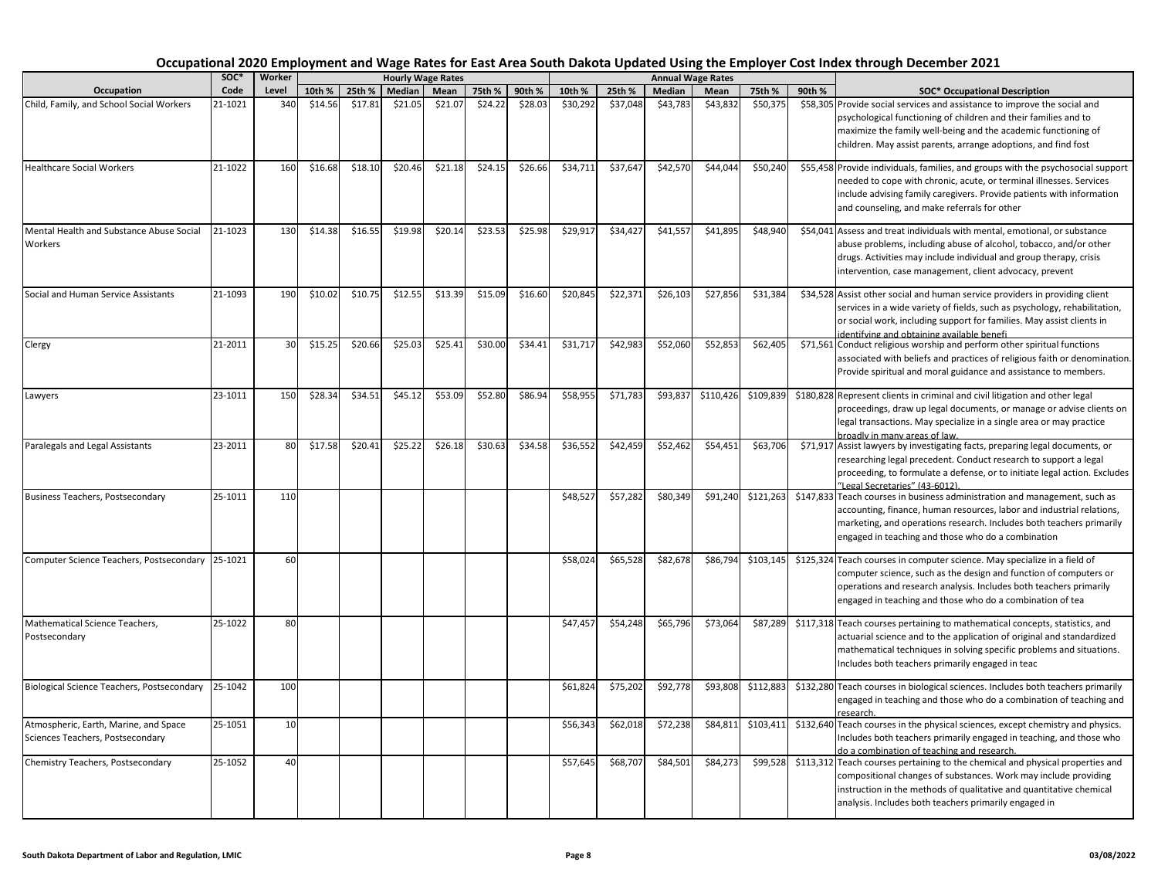|                                                                           | soc*    | Worker |         |         |         | <b>Hourly Wage Rates</b> |         |         |          |          |          | <b>Annual Wage Rates</b> |           |        |                                                                                                                                                                                                                                                                                   |
|---------------------------------------------------------------------------|---------|--------|---------|---------|---------|--------------------------|---------|---------|----------|----------|----------|--------------------------|-----------|--------|-----------------------------------------------------------------------------------------------------------------------------------------------------------------------------------------------------------------------------------------------------------------------------------|
| Occupation                                                                | Code    | Level  | 10th %  | 25th %  | Median  | Mean                     | 75th %  | 90th %  | 10th %   | 25th %   | Median   | Mean                     | 75th %    | 90th % | <b>SOC* Occupational Description</b>                                                                                                                                                                                                                                              |
| Child, Family, and School Social Workers                                  | 21-1021 | 340    | \$14.56 | \$17.81 | \$21.05 | \$21.07                  | \$24.22 | \$28.03 | \$30,292 | \$37,048 | \$43,783 | \$43,832                 | \$50,375  |        | \$58,305 Provide social services and assistance to improve the social and<br>psychological functioning of children and their families and to<br>maximize the family well-being and the academic functioning of<br>children. May assist parents, arrange adoptions, and find fost  |
| <b>Healthcare Social Workers</b>                                          | 21-1022 | 160    | \$16.68 | \$18.10 | \$20.46 | \$21.18                  | \$24.15 | \$26.66 | \$34,711 | \$37,647 | \$42,570 | \$44,044                 | \$50,240  |        | \$55,458 Provide individuals, families, and groups with the psychosocial support<br>needed to cope with chronic, acute, or terminal illnesses. Services<br>include advising family caregivers. Provide patients with information<br>and counseling, and make referrals for other  |
| Mental Health and Substance Abuse Social<br>Workers                       | 21-1023 | 130    | \$14.38 | \$16.55 | \$19.98 | \$20.14                  | \$23.53 | \$25.98 | \$29,917 | \$34,427 | \$41,557 | \$41,895                 | \$48,940  |        | \$54,041 Assess and treat individuals with mental, emotional, or substance<br>abuse problems, including abuse of alcohol, tobacco, and/or other<br>drugs. Activities may include individual and group therapy, crisis<br>intervention, case management, client advocacy, prevent  |
| Social and Human Service Assistants                                       | 21-1093 | 190    | \$10.02 | \$10.75 | \$12.55 | \$13.39                  | \$15.09 | \$16.60 | \$20,845 | \$22,371 | \$26,103 | \$27,856                 | \$31,384  |        | \$34,528 Assist other social and human service providers in providing client<br>services in a wide variety of fields, such as psychology, rehabilitation,<br>or social work, including support for families. May assist clients in<br>identifying and obtaining available benefi  |
| Clergy                                                                    | 21-2011 | 30     | \$15.25 | \$20.66 | \$25.03 | \$25.41                  | \$30.00 | \$34.41 | \$31,717 | \$42,983 | \$52,060 | \$52,853                 | \$62,405  |        | \$71,561 Conduct religious worship and perform other spiritual functions<br>associated with beliefs and practices of religious faith or denomination.<br>Provide spiritual and moral guidance and assistance to members.                                                          |
| Lawyers                                                                   | 23-1011 | 150    | \$28.34 | \$34.51 | \$45.12 | \$53.09                  | \$52.80 | \$86.94 | \$58,955 | \$71,783 | \$93,83  | \$110,426                | \$109,839 |        | \$180,828 Represent clients in criminal and civil litigation and other legal<br>proceedings, draw up legal documents, or manage or advise clients on<br>legal transactions. May specialize in a single area or may practice<br>broadly in many areas of law.                      |
| Paralegals and Legal Assistants                                           | 23-2011 | 80     | \$17.58 | \$20.41 | \$25.22 | \$26.18                  | \$30.63 | \$34.58 | \$36,552 | \$42,459 | \$52,462 | \$54,451                 | \$63,706  |        | \$71,917 Assist lawyers by investigating facts, preparing legal documents, or<br>researching legal precedent. Conduct research to support a legal<br>proceeding, to formulate a defense, or to initiate legal action. Excludes<br>"Legal Secretaries" (43-6012).                  |
| <b>Business Teachers, Postsecondary</b>                                   | 25-1011 | 110    |         |         |         |                          |         |         | \$48,527 | \$57,282 | \$80,349 | \$91,240                 | \$121,263 |        | \$147,833 Teach courses in business administration and management, such as<br>accounting, finance, human resources, labor and industrial relations,<br>marketing, and operations research. Includes both teachers primarily<br>engaged in teaching and those who do a combination |
| Computer Science Teachers, Postsecondary                                  | 25-1021 | 60     |         |         |         |                          |         |         | \$58,024 | \$65,528 | \$82,678 | \$86,794                 | \$103,145 |        | \$125,324 Teach courses in computer science. May specialize in a field of<br>computer science, such as the design and function of computers or<br>operations and research analysis. Includes both teachers primarily<br>engaged in teaching and those who do a combination of tea |
| Mathematical Science Teachers,<br>Postsecondary                           | 25-1022 | 80     |         |         |         |                          |         |         | \$47,457 | \$54,248 | \$65,796 | \$73,064                 | \$87,289  |        | \$117,318 Teach courses pertaining to mathematical concepts, statistics, and<br>actuarial science and to the application of original and standardized<br>mathematical techniques in solving specific problems and situations.<br>Includes both teachers primarily engaged in teac |
| Biological Science Teachers, Postsecondary                                | 25-1042 | 100    |         |         |         |                          |         |         | \$61,824 | \$75,202 | \$92,778 | \$93,808                 | \$112,883 |        | \$132,280 Teach courses in biological sciences. Includes both teachers primarily<br>engaged in teaching and those who do a combination of teaching and<br>research.                                                                                                               |
| Atmospheric, Earth, Marine, and Space<br>Sciences Teachers, Postsecondary | 25-1051 | 10     |         |         |         |                          |         |         | \$56,343 | \$62,018 | \$72,238 | \$84,811                 | \$103,411 |        | \$132,640 Teach courses in the physical sciences, except chemistry and physics.<br>Includes both teachers primarily engaged in teaching, and those who<br>do a combination of teaching and research.                                                                              |
| Chemistry Teachers, Postsecondary                                         | 25-1052 | 40     |         |         |         |                          |         |         | \$57,645 | \$68,707 | \$84,501 | \$84,273                 | \$99,528  |        | \$113,312 Teach courses pertaining to the chemical and physical properties and<br>compositional changes of substances. Work may include providing<br>instruction in the methods of qualitative and quantitative chemical<br>analysis. Includes both teachers primarily engaged in |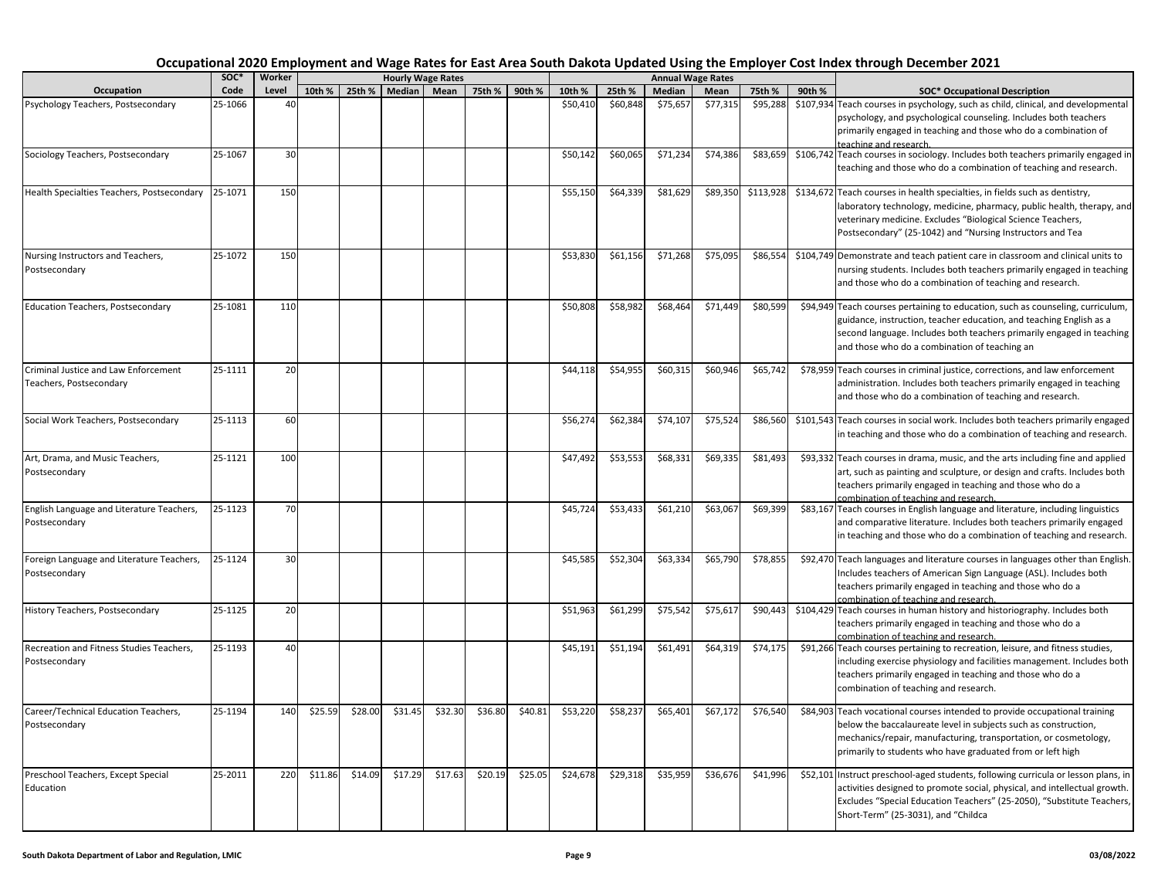|                                                                 | SOC*    | Worker |         |         |         | <b>Hourly Wage Rates</b> |         |         |          |          |          | <b>Annual Wage Rates</b> |           |        |                                                                                                                                                                                                                                                                                   |
|-----------------------------------------------------------------|---------|--------|---------|---------|---------|--------------------------|---------|---------|----------|----------|----------|--------------------------|-----------|--------|-----------------------------------------------------------------------------------------------------------------------------------------------------------------------------------------------------------------------------------------------------------------------------------|
| Occupation                                                      | Code    | Level  | 10th %  | 25th %  | Median  | Mean                     | 75th %  | 90th %  | 10th %   | 25th %   | Median   | Mean                     | 75th %    | 90th % | <b>SOC* Occupational Description</b>                                                                                                                                                                                                                                              |
| Psychology Teachers, Postsecondary                              | 25-1066 | 40     |         |         |         |                          |         |         | \$50,410 | \$60,848 | \$75,657 | \$77,315                 | \$95,288  |        | \$107,934 Teach courses in psychology, such as child, clinical, and developmental<br>psychology, and psychological counseling. Includes both teachers<br>primarily engaged in teaching and those who do a combination of<br>teaching and research.                                |
| Sociology Teachers, Postsecondary                               | 25-1067 | 30     |         |         |         |                          |         |         | \$50,142 | \$60,065 | \$71,234 | \$74,386                 | \$83,659  |        | \$106,742 Teach courses in sociology. Includes both teachers primarily engaged in<br>teaching and those who do a combination of teaching and research.                                                                                                                            |
| Health Specialties Teachers, Postsecondary                      | 25-1071 | 150    |         |         |         |                          |         |         | \$55,150 | \$64,339 | \$81,629 | \$89,350                 | \$113,928 |        | \$134,672 Teach courses in health specialties, in fields such as dentistry,<br>laboratory technology, medicine, pharmacy, public health, therapy, and<br>veterinary medicine. Excludes "Biological Science Teachers,<br>Postsecondary" (25-1042) and "Nursing Instructors and Tea |
| Nursing Instructors and Teachers,<br>Postsecondary              | 25-1072 | 150    |         |         |         |                          |         |         | \$53,830 | \$61,156 | \$71,268 | \$75,095                 | \$86,554  |        | \$104,749 Demonstrate and teach patient care in classroom and clinical units to<br>nursing students. Includes both teachers primarily engaged in teaching<br>and those who do a combination of teaching and research.                                                             |
| <b>Education Teachers, Postsecondary</b>                        | 25-1081 | 110    |         |         |         |                          |         |         | \$50,808 | \$58,982 | \$68,464 | \$71,449                 | \$80,599  |        | \$94,949 Teach courses pertaining to education, such as counseling, curriculum,<br>guidance, instruction, teacher education, and teaching English as a<br>second language. Includes both teachers primarily engaged in teaching<br>and those who do a combination of teaching an  |
| Criminal Justice and Law Enforcement<br>Teachers, Postsecondary | 25-1111 | 20     |         |         |         |                          |         |         | \$44,118 | \$54,955 | \$60,315 | \$60,946                 | \$65,742  |        | \$78,959 Teach courses in criminal justice, corrections, and law enforcement<br>administration. Includes both teachers primarily engaged in teaching<br>and those who do a combination of teaching and research.                                                                  |
| Social Work Teachers, Postsecondary                             | 25-1113 | 60     |         |         |         |                          |         |         | \$56,274 | \$62,384 | \$74,107 | \$75,524                 | \$86,560  |        | \$101,543 Teach courses in social work. Includes both teachers primarily engaged<br>in teaching and those who do a combination of teaching and research.                                                                                                                          |
| Art, Drama, and Music Teachers,<br>Postsecondary                | 25-1121 | 100    |         |         |         |                          |         |         | \$47,492 | \$53,553 | \$68,331 | \$69,335                 | \$81,493  |        | \$93,332 Teach courses in drama, music, and the arts including fine and applied<br>art, such as painting and sculpture, or design and crafts. Includes both<br>teachers primarily engaged in teaching and those who do a<br>combination of teaching and research.                 |
| English Language and Literature Teachers,<br>Postsecondary      | 25-1123 | 70     |         |         |         |                          |         |         | \$45,724 | \$53,433 | \$61,210 | \$63,067                 | \$69,399  |        | \$83,167 Teach courses in English language and literature, including linguistics<br>and comparative literature. Includes both teachers primarily engaged<br>in teaching and those who do a combination of teaching and research.                                                  |
| Foreign Language and Literature Teachers,<br>Postsecondary      | 25-1124 | 30     |         |         |         |                          |         |         | \$45,585 | \$52,304 | \$63,334 | \$65,790                 | \$78,855  |        | \$92,470 Teach languages and literature courses in languages other than English.<br>Includes teachers of American Sign Language (ASL). Includes both<br>teachers primarily engaged in teaching and those who do a<br>combination of teaching and research.                        |
| History Teachers, Postsecondary                                 | 25-1125 | 20     |         |         |         |                          |         |         | \$51,963 | \$61,299 | \$75,542 | \$75,617                 | \$90,443  |        | \$104,429 Teach courses in human history and historiography. Includes both<br>teachers primarily engaged in teaching and those who do a<br>combination of teaching and research.                                                                                                  |
| Recreation and Fitness Studies Teachers,<br>Postsecondary       | 25-1193 | 40     |         |         |         |                          |         |         | \$45,191 | \$51,194 | \$61,491 | \$64,319                 | \$74,175  |        | \$91,266 Teach courses pertaining to recreation, leisure, and fitness studies,<br>including exercise physiology and facilities management. Includes both<br>teachers primarily engaged in teaching and those who do a<br>combination of teaching and research.                    |
| Career/Technical Education Teachers,<br>Postsecondary           | 25-1194 | 140    | \$25.59 | \$28.00 | \$31.45 | \$32.30                  | \$36.80 | \$40.81 | \$53,220 | \$58,237 | \$65,401 | \$67,172                 | \$76,540  |        | \$84,903 Teach vocational courses intended to provide occupational training<br>below the baccalaureate level in subjects such as construction,<br>mechanics/repair, manufacturing, transportation, or cosmetology,<br>primarily to students who have graduated from or left high  |
| Preschool Teachers, Except Special<br>Education                 | 25-2011 | 220    | \$11.86 | \$14.09 | \$17.29 | \$17.63                  | \$20.19 | \$25.05 | \$24,678 | \$29,318 | \$35,959 | \$36,676                 | \$41,996  |        | \$52,101 Instruct preschool-aged students, following curricula or lesson plans, in<br>activities designed to promote social, physical, and intellectual growth.<br>Excludes "Special Education Teachers" (25-2050), "Substitute Teachers,<br>Short-Term" (25-3031), and "Childca  |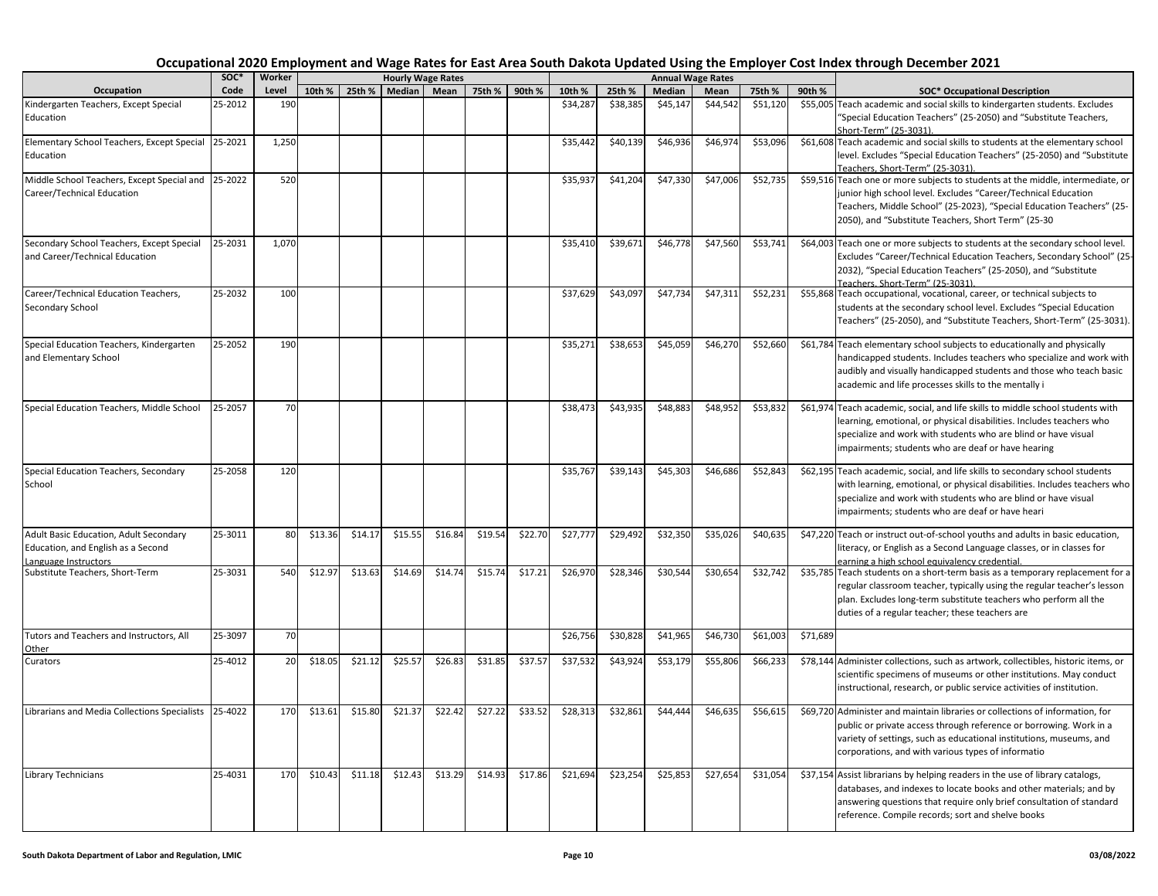|                                                                                                      | SOC*    | Worker |         |         |         | <b>Hourly Wage Rates</b> |         |         |          |          | <b>Annual Wage Rates</b> |          |          |          |                                                                                                                                                                                                                                                                                   |
|------------------------------------------------------------------------------------------------------|---------|--------|---------|---------|---------|--------------------------|---------|---------|----------|----------|--------------------------|----------|----------|----------|-----------------------------------------------------------------------------------------------------------------------------------------------------------------------------------------------------------------------------------------------------------------------------------|
| Occupation                                                                                           | Code    | Level  | 10th %  | 25th %  | Median  | Mean                     | 75th %  | 90th %  | 10th %   | 25th %   | Median                   | Mean     | 75th %   | 90th %   | <b>SOC* Occupational Description</b>                                                                                                                                                                                                                                              |
| Kindergarten Teachers, Except Special<br>Education                                                   | 25-2012 | 190    |         |         |         |                          |         |         | \$34,287 | \$38,385 | \$45,147                 | \$44,542 | \$51,120 |          | \$55,005 Teach academic and social skills to kindergarten students. Excludes<br>"Special Education Teachers" (25-2050) and "Substitute Teachers,                                                                                                                                  |
|                                                                                                      |         |        |         |         |         |                          |         |         |          |          |                          |          |          |          | Short-Term" (25-3031).                                                                                                                                                                                                                                                            |
| Elementary School Teachers, Except Special<br>Education                                              | 25-2021 | 1,250  |         |         |         |                          |         |         | \$35,442 | \$40,139 | \$46,936                 | \$46,974 | \$53,096 |          | \$61,608 Teach academic and social skills to students at the elementary school<br>level. Excludes "Special Education Teachers" (25-2050) and "Substitute<br>Teachers, Short-Term" (25-3031).                                                                                      |
| Middle School Teachers, Except Special and 25-2022<br>Career/Technical Education                     |         | 520    |         |         |         |                          |         |         | \$35,937 | \$41,204 | \$47,330                 | \$47,006 | \$52,735 |          | \$59,516 Teach one or more subjects to students at the middle, intermediate, or<br>junior high school level. Excludes "Career/Technical Education<br>Teachers, Middle School" (25-2023), "Special Education Teachers" (25-<br>2050), and "Substitute Teachers, Short Term" (25-30 |
| Secondary School Teachers, Except Special<br>and Career/Technical Education                          | 25-2031 | 1,070  |         |         |         |                          |         |         | \$35,410 | \$39,671 | \$46,778                 | \$47,560 | \$53,741 |          | \$64,003 Teach one or more subjects to students at the secondary school level.<br>Excludes "Career/Technical Education Teachers, Secondary School" (25<br>2032), "Special Education Teachers" (25-2050), and "Substitute<br>Teachers. Short-Term" (25-3031).                      |
| Career/Technical Education Teachers,<br>Secondary School                                             | 25-2032 | 100    |         |         |         |                          |         |         | \$37,629 | \$43,097 | \$47,734                 | \$47,311 | \$52,231 |          | \$55,868 Teach occupational, vocational, career, or technical subjects to<br>students at the secondary school level. Excludes "Special Education<br>Teachers" (25-2050), and "Substitute Teachers, Short-Term" (25-3031).                                                         |
| Special Education Teachers, Kindergarten<br>and Elementary School                                    | 25-2052 | 190    |         |         |         |                          |         |         | \$35,271 | \$38,653 | \$45,059                 | \$46,270 | \$52,660 |          | \$61,784 Teach elementary school subjects to educationally and physically<br>handicapped students. Includes teachers who specialize and work with<br>audibly and visually handicapped students and those who teach basic<br>academic and life processes skills to the mentally i  |
| Special Education Teachers, Middle School                                                            | 25-2057 | 70     |         |         |         |                          |         |         | \$38,473 | \$43,935 | \$48,883                 | \$48,952 | \$53,832 |          | \$61,974 Teach academic, social, and life skills to middle school students with<br>learning, emotional, or physical disabilities. Includes teachers who<br>specialize and work with students who are blind or have visual<br>impairments; students who are deaf or have hearing   |
| Special Education Teachers, Secondary<br>School                                                      | 25-2058 | 120    |         |         |         |                          |         |         | \$35,767 | \$39,143 | \$45,303                 | \$46,686 | \$52,843 |          | \$62,195 Teach academic, social, and life skills to secondary school students<br>with learning, emotional, or physical disabilities. Includes teachers who<br>specialize and work with students who are blind or have visual<br>impairments; students who are deaf or have heari  |
| Adult Basic Education, Adult Secondary<br>Education, and English as a Second<br>Language Instructors | 25-3011 | 80     | \$13.36 | \$14.17 | \$15.55 | \$16.84                  | \$19.54 | \$22.70 | \$27,777 | \$29,492 | \$32,350                 | \$35,026 | \$40,635 |          | \$47,220 Teach or instruct out-of-school youths and adults in basic education,<br>literacy, or English as a Second Language classes, or in classes for<br>earning a high school equivalency credential.                                                                           |
| Substitute Teachers, Short-Term                                                                      | 25-3031 | 540    | \$12.97 | \$13.63 | \$14.69 | \$14.74                  | \$15.74 | \$17.21 | \$26,970 | \$28,346 | \$30,544                 | \$30,654 | \$32,742 |          | \$35,785 Teach students on a short-term basis as a temporary replacement for a<br>regular classroom teacher, typically using the regular teacher's lesson<br>plan. Excludes long-term substitute teachers who perform all the<br>duties of a regular teacher; these teachers are  |
| Tutors and Teachers and Instructors, All<br>Other                                                    | 25-3097 | 70     |         |         |         |                          |         |         | \$26,756 | \$30,828 | \$41.965                 | \$46.730 | \$61,003 | \$71,689 |                                                                                                                                                                                                                                                                                   |
| Curators                                                                                             | 25-4012 | 20     | \$18.05 | \$21.12 | \$25.57 | \$26.83                  | \$31.85 | \$37.57 | \$37,532 | \$43,924 | \$53,179                 | \$55,806 | \$66,233 |          | \$78,144 Administer collections, such as artwork, collectibles, historic items, or<br>scientific specimens of museums or other institutions. May conduct<br>instructional, research, or public service activities of institution.                                                 |
| Librarians and Media Collections Specialists                                                         | 25-4022 | 170    | \$13.61 | \$15.80 | \$21.37 | \$22.42                  | \$27.22 | \$33.52 | \$28,313 | \$32,861 | \$44,444                 | \$46,635 | \$56,615 |          | \$69,720 Administer and maintain libraries or collections of information, for<br>public or private access through reference or borrowing. Work in a<br>variety of settings, such as educational institutions, museums, and<br>corporations, and with various types of informatio  |
| Library Technicians                                                                                  | 25-4031 | 170    | \$10.43 | \$11.18 | \$12.43 | \$13.29                  | \$14.93 | \$17.86 | \$21,694 | \$23,254 | \$25,853                 | \$27,654 | \$31,054 |          | \$37,154 Assist librarians by helping readers in the use of library catalogs,<br>databases, and indexes to locate books and other materials; and by<br>answering questions that require only brief consultation of standard<br>reference. Compile records; sort and shelve books  |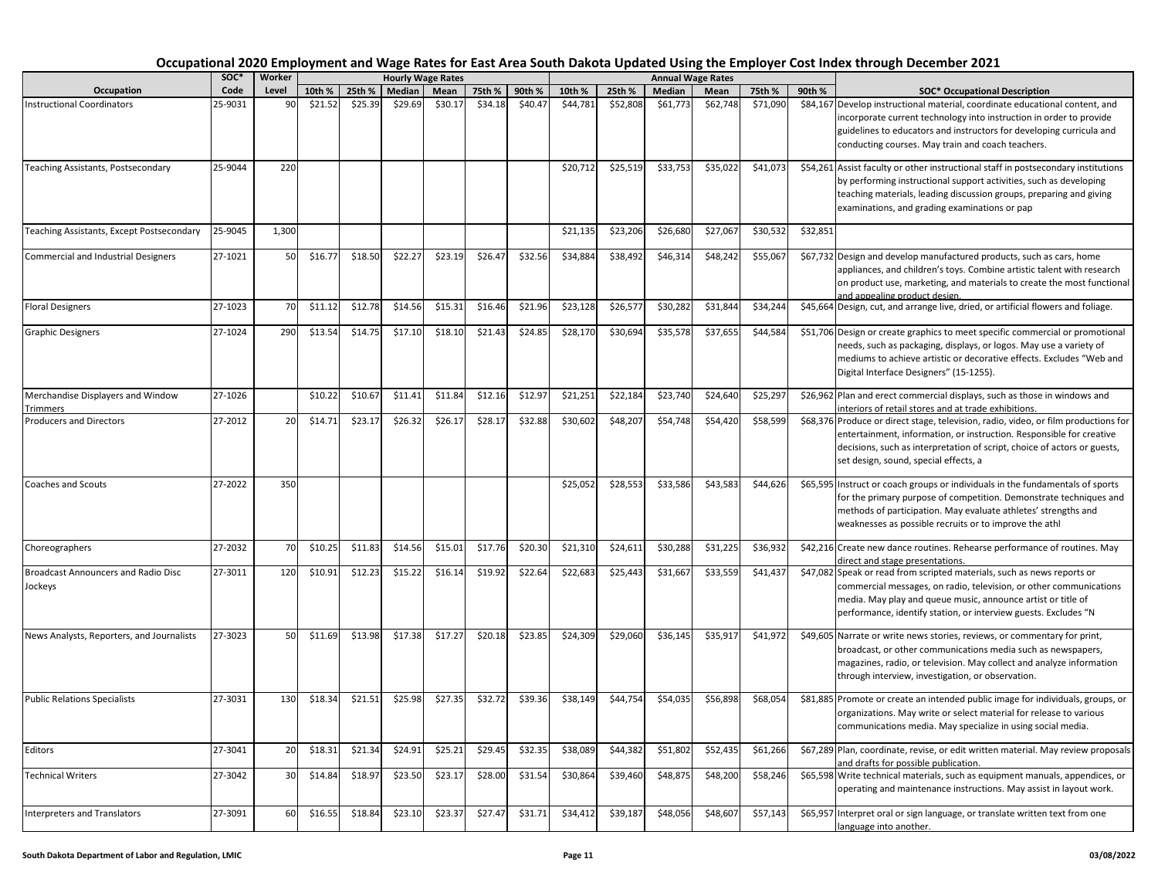|                                                       | soc*    | Worker |         |         |         | <b>Hourly Wage Rates</b> |         |         |          |          |          | <b>Annual Wage Rates</b> |          |          |                                                                                                                                                                                                                                                                                  |
|-------------------------------------------------------|---------|--------|---------|---------|---------|--------------------------|---------|---------|----------|----------|----------|--------------------------|----------|----------|----------------------------------------------------------------------------------------------------------------------------------------------------------------------------------------------------------------------------------------------------------------------------------|
| Occupation                                            | Code    | Level  | 10th %  | 25th %  | Median  | Mean                     | 75th %  | 90th %  | 10th %   | 25th %   | Median   | Mean                     | 75th %   | 90th %   | <b>SOC* Occupational Description</b>                                                                                                                                                                                                                                             |
| <b>Instructional Coordinators</b>                     | 25-9031 | 90     | \$21.52 | \$25.39 | \$29.69 | \$30.17                  | \$34.18 | \$40.47 | \$44,781 | \$52,808 | \$61,773 | \$62,748                 | \$71,090 |          | \$84,167 Develop instructional material, coordinate educational content, and<br>incorporate current technology into instruction in order to provide<br>guidelines to educators and instructors for developing curricula and<br>conducting courses. May train and coach teachers. |
| Teaching Assistants, Postsecondary                    | 25-9044 | 220    |         |         |         |                          |         |         | \$20,712 | \$25,519 | \$33,753 | \$35,022                 | \$41,073 |          | \$54,261 Assist faculty or other instructional staff in postsecondary institutions<br>by performing instructional support activities, such as developing<br>teaching materials, leading discussion groups, preparing and giving<br>examinations, and grading examinations or pap |
| Teaching Assistants, Except Postsecondary             | 25-9045 | 1,300  |         |         |         |                          |         |         | \$21.135 | \$23,206 | \$26,680 | \$27,067                 | \$30,532 | \$32,851 |                                                                                                                                                                                                                                                                                  |
| <b>Commercial and Industrial Designers</b>            | 27-1021 | 50     | \$16.77 | \$18.50 | \$22.27 | \$23.19                  | \$26.47 | \$32.56 | \$34,884 | \$38,492 | \$46,314 | \$48,242                 | \$55,067 |          | \$67,732 Design and develop manufactured products, such as cars, home<br>appliances, and children's toys. Combine artistic talent with research<br>on product use, marketing, and materials to create the most functional<br>ind appealing product design.                       |
| <b>Floral Designers</b>                               | 27-1023 | 70     | \$11.12 | \$12.78 | \$14.56 | \$15.31                  | \$16.46 | \$21.96 | \$23,128 | \$26,577 | \$30,282 | \$31,844                 | \$34,244 |          | \$45,664 Design, cut, and arrange live, dried, or artificial flowers and foliage.                                                                                                                                                                                                |
| <b>Graphic Designers</b>                              | 27-1024 | 290    | \$13.54 | \$14.75 | \$17.10 | \$18.10                  | \$21.43 | \$24.85 | \$28,170 | \$30,694 | \$35,578 | \$37,655                 | \$44,584 |          | \$51,706 Design or create graphics to meet specific commercial or promotional<br>needs, such as packaging, displays, or logos. May use a variety of<br>mediums to achieve artistic or decorative effects. Excludes "Web and<br>Digital Interface Designers" (15-1255).           |
| Merchandise Displayers and Window<br>Trimmers         | 27-1026 |        | \$10.22 | \$10.67 | \$11.41 | \$11.84                  | \$12.16 | \$12.97 | \$21,251 | \$22,184 | \$23,740 | \$24,640                 | \$25,297 |          | \$26,962 Plan and erect commercial displays, such as those in windows and<br>nteriors of retail stores and at trade exhibitions.                                                                                                                                                 |
| <b>Producers and Directors</b>                        | 27-2012 | 20     | \$14.71 | \$23.17 | \$26.32 | \$26.17                  | \$28.17 | \$32.88 | \$30,602 | \$48,207 | \$54,748 | \$54,420                 | \$58,599 |          | \$68,376 Produce or direct stage, television, radio, video, or film productions for<br>entertainment, information, or instruction. Responsible for creative<br>decisions, such as interpretation of script, choice of actors or guests,<br>set design, sound, special effects, a |
| <b>Coaches and Scouts</b>                             | 27-2022 | 350    |         |         |         |                          |         |         | \$25,052 | \$28,553 | \$33,586 | \$43,583                 | \$44,626 |          | \$65,595 Instruct or coach groups or individuals in the fundamentals of sports<br>for the primary purpose of competition. Demonstrate techniques and<br>methods of participation. May evaluate athletes' strengths and<br>weaknesses as possible recruits or to improve the athl |
| Choreographers                                        | 27-2032 | 70     | \$10.25 | \$11.83 | \$14.56 | \$15.01                  | \$17.76 | \$20.30 | \$21,310 | \$24,611 | \$30,288 | \$31,225                 | \$36,932 |          | \$42,216 Create new dance routines. Rehearse performance of routines. May<br>lirect and stage presentations.                                                                                                                                                                     |
| <b>Broadcast Announcers and Radio Disc</b><br>Jockeys | 27-3011 | 120    | \$10.91 | \$12.23 | \$15.22 | \$16.14                  | \$19.92 | \$22.64 | \$22,683 | \$25,443 | \$31,667 | \$33,559                 | \$41,437 |          | \$47,082 Speak or read from scripted materials, such as news reports or<br>commercial messages, on radio, television, or other communications<br>media. May play and queue music, announce artist or title of<br>performance, identify station, or interview guests. Excludes "N |
| News Analysts, Reporters, and Journalists             | 27-3023 | 50     | \$11.69 | \$13.98 | \$17.38 | \$17.27                  | \$20.18 | \$23.85 | \$24,309 | \$29,060 | \$36,145 | \$35,917                 | \$41,972 |          | \$49,605 Narrate or write news stories, reviews, or commentary for print,<br>broadcast, or other communications media such as newspapers,<br>magazines, radio, or television. May collect and analyze information<br>through interview, investigation, or observation.           |
| <b>Public Relations Specialists</b>                   | 27-3031 | 130    | \$18.34 | \$21.51 | \$25.98 | \$27.35                  | \$32.72 | \$39.36 | \$38,149 | \$44,754 | \$54,035 | \$56,898                 | \$68,054 |          | \$81,885 Promote or create an intended public image for individuals, groups, or<br>organizations. May write or select material for release to various<br>communications media. May specialize in using social media.                                                             |
| Editors                                               | 27-3041 | 20     | \$18.31 | \$21.34 | \$24.91 | \$25.21                  | \$29.45 | \$32.35 | \$38,089 | \$44,382 | \$51,802 | \$52,435                 | \$61,266 |          | \$67,289 Plan, coordinate, revise, or edit written material. May review proposals<br>and drafts for possible publication.                                                                                                                                                        |
| <b>Technical Writers</b>                              | 27-3042 | 30     | \$14.84 | \$18.97 | \$23.50 | \$23.17                  | \$28.00 | \$31.54 | \$30,864 | \$39,460 | \$48,875 | \$48,200                 | \$58,246 |          | \$65,598 Write technical materials, such as equipment manuals, appendices, or<br>operating and maintenance instructions. May assist in layout work.                                                                                                                              |
| Interpreters and Translators                          | 27-3091 | 60     | \$16.55 | \$18.84 | \$23.10 | \$23.37                  | \$27.47 | \$31.71 | \$34,412 | \$39,187 | \$48,056 | \$48,607                 | \$57,143 |          | \$65,957 Interpret oral or sign language, or translate written text from one<br>language into another.                                                                                                                                                                           |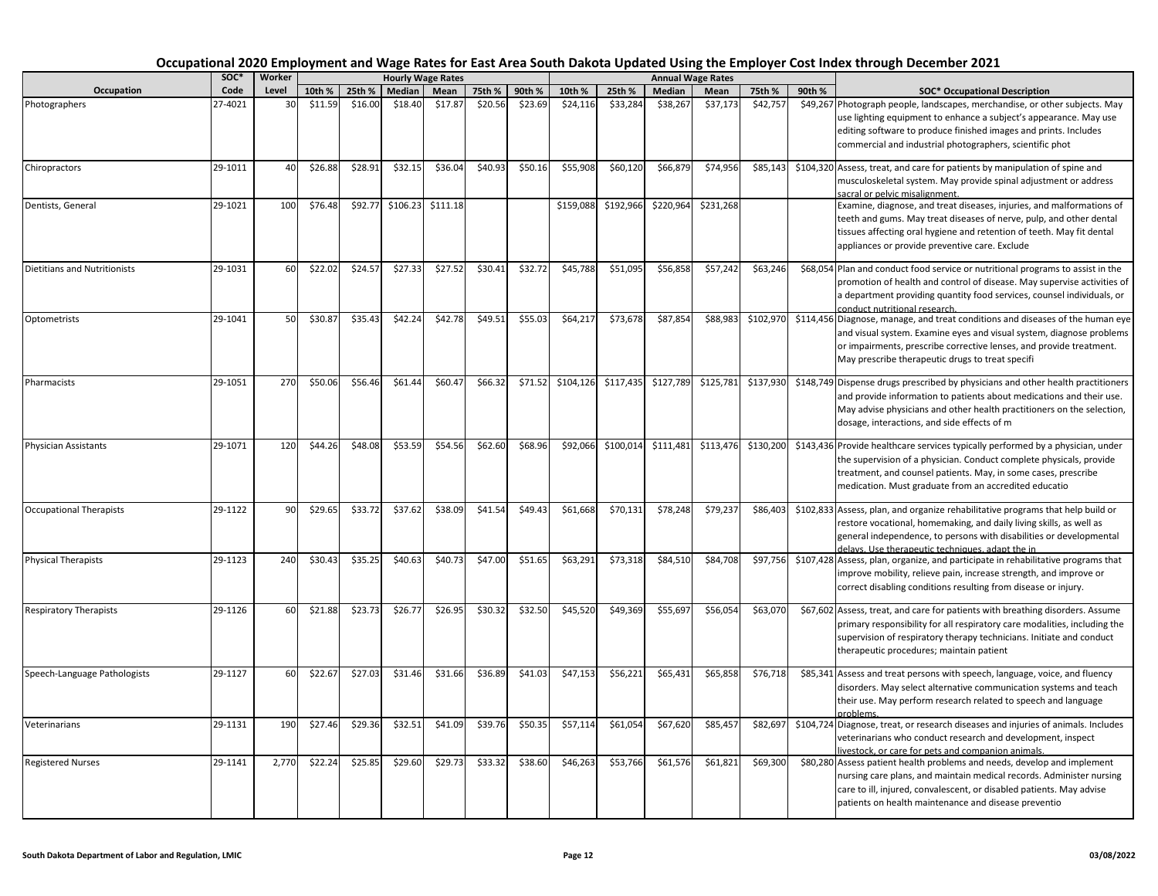| Occupation                          | SOC*    | Worker |         |         |          | <b>Hourly Wage Rates</b> |         |         |           |           |           | <b>Annual Wage Rates</b> |           |        |                                                                                                                                                                                                                                                                                   |
|-------------------------------------|---------|--------|---------|---------|----------|--------------------------|---------|---------|-----------|-----------|-----------|--------------------------|-----------|--------|-----------------------------------------------------------------------------------------------------------------------------------------------------------------------------------------------------------------------------------------------------------------------------------|
|                                     | Code    | Level  | 10th %  | 25th %  | Median   | Mean                     | 75th %  | 90th %  | 10th %    | 25th %    | Median    | Mean                     | 75th %    | 90th % | <b>SOC* Occupational Description</b>                                                                                                                                                                                                                                              |
| Photographers                       | 27-4021 | 30     | \$11.59 | \$16.00 | \$18.40  | \$17.87                  | \$20.56 | \$23.69 | \$24,116  | \$33,284  | \$38,267  | \$37,173                 | \$42,757  |        | \$49,267 Photograph people, landscapes, merchandise, or other subjects. May<br>use lighting equipment to enhance a subject's appearance. May use<br>editing software to produce finished images and prints. Includes<br>commercial and industrial photographers, scientific phot  |
| Chiropractors                       | 29-1011 | 40     | \$26.88 | \$28.91 | \$32.15  | \$36.04                  | \$40.93 | \$50.16 | \$55,908  | \$60,120  | \$66,879  | \$74,956                 | \$85,143  |        | \$104,320 Assess, treat, and care for patients by manipulation of spine and<br>musculoskeletal system. May provide spinal adjustment or address<br>sacral or pelvic misalignment.                                                                                                 |
| Dentists, General                   | 29-1021 | 100    | \$76.48 | \$92.77 | \$106.23 | \$111.18                 |         |         | \$159,088 | \$192,966 | \$220,964 | \$231,268                |           |        | Examine, diagnose, and treat diseases, injuries, and malformations of<br>teeth and gums. May treat diseases of nerve, pulp, and other dental<br>tissues affecting oral hygiene and retention of teeth. May fit dental<br>appliances or provide preventive care. Exclude           |
| <b>Dietitians and Nutritionists</b> | 29-1031 | 60     | \$22.02 | \$24.57 | \$27.33  | \$27.52                  | \$30.41 | \$32.72 | \$45,788  | \$51,095  | \$56,858  | \$57,242                 | \$63,246  |        | \$68,054 Plan and conduct food service or nutritional programs to assist in the<br>promotion of health and control of disease. May supervise activities of<br>a department providing quantity food services, counsel individuals, or<br>conduct nutritional research.             |
| Optometrists                        | 29-1041 | 50     | \$30.87 | \$35.43 | \$42.24  | \$42.78                  | \$49.51 | \$55.03 | \$64,217  | \$73,678  | \$87,854  | \$88,983                 | \$102,970 |        | \$114,456 Diagnose, manage, and treat conditions and diseases of the human eye<br>and visual system. Examine eyes and visual system, diagnose problems<br>or impairments, prescribe corrective lenses, and provide treatment.<br>May prescribe therapeutic drugs to treat specifi |
| Pharmacists                         | 29-1051 | 270    | \$50.06 | \$56.46 | \$61.44  | \$60.47                  | \$66.32 | \$71.52 | \$104,126 | \$117,435 | \$127,789 | \$125,781                | \$137,930 |        | \$148,749 Dispense drugs prescribed by physicians and other health practitioners<br>and provide information to patients about medications and their use.<br>May advise physicians and other health practitioners on the selection,<br>dosage, interactions, and side effects of m |
| <b>Physician Assistants</b>         | 29-1071 | 120    | \$44.26 | \$48.08 | \$53.59  | \$54.56                  | \$62.60 | \$68.96 | \$92,066  | \$100,014 | \$111,481 | \$113,476                | \$130,200 |        | \$143,436 Provide healthcare services typically performed by a physician, under<br>the supervision of a physician. Conduct complete physicals, provide<br>treatment, and counsel patients. May, in some cases, prescribe<br>medication. Must graduate from an accredited educatio |
| <b>Occupational Therapists</b>      | 29-1122 | 90     | \$29.65 | \$33.72 | \$37.62  | \$38.09                  | \$41.54 | \$49.43 | \$61,668  | \$70,131  | \$78,248  | \$79,237                 | \$86,403  |        | \$102,833 Assess, plan, and organize rehabilitative programs that help build or<br>restore vocational, homemaking, and daily living skills, as well as<br>general independence, to persons with disabilities or developmental<br>delays. Use therapeutic techniques, adapt the in |
| <b>Physical Therapists</b>          | 29-1123 | 240    | \$30.43 | \$35.25 | \$40.63  | \$40.73                  | \$47.00 | \$51.65 | \$63,291  | \$73,318  | \$84,510  | \$84,708                 | \$97,756  |        | \$107,428 Assess, plan, organize, and participate in rehabilitative programs that<br>improve mobility, relieve pain, increase strength, and improve or<br>correct disabling conditions resulting from disease or injury.                                                          |
| <b>Respiratory Therapists</b>       | 29-1126 | 60     | \$21.88 | \$23.73 | \$26.77  | \$26.95                  | \$30.32 | \$32.50 | \$45,520  | \$49,369  | \$55,697  | \$56,054                 | \$63,070  |        | \$67,602 Assess, treat, and care for patients with breathing disorders. Assume<br>primary responsibility for all respiratory care modalities, including the<br>supervision of respiratory therapy technicians. Initiate and conduct<br>therapeutic procedures; maintain patient   |
| Speech-Language Pathologists        | 29-1127 | 60     | \$22.67 | \$27.03 | \$31.46  | \$31.66                  | \$36.89 | \$41.03 | \$47,153  | \$56,221  | \$65,431  | \$65,858                 | \$76,718  |        | \$85,341 Assess and treat persons with speech, language, voice, and fluency<br>disorders. May select alternative communication systems and teach<br>their use. May perform research related to speech and language<br>problems.                                                   |
| Veterinarians                       | 29-1131 | 190    | \$27.46 | \$29.36 | \$32.51  | \$41.09                  | \$39.76 | \$50.35 | \$57,114  | \$61,054  | \$67,620  | \$85,457                 | \$82,697  |        | \$104,724 Diagnose, treat, or research diseases and injuries of animals. Includes<br>veterinarians who conduct research and development, inspect<br>ivestock, or care for pets and companion animals.                                                                             |
| <b>Registered Nurses</b>            | 29-1141 | 2.770  | \$22.24 | \$25.85 | \$29.60  | \$29.73                  | \$33.32 | \$38.60 | \$46,263  | \$53,766  | \$61,576  | \$61,821                 | \$69,300  |        | \$80,280 Assess patient health problems and needs, develop and implement<br>nursing care plans, and maintain medical records. Administer nursing<br>care to ill, injured, convalescent, or disabled patients. May advise<br>patients on health maintenance and disease preventio  |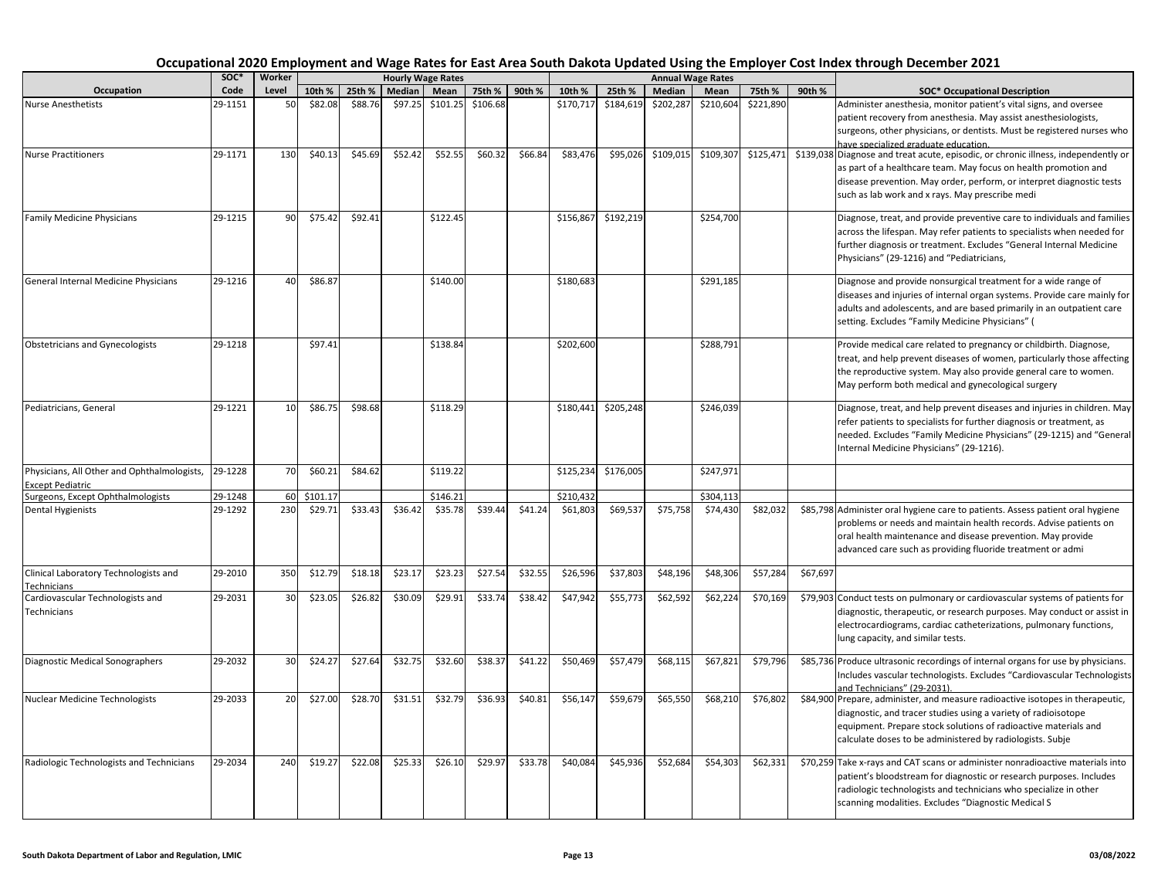|                                                                        | SOC*    | Worker |          |         |         | <b>Hourly Wage Rates</b> |          |         |           |                     |           | Annual Wage Rates |           |          |                                                                                                                                                                                                                                                                                   |
|------------------------------------------------------------------------|---------|--------|----------|---------|---------|--------------------------|----------|---------|-----------|---------------------|-----------|-------------------|-----------|----------|-----------------------------------------------------------------------------------------------------------------------------------------------------------------------------------------------------------------------------------------------------------------------------------|
| Occupation                                                             | Code    | Level  | 10th %   | 25th %  | Median  | Mean                     | 75th %   | 90th %  | 10th %    | 25th %              | Median    | Mean              | 75th %    | 90th %   | <b>SOC* Occupational Description</b>                                                                                                                                                                                                                                              |
| <b>Nurse Anesthetists</b>                                              | 29-1151 | 50     | \$82.08  | \$88.76 | \$97.25 | \$101.25                 | \$106.68 |         | \$170,717 | \$184,619           | \$202,287 | \$210,604         | \$221,890 |          | Administer anesthesia, monitor patient's vital signs, and oversee<br>patient recovery from anesthesia. May assist anesthesiologists,<br>surgeons, other physicians, or dentists. Must be registered nurses who<br>ave specialized graduate education.                             |
| <b>Nurse Practitioners</b>                                             | 29-1171 | 130    | \$40.13  | \$45.69 | \$52.42 | \$52.55                  | \$60.32  | \$66.84 | \$83,476  | \$95,026            | \$109,015 | \$109,307         | \$125,471 |          | \$139,038 Diagnose and treat acute, episodic, or chronic illness, independently or<br>as part of a healthcare team. May focus on health promotion and<br>disease prevention. May order, perform, or interpret diagnostic tests<br>such as lab work and x rays. May prescribe medi |
| <b>Family Medicine Physicians</b>                                      | 29-1215 | 90     | \$75.42  | \$92.41 |         | \$122.45                 |          |         | \$156,867 | \$192,219           |           | \$254,700         |           |          | Diagnose, treat, and provide preventive care to individuals and families<br>across the lifespan. May refer patients to specialists when needed for<br>further diagnosis or treatment. Excludes "General Internal Medicine<br>Physicians" (29-1216) and "Pediatricians,            |
| General Internal Medicine Physicians                                   | 29-1216 | 40     | \$86.87  |         |         | \$140.00                 |          |         | \$180,683 |                     |           | \$291,185         |           |          | Diagnose and provide nonsurgical treatment for a wide range of<br>diseases and injuries of internal organ systems. Provide care mainly for<br>adults and adolescents, and are based primarily in an outpatient care<br>setting. Excludes "Family Medicine Physicians" (           |
| <b>Obstetricians and Gynecologists</b>                                 | 29-1218 |        | \$97.41  |         |         | \$138.84                 |          |         | \$202,600 |                     |           | \$288,791         |           |          | Provide medical care related to pregnancy or childbirth. Diagnose,<br>treat, and help prevent diseases of women, particularly those affecting<br>the reproductive system. May also provide general care to women.<br>May perform both medical and gynecological surgery           |
| Pediatricians, General                                                 | 29-1221 | 10     | \$86.75  | \$98.68 |         | \$118.29                 |          |         |           | \$180,441 \$205,248 |           | \$246,039         |           |          | Diagnose, treat, and help prevent diseases and injuries in children. May<br>refer patients to specialists for further diagnosis or treatment, as<br>needed. Excludes "Family Medicine Physicians" (29-1215) and "General<br>Internal Medicine Physicians" (29-1216).              |
| Physicians, All Other and Ophthalmologists,<br><b>Except Pediatric</b> | 29-1228 | 70     | \$60.21  | \$84.62 |         | \$119.22                 |          |         | \$125,234 | \$176,005           |           | \$247,971         |           |          |                                                                                                                                                                                                                                                                                   |
| Surgeons, Except Ophthalmologists                                      | 29-1248 | 60     | \$101.17 |         |         | \$146.21                 |          |         | \$210,432 |                     |           | \$304,113         |           |          |                                                                                                                                                                                                                                                                                   |
| <b>Dental Hygienists</b>                                               | 29-1292 | 230    | \$29.71  | \$33.43 | \$36.42 | \$35.78                  | \$39.44  | \$41.24 | \$61,803  | \$69,537            | \$75,758  | \$74,430          | \$82,032  |          | \$85,798 Administer oral hygiene care to patients. Assess patient oral hygiene<br>problems or needs and maintain health records. Advise patients on<br>oral health maintenance and disease prevention. May provide<br>advanced care such as providing fluoride treatment or admi  |
| Clinical Laboratory Technologists and<br>Technicians                   | 29-2010 | 350    | \$12.79  | \$18.18 | \$23.17 | \$23.23                  | \$27.54  | \$32.55 | \$26,596  | \$37,803            | \$48,196  | \$48,306          | \$57,284  | \$67,697 |                                                                                                                                                                                                                                                                                   |
| Cardiovascular Technologists and<br>Technicians                        | 29-2031 | 30     | \$23.05  | \$26.82 | \$30.09 | \$29.91                  | \$33.74  | \$38.42 | \$47,942  | \$55,773            | \$62,592  | \$62,224          | \$70,169  |          | \$79,903 Conduct tests on pulmonary or cardiovascular systems of patients for<br>diagnostic, therapeutic, or research purposes. May conduct or assist in<br>electrocardiograms, cardiac catheterizations, pulmonary functions,<br>lung capacity, and similar tests.               |
| Diagnostic Medical Sonographers                                        | 29-2032 | 30     | \$24.27  | \$27.64 | \$32.75 | \$32.60                  | \$38.37  | \$41.22 | \$50,469  | \$57,479            | \$68,115  | \$67,821          | \$79,796  |          | \$85,736 Produce ultrasonic recordings of internal organs for use by physicians.<br>Includes vascular technologists. Excludes "Cardiovascular Technologists<br>and Technicians" (29-2031).                                                                                        |
| Nuclear Medicine Technologists                                         | 29-2033 | 20     | \$27.00  | \$28.70 | \$31.51 | \$32.79                  | \$36.93  | \$40.81 | \$56,147  | \$59,679            | \$65,550  | \$68,210          | \$76,802  |          | \$84,900 Prepare, administer, and measure radioactive isotopes in therapeutic,<br>diagnostic, and tracer studies using a variety of radioisotope<br>equipment. Prepare stock solutions of radioactive materials and<br>calculate doses to be administered by radiologists. Subje  |
| Radiologic Technologists and Technicians                               | 29-2034 | 240    | \$19.27  | \$22.08 | \$25.33 | \$26.10                  | \$29.97  | \$33.78 | \$40,084  | \$45,936            | \$52,684  | \$54,303          | \$62,331  |          | \$70,259 Take x-rays and CAT scans or administer nonradioactive materials into<br>patient's bloodstream for diagnostic or research purposes. Includes<br>radiologic technologists and technicians who specialize in other<br>scanning modalities. Excludes "Diagnostic Medical S  |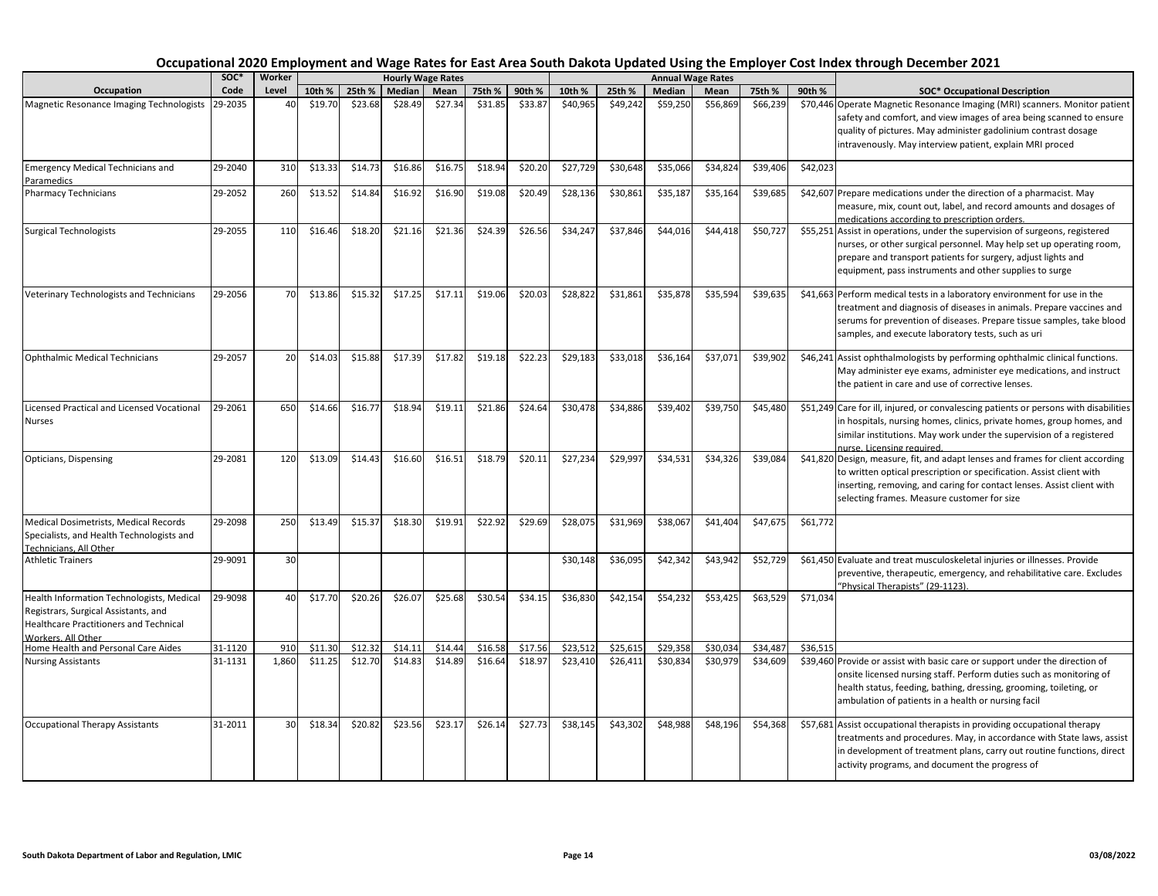|                                                                                                                                                   | SOC <sup>*</sup> | Worker |         |         |         | <b>Hourly Wage Rates</b> |         |         |          |          |          | <b>Annual Wage Rates</b> |          |          |                                                                                                                                                                                                                                                                                  |
|---------------------------------------------------------------------------------------------------------------------------------------------------|------------------|--------|---------|---------|---------|--------------------------|---------|---------|----------|----------|----------|--------------------------|----------|----------|----------------------------------------------------------------------------------------------------------------------------------------------------------------------------------------------------------------------------------------------------------------------------------|
| Occupation                                                                                                                                        | Code             | Level  | 10th %  | 25th %  | Median  | Mean                     | 75th %  | 90th %  | 10th %   | 25th %   | Median   | Mean                     | 75th %   | 90th %   | <b>SOC* Occupational Description</b>                                                                                                                                                                                                                                             |
| Magnetic Resonance Imaging Technologists                                                                                                          | 29-2035          | 40     | \$19.70 | \$23.68 | \$28.49 | \$27.34                  | \$31.85 | \$33.87 | \$40,965 | \$49,242 | \$59,250 | \$56,869                 | \$66,239 |          | \$70,446 Operate Magnetic Resonance Imaging (MRI) scanners. Monitor patient<br>safety and comfort, and view images of area being scanned to ensure<br>quality of pictures. May administer gadolinium contrast dosage<br>intravenously. May interview patient, explain MRI proced |
| <b>Emergency Medical Technicians and</b><br>Paramedics                                                                                            | 29-2040          | 310    | \$13.33 | \$14.73 | \$16.86 | \$16.75                  | \$18.94 | \$20.20 | \$27,729 | \$30,648 | \$35,066 | \$34,82                  | \$39,406 | \$42,023 |                                                                                                                                                                                                                                                                                  |
| Pharmacy Technicians                                                                                                                              | 29-2052          | 260    | \$13.52 | \$14.84 | \$16.92 | \$16.90                  | \$19.08 | \$20.49 | \$28,136 | \$30,861 | \$35,187 | \$35,164                 | \$39,685 |          | \$42,607 Prepare medications under the direction of a pharmacist. May<br>measure, mix, count out, label, and record amounts and dosages of<br>medications according to prescription orders.                                                                                      |
| <b>Surgical Technologists</b>                                                                                                                     | 29-2055          | 110    | \$16.46 | \$18.20 | \$21.16 | \$21.36                  | \$24.39 | \$26.56 | \$34,247 | \$37,846 | \$44,016 | \$44,418                 | \$50,727 |          | \$55,251 Assist in operations, under the supervision of surgeons, registered<br>nurses, or other surgical personnel. May help set up operating room,<br>prepare and transport patients for surgery, adjust lights and<br>equipment, pass instruments and other supplies to surge |
| Veterinary Technologists and Technicians                                                                                                          | 29-2056          | 70     | \$13.86 | \$15.32 | \$17.25 | \$17.11                  | \$19.06 | \$20.03 | \$28,822 | \$31,861 | \$35,878 | \$35.594                 | \$39,635 |          | \$41,663 Perform medical tests in a laboratory environment for use in the<br>treatment and diagnosis of diseases in animals. Prepare vaccines and<br>serums for prevention of diseases. Prepare tissue samples, take blood<br>samples, and execute laboratory tests, such as uri |
| <b>Ophthalmic Medical Technicians</b>                                                                                                             | 29-2057          | 20     | \$14.03 | \$15.88 | \$17.39 | \$17.82                  | \$19.18 | \$22.23 | \$29,183 | \$33,018 | \$36,164 | \$37,071                 | \$39,902 |          | \$46,241 Assist ophthalmologists by performing ophthalmic clinical functions.<br>May administer eye exams, administer eye medications, and instruct<br>the patient in care and use of corrective lenses.                                                                         |
| <b>Licensed Practical and Licensed Vocational</b><br><b>Nurses</b>                                                                                | 29-2061          | 650    | \$14.66 | \$16.77 | \$18.94 | \$19.11                  | \$21.86 | \$24.64 | \$30,478 | \$34,886 | \$39,402 | \$39,750                 | \$45,480 |          | \$51,249 Care for ill, injured, or convalescing patients or persons with disabilities<br>in hospitals, nursing homes, clinics, private homes, group homes, and<br>similar institutions. May work under the supervision of a registered<br>nurse. Licensing required.             |
| Opticians, Dispensing                                                                                                                             | 29-2081          | 120    | \$13.09 | \$14.43 | \$16.60 | \$16.51                  | \$18.79 | \$20.11 | \$27,234 | \$29,997 | \$34,531 | \$34,326                 | \$39,084 |          | \$41,820 Design, measure, fit, and adapt lenses and frames for client according<br>to written optical prescription or specification. Assist client with<br>inserting, removing, and caring for contact lenses. Assist client with<br>selecting frames. Measure customer for size |
| Medical Dosimetrists, Medical Records<br>Specialists, and Health Technologists and<br>Technicians, All Other                                      | 29-2098          | 250    | \$13.49 | \$15.37 | \$18.30 | \$19.91                  | \$22.92 | \$29.69 | \$28,075 | \$31,969 | \$38,067 | \$41,404                 | \$47,675 | \$61,772 |                                                                                                                                                                                                                                                                                  |
| <b>Athletic Trainers</b>                                                                                                                          | 29-9091          | 30     |         |         |         |                          |         |         | \$30,148 | \$36,095 | \$42,342 | \$43,942                 | \$52,729 |          | \$61,450 Evaluate and treat musculoskeletal injuries or illnesses. Provide<br>preventive, therapeutic, emergency, and rehabilitative care. Excludes<br>"Physical Therapists" (29-1123).                                                                                          |
| Health Information Technologists, Medical<br>Registrars, Surgical Assistants, and<br>Healthcare Practitioners and Technical<br>Workers, All Other | 29-9098          | 40     | \$17.70 | \$20.26 | \$26.07 | \$25.68                  | \$30.54 | \$34.15 | \$36,830 | \$42,154 | \$54,232 | \$53,425                 | \$63,529 | \$71,034 |                                                                                                                                                                                                                                                                                  |
| Home Health and Personal Care Aides                                                                                                               | 31-1120          | 910    | \$11.30 | \$12.32 | \$14.11 | \$14.44                  | \$16.58 | \$17.56 | \$23,512 | \$25,615 | \$29,358 | \$30,034                 | \$34,487 | \$36,515 |                                                                                                                                                                                                                                                                                  |
| <b>Nursing Assistants</b>                                                                                                                         | 31-1131          | 1,860  | \$11.25 | \$12.70 | \$14.83 | \$14.89                  | \$16.64 | \$18.97 | \$23,410 | \$26,411 | \$30,834 | \$30,979                 | \$34,609 |          | \$39,460 Provide or assist with basic care or support under the direction of<br>onsite licensed nursing staff. Perform duties such as monitoring of<br>health status, feeding, bathing, dressing, grooming, toileting, or<br>ambulation of patients in a health or nursing facil |
| <b>Occupational Therapy Assistants</b>                                                                                                            | 31-2011          | 30     | \$18.34 | \$20.82 | \$23.56 | \$23.17                  | \$26.14 | \$27.73 | \$38,145 | \$43,302 | \$48,988 | \$48,196                 | \$54,368 |          | \$57,681 Assist occupational therapists in providing occupational therapy<br>treatments and procedures. May, in accordance with State laws, assist<br>in development of treatment plans, carry out routine functions, direct<br>activity programs, and document the progress of  |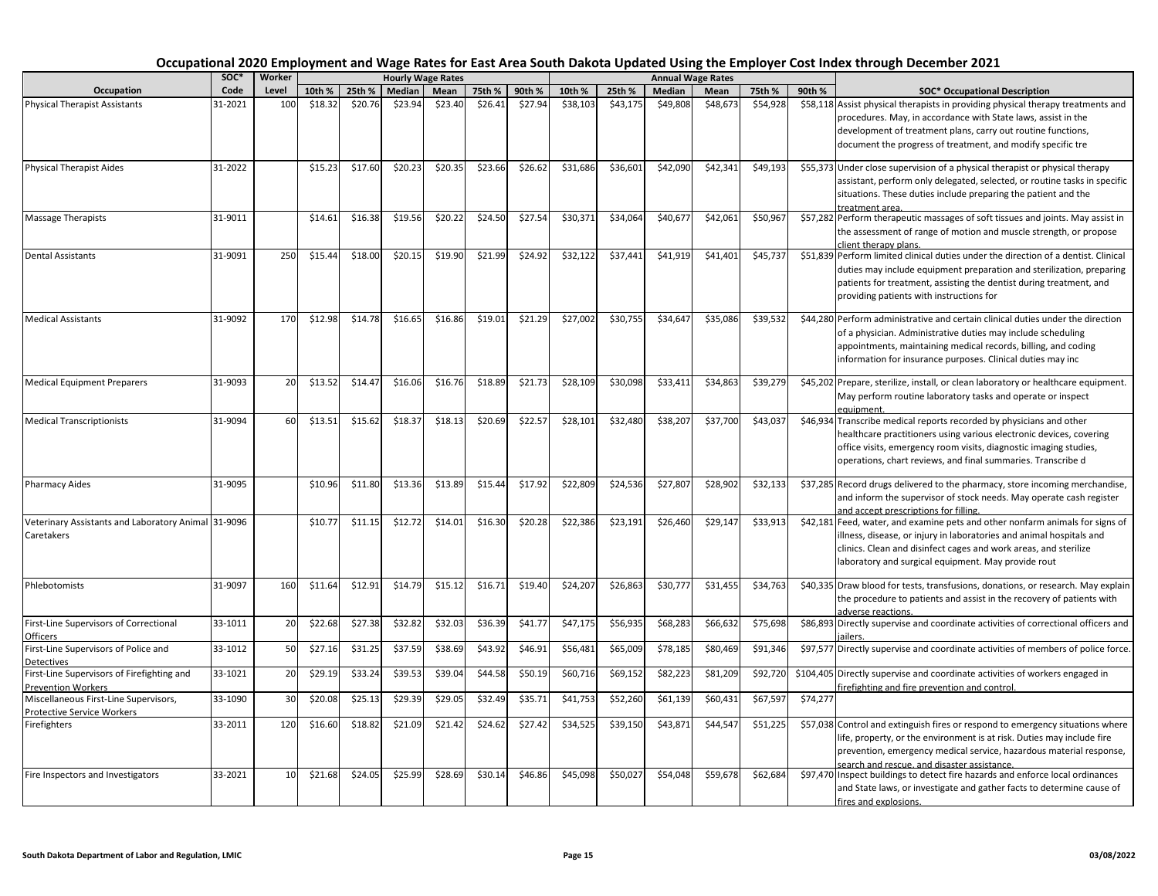|                                                                   | SOC <sup>*</sup> | Worker          |         |         |               | <b>Hourly Wage Rates</b> |         |         |          |          |          | <b>Annual Wage Rates</b> |          |          |                                                                                                                                                                                                                                                                                  |
|-------------------------------------------------------------------|------------------|-----------------|---------|---------|---------------|--------------------------|---------|---------|----------|----------|----------|--------------------------|----------|----------|----------------------------------------------------------------------------------------------------------------------------------------------------------------------------------------------------------------------------------------------------------------------------------|
| Occupation                                                        | Code             | Level           | 10th %  | 25th %  | <b>Median</b> | Mean                     | 75th %  | 90th %  | 10th %   | 25th %   | Median   | Mean                     | 75th %   | 90th %   | <b>SOC* Occupational Description</b>                                                                                                                                                                                                                                             |
| <b>Physical Therapist Assistants</b>                              | 31-2021          | 100             | \$18.32 | \$20.76 | \$23.94       | \$23.40                  | \$26.41 | \$27.94 | \$38,103 | \$43,175 | \$49,808 | \$48,673                 | \$54,928 |          | \$58,118 Assist physical therapists in providing physical therapy treatments and<br>procedures. May, in accordance with State laws, assist in the<br>development of treatment plans, carry out routine functions,<br>document the progress of treatment, and modify specific tre |
| <b>Physical Therapist Aides</b>                                   | 31-2022          |                 | \$15.23 | \$17.60 | \$20.23       | \$20.35                  | \$23.66 | \$26.62 | \$31,686 | \$36,601 | \$42,090 | \$42,341                 | \$49,193 |          | \$55,373 Under close supervision of a physical therapist or physical therapy<br>assistant, perform only delegated, selected, or routine tasks in specific<br>situations. These duties include preparing the patient and the<br>treatment area.                                   |
| Massage Therapists                                                | 31-9011          |                 | \$14.61 | \$16.38 | \$19.56       | \$20.22                  | \$24.50 | \$27.54 | \$30,371 | \$34,064 | \$40,67  | \$42,061                 | \$50,967 |          | \$57,282 Perform therapeutic massages of soft tissues and joints. May assist in<br>the assessment of range of motion and muscle strength, or propose<br>client therapy plans.                                                                                                    |
| <b>Dental Assistants</b>                                          | 31-9091          | 250             | \$15.4  | \$18.00 | \$20.15       | \$19.90                  | \$21.99 | \$24.92 | \$32,122 | \$37,441 | \$41,919 | \$41,401                 | \$45,737 |          | \$51,839 Perform limited clinical duties under the direction of a dentist. Clinical<br>duties may include equipment preparation and sterilization, preparing<br>patients for treatment, assisting the dentist during treatment, and<br>providing patients with instructions for  |
| <b>Medical Assistants</b>                                         | 31-9092          | 170             | \$12.98 | \$14.78 | \$16.65       | \$16.86                  | \$19.01 | \$21.29 | \$27,002 | \$30,755 | \$34,647 | \$35,086                 | \$39,532 |          | \$44,280 Perform administrative and certain clinical duties under the direction<br>of a physician. Administrative duties may include scheduling<br>appointments, maintaining medical records, billing, and coding<br>information for insurance purposes. Clinical duties may inc |
| <b>Medical Equipment Preparers</b>                                | 31-9093          | 20              | \$13.52 | \$14.47 | \$16.06       | \$16.76                  | \$18.89 | \$21.73 | \$28,109 | \$30,098 | \$33,411 | \$34,863                 | \$39,279 |          | \$45,202 Prepare, sterilize, install, or clean laboratory or healthcare equipment.<br>May perform routine laboratory tasks and operate or inspect<br>eauipment.                                                                                                                  |
| <b>Medical Transcriptionists</b>                                  | 31-9094          | 60              | \$13.51 | \$15.62 | \$18.37       | \$18.13                  | \$20.69 | \$22.57 | \$28,101 | \$32,480 | \$38,20  | \$37,700                 | \$43,037 |          | \$46,934 Transcribe medical reports recorded by physicians and other<br>healthcare practitioners using various electronic devices, covering<br>office visits, emergency room visits, diagnostic imaging studies,<br>operations, chart reviews, and final summaries. Transcribe d |
| <b>Pharmacy Aides</b>                                             | 31-9095          |                 | \$10.96 | \$11.80 | \$13.36       | \$13.89                  | \$15.44 | \$17.92 | \$22,809 | \$24,536 | \$27,807 | \$28,902                 | \$32,133 |          | \$37,285 Record drugs delivered to the pharmacy, store incoming merchandise,<br>and inform the supervisor of stock needs. May operate cash register<br>and accept prescriptions for filling.                                                                                     |
| Veterinary Assistants and Laboratory Animal 31-9096<br>Caretakers |                  |                 | \$10.77 | \$11.15 | \$12.72       | \$14.01                  | \$16.30 | \$20.28 | \$22,386 | \$23,191 | \$26,460 | \$29,147                 | \$33,913 |          | \$42,181 Feed, water, and examine pets and other nonfarm animals for signs of<br>illness, disease, or injury in laboratories and animal hospitals and<br>clinics. Clean and disinfect cages and work areas, and sterilize<br>laboratory and surgical equipment. May provide rout |
| Phlebotomists                                                     | 31-9097          | 160             | \$11.64 | \$12.91 | \$14.79       | \$15.12                  | \$16.71 | \$19.40 | \$24,207 | \$26,863 | \$30,777 | \$31,455                 | \$34,763 |          | \$40,335 Draw blood for tests, transfusions, donations, or research. May explain<br>the procedure to patients and assist in the recovery of patients with<br>adverse reactions                                                                                                   |
| First-Line Supervisors of Correctional<br>Officers                | 33-1011          | 20              | \$22.68 | \$27.38 | \$32.82       | \$32.03                  | \$36.39 | \$41.77 | \$47,175 | \$56,935 | \$68,283 | \$66,632                 | \$75,698 |          | \$86,893 Directly supervise and coordinate activities of correctional officers and                                                                                                                                                                                               |
| First-Line Supervisors of Police and                              | 33-1012          | 50              | \$27.16 | \$31.25 | \$37.59       | \$38.69                  | \$43.92 | \$46.91 | \$56,481 | \$65,009 | \$78,185 | \$80,469                 | \$91,346 |          | \$97,577 Directly supervise and coordinate activities of members of police force.                                                                                                                                                                                                |
| Detectives<br>First-Line Supervisors of Firefighting and          | 33-1021          | 20              | \$29.19 | \$33.24 | \$39.53       | \$39.04                  | \$44.58 | \$50.19 | \$60,716 | \$69,152 | \$82,223 | \$81,209                 | \$92,720 |          | \$104,405 Directly supervise and coordinate activities of workers engaged in                                                                                                                                                                                                     |
| <b>Prevention Workers</b>                                         |                  |                 |         |         |               |                          |         |         |          |          |          |                          |          |          | firefighting and fire prevention and control.                                                                                                                                                                                                                                    |
| Miscellaneous First-Line Supervisors,                             | 33-1090          | 30              | \$20.08 | \$25.13 | \$29.39       | \$29.05                  | \$32.49 | \$35.71 | \$41,753 | \$52,260 | \$61,139 | \$60,43                  | \$67,597 | \$74,277 |                                                                                                                                                                                                                                                                                  |
| <b>Protective Service Workers</b><br>Firefighters                 | 33-2011          | 120             | \$16.60 | \$18.82 | \$21.09       | \$21.42                  | \$24.62 | \$27.42 | \$34,525 | \$39,150 | \$43,87  | \$44,54                  | \$51,225 |          | \$57,038 Control and extinguish fires or respond to emergency situations where<br>life, property, or the environment is at risk. Duties may include fire<br>prevention, emergency medical service, hazardous material response,<br>search and rescue, and disaster assistance.   |
| Fire Inspectors and Investigators                                 | 33-2021          | 10 <sup>1</sup> | \$21.68 | \$24.05 | \$25.99       | \$28.69                  | \$30.14 | \$46.86 | \$45,098 | \$50,027 | \$54,048 | \$59,678                 | \$62,684 |          | \$97,470 Inspect buildings to detect fire hazards and enforce local ordinances<br>and State laws, or investigate and gather facts to determine cause of<br>fires and explosions.                                                                                                 |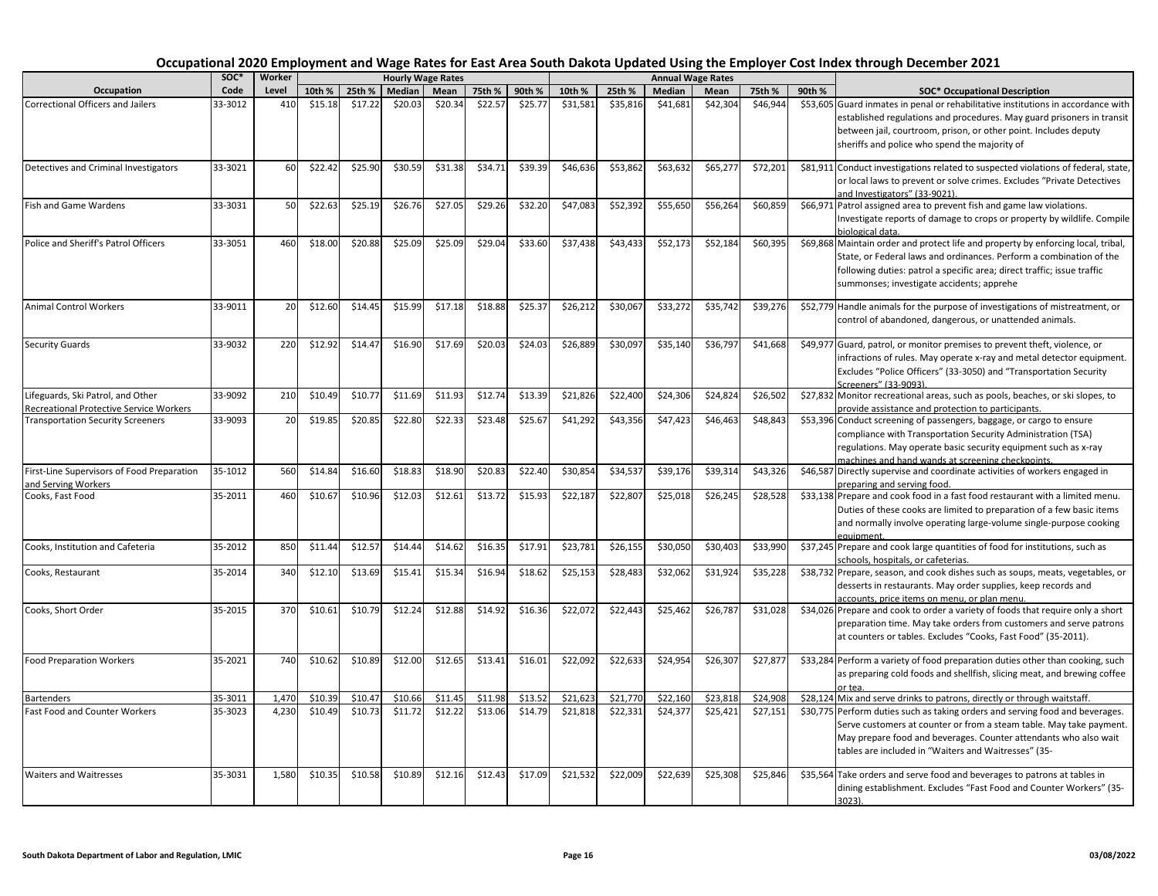|                                                                                            | SOC*    | Worker |         |         |         | <b>Hourly Wage Rates</b> |         |         |          |          |          | <b>Annual Wage Rates</b> |          |        |                                                                                                                                                                                                                                                                                  |
|--------------------------------------------------------------------------------------------|---------|--------|---------|---------|---------|--------------------------|---------|---------|----------|----------|----------|--------------------------|----------|--------|----------------------------------------------------------------------------------------------------------------------------------------------------------------------------------------------------------------------------------------------------------------------------------|
| <b>Occupation</b>                                                                          | Code    | Level  | 10th %  | 25th %  | Median  | Mean                     | 75th %  | 90th %  | 10th %   | 25th %   | Median   | Mean                     | 75th %   | 90th % | <b>SOC* Occupational Description</b>                                                                                                                                                                                                                                             |
| Correctional Officers and Jailers                                                          | 33-3012 | 410    | \$15.18 | \$17.22 | \$20.03 | \$20.34                  | \$22.57 | \$25.77 | \$31.581 | \$35,816 | \$41,681 | \$42,304                 | \$46,944 |        | \$53,605 Guard inmates in penal or rehabilitative institutions in accordance with<br>established regulations and procedures. May guard prisoners in transit<br>between jail, courtroom, prison, or other point. Includes deputy<br>sheriffs and police who spend the majority of |
| Detectives and Criminal Investigators                                                      | 33-3021 | 60     | \$22.42 | \$25.90 | \$30.59 | \$31.38                  | \$34.71 | \$39.39 | \$46,636 | \$53,862 | \$63,632 | \$65,277                 | \$72,201 |        | \$81,911 Conduct investigations related to suspected violations of federal, state,<br>or local laws to prevent or solve crimes. Excludes "Private Detectives<br>and Investigators" (33-9021).                                                                                    |
| <b>Fish and Game Wardens</b>                                                               | 33-3031 | 50     | \$22.63 | \$25.19 | \$26.76 | \$27.05                  | \$29.26 | \$32.20 | \$47,083 | \$52,392 | \$55,650 | \$56,264                 | \$60,859 |        | \$66,971 Patrol assigned area to prevent fish and game law violations.<br>Investigate reports of damage to crops or property by wildlife. Compile<br>biological data                                                                                                             |
| Police and Sheriff's Patrol Officers                                                       | 33-3051 | 460    | \$18.00 | \$20.88 | \$25.09 | \$25.09                  | \$29.04 | \$33.60 | \$37,438 | \$43,433 | \$52,173 | \$52,18                  | \$60,395 |        | \$69,868 Maintain order and protect life and property by enforcing local, tribal,<br>State, or Federal laws and ordinances. Perform a combination of the<br>following duties: patrol a specific area; direct traffic; issue traffic<br>summonses; investigate accidents; apprehe |
| <b>Animal Control Workers</b>                                                              | 33-9011 | 20     | \$12.60 | \$14.45 | \$15.99 | \$17.18                  | \$18.88 | \$25.37 | \$26,212 | \$30,067 | \$33,272 | \$35,742                 | \$39,276 |        | \$52,779 Handle animals for the purpose of investigations of mistreatment, or<br>control of abandoned, dangerous, or unattended animals.                                                                                                                                         |
| <b>Security Guards</b>                                                                     | 33-9032 | 220    | \$12.92 | \$14.47 | \$16.90 | \$17.69                  | \$20.03 | \$24.03 | \$26,889 | \$30,097 | \$35,140 | \$36,797                 | \$41,668 |        | \$49,977 Guard, patrol, or monitor premises to prevent theft, violence, or<br>infractions of rules. May operate x-ray and metal detector equipment.<br>Excludes "Police Officers" (33-3050) and "Transportation Security<br>Screeners" (33-9093).                                |
| Lifeguards, Ski Patrol, and Other                                                          | 33-9092 | 210    | \$10.49 | \$10.7  | \$11.69 | \$11.93                  | \$12.74 | \$13.39 | \$21,826 | \$22,400 | \$24,306 | \$24,82                  | \$26,502 |        | \$27,832 Monitor recreational areas, such as pools, beaches, or ski slopes, to                                                                                                                                                                                                   |
| <b>Recreational Protective Service Workers</b><br><b>Transportation Security Screeners</b> | 33-9093 | 20     | \$19.85 | \$20.85 | \$22.80 | \$22.33                  | \$23.48 | \$25.67 | \$41,292 | \$43,356 | \$47,423 | \$46,463                 | \$48,843 |        | provide assistance and protection to participants.<br>\$53,396 Conduct screening of passengers, baggage, or cargo to ensure                                                                                                                                                      |
|                                                                                            |         |        |         |         |         |                          |         |         |          |          |          |                          |          |        | compliance with Transportation Security Administration (TSA)<br>regulations. May operate basic security equipment such as x-ray<br>machines and hand wands at screening checkpoints.                                                                                             |
| First-Line Supervisors of Food Preparation                                                 | 35-1012 | 560    | \$14.84 | \$16.60 | \$18.83 | \$18.90                  | \$20.83 | \$22.40 | \$30,854 | \$34,537 | \$39,176 | \$39,314                 | \$43,326 |        | \$46,587 Directly supervise and coordinate activities of workers engaged in                                                                                                                                                                                                      |
| and Serving Workers<br>Cooks, Fast Food                                                    | 35-2011 | 460    | \$10.67 | \$10.96 | \$12.03 | \$12.61                  | \$13.72 | \$15.93 | \$22,187 | \$22,807 | \$25,018 | \$26,245                 | \$28,528 |        | preparing and serving food.<br>\$33,138 Prepare and cook food in a fast food restaurant with a limited menu.<br>Duties of these cooks are limited to preparation of a few basic items<br>and normally involve operating large-volume single-purpose cooking                      |
| Cooks, Institution and Cafeteria                                                           | 35-2012 | 850    | \$11.44 | \$12.5  | \$14.44 | \$14.62                  | \$16.35 | \$17.91 | \$23,781 | \$26,155 | \$30,050 | \$30,40                  | \$33,990 |        | \$37,245 Prepare and cook large quantities of food for institutions, such as                                                                                                                                                                                                     |
| Cooks, Restaurant                                                                          | 35-2014 | 340    | \$12.10 | \$13.69 | \$15.41 | \$15.34                  | \$16.94 | \$18.62 | \$25,153 | \$28,483 | \$32,062 | \$31,924                 | \$35,228 |        | schools, hospitals, or cafeterias.<br>\$38,732 Prepare, season, and cook dishes such as soups, meats, vegetables, or<br>desserts in restaurants. May order supplies, keep records and                                                                                            |
| Cooks, Short Order                                                                         | 35-2015 | 370    | \$10.61 | \$10.79 | \$12.24 | \$12.88                  | \$14.92 | \$16.36 | \$22,072 | \$22,443 | \$25,462 | \$26,787                 | \$31,028 |        | accounts, price items on menu, or plan menu.<br>\$34,026 Prepare and cook to order a variety of foods that require only a short<br>preparation time. May take orders from customers and serve patrons<br>at counters or tables. Excludes "Cooks, Fast Food" (35-2011).           |
| <b>Food Preparation Workers</b>                                                            | 35-2021 | 740    | \$10.62 | \$10.89 | \$12.00 | \$12.65                  | \$13.41 | \$16.01 | \$22,092 | \$22,633 | \$24,954 | \$26,307                 | \$27,877 |        | \$33,284 Perform a variety of food preparation duties other than cooking, such<br>as preparing cold foods and shellfish, slicing meat, and brewing coffee                                                                                                                        |
| <b>Bartenders</b>                                                                          | 35-3011 | 1,470  | \$10.39 | \$10.47 | \$10.66 | \$11.45                  | \$11.98 | \$13.52 | \$21,623 | \$21,770 | \$22,160 | \$23,81                  | \$24,908 |        | or tea.<br>\$28,124 Mix and serve drinks to patrons, directly or through waitstaff.                                                                                                                                                                                              |
| Fast Food and Counter Workers                                                              | 35-3023 | 4,230  | \$10.49 | \$10.73 | \$11.72 | \$12.22                  | \$13.06 | \$14.79 | \$21,818 | \$22,331 | \$24,377 | \$25,421                 | \$27,151 |        | \$30,775 Perform duties such as taking orders and serving food and beverages.<br>Serve customers at counter or from a steam table. May take payment.<br>May prepare food and beverages. Counter attendants who also wait<br>tables are included in "Waiters and Waitresses" (35- |
| <b>Waiters and Waitresses</b>                                                              | 35-3031 | 1,580  | \$10.35 | \$10.58 | \$10.89 | \$12.16                  | \$12.43 | \$17.09 | \$21,532 | \$22,009 | \$22,639 | \$25,308                 | \$25,846 |        | \$35,564 Take orders and serve food and beverages to patrons at tables in<br>dining establishment. Excludes "Fast Food and Counter Workers" (35-<br>3023).                                                                                                                       |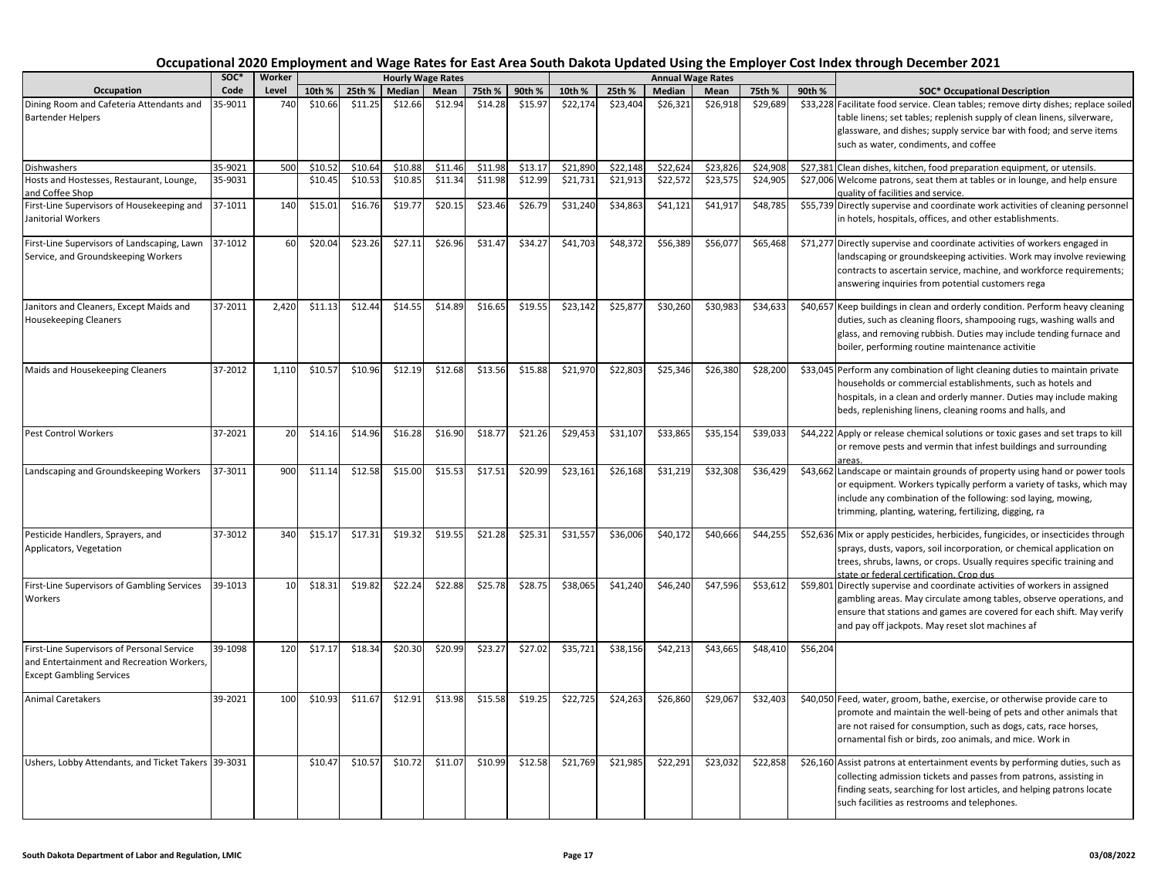|                                                                                                                            | SOC*    | Worker |         |         |         | <b>Hourly Wage Rates</b> |         |         |          |          |          | <b>Annual Wage Rates</b> |          |          |                                                                                                                                                                                                                                                                                  |
|----------------------------------------------------------------------------------------------------------------------------|---------|--------|---------|---------|---------|--------------------------|---------|---------|----------|----------|----------|--------------------------|----------|----------|----------------------------------------------------------------------------------------------------------------------------------------------------------------------------------------------------------------------------------------------------------------------------------|
| Occupation                                                                                                                 | Code    | Level  | 10th %  | 25th %  | Median  | Mean                     | 75th %  | 90th %  | 10th %   | 25th %   | Median   | Mean                     | 75th %   | 90th %   | <b>SOC* Occupational Description</b>                                                                                                                                                                                                                                             |
| Dining Room and Cafeteria Attendants and<br><b>Bartender Helpers</b>                                                       | 35-9011 | 740    | \$10.66 | \$11.25 | \$12.66 | \$12.94                  | \$14.28 | \$15.97 | \$22,174 | \$23,404 | \$26,321 | \$26,918                 | \$29,689 |          | \$33,228 Facilitate food service. Clean tables; remove dirty dishes; replace soiled<br>table linens; set tables; replenish supply of clean linens, silverware,<br>glassware, and dishes; supply service bar with food; and serve items<br>such as water, condiments, and coffee  |
| <b>Dishwashers</b>                                                                                                         | 35-9021 | 500    | \$10.52 | \$10.64 | \$10.88 | \$11.46                  | \$11.98 | \$13.17 | \$21,890 | \$22,148 | \$22,62  | \$23,826                 | \$24,908 |          | \$27,381 Clean dishes, kitchen, food preparation equipment, or utensils.                                                                                                                                                                                                         |
| Hosts and Hostesses, Restaurant, Lounge,<br>and Coffee Shop                                                                | 35-9031 |        | \$10.45 | \$10.53 | \$10.85 | \$11.34                  | \$11.98 | \$12.99 | \$21,731 | \$21,913 | \$22,572 | \$23,575                 | \$24,905 |          | \$27,006 Welcome patrons, seat them at tables or in lounge, and help ensure<br>quality of facilities and service.                                                                                                                                                                |
| First-Line Supervisors of Housekeeping and<br>Janitorial Workers                                                           | 37-1011 | 140    | \$15.01 | \$16.76 | \$19.77 | \$20.15                  | \$23.46 | \$26.79 | \$31,240 | \$34,863 | \$41,121 | \$41,917                 | \$48,785 |          | \$55,739 Directly supervise and coordinate work activities of cleaning personnel<br>in hotels, hospitals, offices, and other establishments.                                                                                                                                     |
| First-Line Supervisors of Landscaping, Lawn 37-1012<br>Service, and Groundskeeping Workers                                 |         | 60     | \$20.04 | \$23.26 | \$27.11 | \$26.96                  | \$31.47 | \$34.27 | \$41,703 | \$48,372 | \$56,389 | \$56,077                 | \$65,468 |          | \$71,277 Directly supervise and coordinate activities of workers engaged in<br>landscaping or groundskeeping activities. Work may involve reviewing<br>contracts to ascertain service, machine, and workforce requirements;<br>answering inquiries from potential customers rega |
| Janitors and Cleaners, Except Maids and<br><b>Housekeeping Cleaners</b>                                                    | 37-2011 | 2,420  | \$11.13 | \$12.44 | \$14.55 | \$14.89                  | \$16.65 | \$19.55 | \$23,142 | \$25,877 | \$30,260 | \$30,983                 | \$34,633 |          | \$40,657 Keep buildings in clean and orderly condition. Perform heavy cleaning<br>duties, such as cleaning floors, shampooing rugs, washing walls and<br>glass, and removing rubbish. Duties may include tending furnace and<br>boiler, performing routine maintenance activitie |
| Maids and Housekeeping Cleaners                                                                                            | 37-2012 | 1,110  | \$10.57 | \$10.96 | \$12.19 | \$12.68                  | \$13.56 | \$15.88 | \$21,970 | \$22,803 | \$25,346 | \$26,380                 | \$28,200 |          | \$33,045 Perform any combination of light cleaning duties to maintain private<br>households or commercial establishments, such as hotels and<br>hospitals, in a clean and orderly manner. Duties may include making<br>beds, replenishing linens, cleaning rooms and halls, and  |
| <b>Pest Control Workers</b>                                                                                                | 37-2021 | 20     | \$14.16 | \$14.96 | \$16.28 | \$16.90                  | \$18.77 | \$21.26 | \$29,453 | \$31,107 | \$33,865 | \$35,154                 | \$39,033 |          | \$44,222 Apply or release chemical solutions or toxic gases and set traps to kill<br>or remove pests and vermin that infest buildings and surrounding<br>areas.                                                                                                                  |
| Landscaping and Groundskeeping Workers                                                                                     | 37-3011 | 900    | \$11.14 | \$12.58 | \$15.00 | \$15.53                  | \$17.51 | \$20.99 | \$23,161 | \$26,168 | \$31,219 | \$32,308                 | \$36,429 |          | \$43,662 Landscape or maintain grounds of property using hand or power tools<br>or equipment. Workers typically perform a variety of tasks, which may<br>include any combination of the following: sod laying, mowing,<br>trimming, planting, watering, fertilizing, digging, ra |
| Pesticide Handlers, Sprayers, and<br>Applicators, Vegetation                                                               | 37-3012 | 340    | \$15.17 | \$17.31 | \$19.32 | \$19.55                  | \$21.28 | \$25.31 | \$31,557 | \$36,006 | \$40,172 | \$40,666                 | \$44,255 |          | \$52,636 Mix or apply pesticides, herbicides, fungicides, or insecticides through<br>sprays, dusts, vapors, soil incorporation, or chemical application on<br>trees, shrubs, lawns, or crops. Usually requires specific training and<br>state or federal certification. Crop dus |
| First-Line Supervisors of Gambling Services<br>Workers                                                                     | 39-1013 | 10     | \$18.31 | \$19.82 | \$22.24 | \$22.88                  | \$25.78 | \$28.75 | \$38,065 | \$41,240 | \$46,240 | \$47,596                 | \$53,612 |          | \$59,801 Directly supervise and coordinate activities of workers in assigned<br>gambling areas. May circulate among tables, observe operations, and<br>ensure that stations and games are covered for each shift. May verify<br>and pay off jackpots. May reset slot machines af |
| First-Line Supervisors of Personal Service<br>and Entertainment and Recreation Workers,<br><b>Except Gambling Services</b> | 39-1098 | 120    | \$17.17 | \$18.34 | \$20.30 | \$20.99                  | \$23.27 | \$27.02 | \$35,721 | \$38,156 | \$42,213 | \$43,665                 | \$48,410 | \$56,204 |                                                                                                                                                                                                                                                                                  |
| <b>Animal Caretakers</b>                                                                                                   | 39-2021 | 100    | \$10.93 | \$11.67 | \$12.91 | \$13.98                  | \$15.58 | \$19.25 | \$22,725 | \$24,263 | \$26,860 | \$29,067                 | \$32,403 |          | \$40,050 Feed, water, groom, bathe, exercise, or otherwise provide care to<br>promote and maintain the well-being of pets and other animals that<br>are not raised for consumption, such as dogs, cats, race horses,<br>ornamental fish or birds, zoo animals, and mice. Work in |
| Ushers, Lobby Attendants, and Ticket Takers 39-3031                                                                        |         |        | \$10.47 | \$10.57 | \$10.72 | \$11.07                  | \$10.99 | \$12.58 | \$21,769 | \$21,985 | \$22,291 | \$23,032                 | \$22,858 |          | \$26,160 Assist patrons at entertainment events by performing duties, such as<br>collecting admission tickets and passes from patrons, assisting in<br>finding seats, searching for lost articles, and helping patrons locate<br>such facilities as restrooms and telephones.    |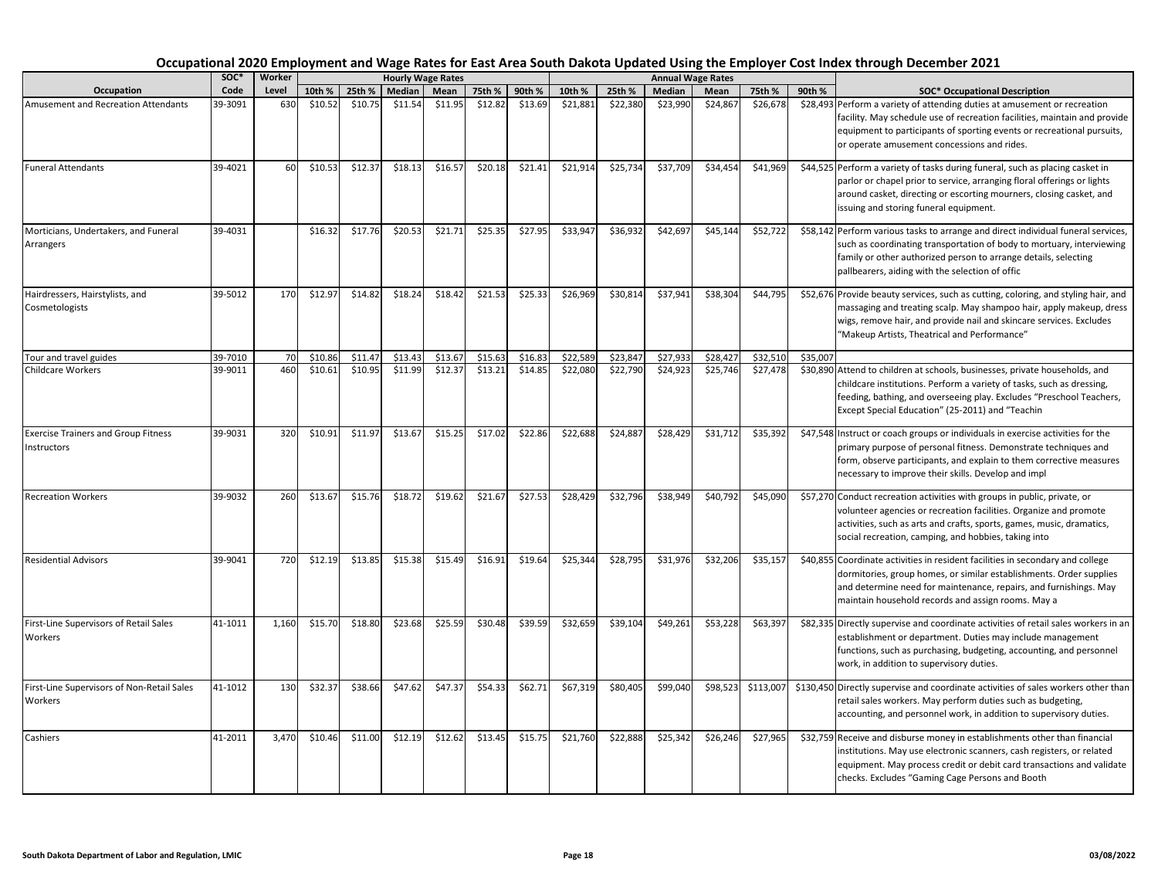|                                                           | soc*    | Worker |         |         |         | <b>Hourly Wage Rates</b> |         |         |          |          |          | <b>Annual Wage Rates</b> |           |          |                                                                                                                                                                                                                                                                                  |
|-----------------------------------------------------------|---------|--------|---------|---------|---------|--------------------------|---------|---------|----------|----------|----------|--------------------------|-----------|----------|----------------------------------------------------------------------------------------------------------------------------------------------------------------------------------------------------------------------------------------------------------------------------------|
| <b>Occupation</b>                                         | Code    | Level  | 10th %  | 25th %  | Median  | Mean                     | 75th %  | 90th %  | 10th %   | 25th %   | Median   | Mean                     | 75th %    | 90th %   | <b>SOC* Occupational Description</b>                                                                                                                                                                                                                                             |
| Amusement and Recreation Attendants                       | 39-3091 | 630    | \$10.52 | \$10.75 | \$11.54 | \$11.95                  | \$12.82 | \$13.69 | \$21,881 | \$22,380 | \$23,990 | \$24,867                 | \$26,678  |          | \$28,493 Perform a variety of attending duties at amusement or recreation<br>facility. May schedule use of recreation facilities, maintain and provide<br>equipment to participants of sporting events or recreational pursuits,<br>or operate amusement concessions and rides.  |
| <b>Funeral Attendants</b>                                 | 39-4021 | 60     | \$10.53 | \$12.37 | \$18.13 | \$16.57                  | \$20.18 | \$21.41 | \$21,914 | \$25,734 | \$37,709 | \$34,454                 | \$41,969  |          | \$44,525 Perform a variety of tasks during funeral, such as placing casket in<br>parlor or chapel prior to service, arranging floral offerings or lights<br>around casket, directing or escorting mourners, closing casket, and<br>issuing and storing funeral equipment.        |
| Morticians, Undertakers, and Funeral<br>Arrangers         | 39-4031 |        | \$16.32 | \$17.76 | \$20.53 | \$21.71                  | \$25.35 | \$27.95 | \$33,947 | \$36,932 | \$42,697 | \$45,144                 | \$52,722  |          | \$58,142 Perform various tasks to arrange and direct individual funeral services,<br>such as coordinating transportation of body to mortuary, interviewing<br>family or other authorized person to arrange details, selecting<br>pallbearers, aiding with the selection of offic |
| Hairdressers, Hairstylists, and<br>Cosmetologists         | 39-5012 | 170    | \$12.97 | \$14.82 | \$18.24 | \$18.42                  | \$21.53 | \$25.33 | \$26,969 | \$30,814 | \$37,941 | \$38,304                 | \$44,795  |          | \$52,676 Provide beauty services, such as cutting, coloring, and styling hair, and<br>massaging and treating scalp. May shampoo hair, apply makeup, dress<br>wigs, remove hair, and provide nail and skincare services. Excludes<br>"Makeup Artists, Theatrical and Performance" |
| Tour and travel guides                                    | 39-7010 | 70     | \$10.86 | \$11.47 | \$13.43 | \$13.67                  | \$15.63 | \$16.83 | \$22,589 | \$23,847 | \$27,933 | \$28,427                 | \$32,510  | \$35,007 |                                                                                                                                                                                                                                                                                  |
| Childcare Workers                                         | 39-9011 | 460    | \$10.61 | \$10.95 | \$11.99 | \$12.37                  | \$13.21 | \$14.85 | \$22,080 | \$22,790 | \$24,923 | \$25,746                 | \$27,478  |          | \$30,890 Attend to children at schools, businesses, private households, and<br>childcare institutions. Perform a variety of tasks, such as dressing,<br>feeding, bathing, and overseeing play. Excludes "Preschool Teachers,<br>Except Special Education" (25-2011) and "Teachin |
| <b>Exercise Trainers and Group Fitness</b><br>Instructors | 39-9031 | 320    | \$10.91 | \$11.97 | \$13.67 | \$15.25                  | \$17.02 | \$22.86 | \$22,688 | \$24,887 | \$28,429 | \$31,712                 | \$35,392  |          | \$47,548 Instruct or coach groups or individuals in exercise activities for the<br>primary purpose of personal fitness. Demonstrate techniques and<br>form, observe participants, and explain to them corrective measures<br>necessary to improve their skills. Develop and impl |
| <b>Recreation Workers</b>                                 | 39-9032 | 260    | \$13.67 | \$15.76 | \$18.72 | \$19.62                  | \$21.67 | \$27.53 | \$28,429 | \$32,796 | \$38,949 | \$40,792                 | \$45,090  |          | \$57,270 Conduct recreation activities with groups in public, private, or<br>volunteer agencies or recreation facilities. Organize and promote<br>activities, such as arts and crafts, sports, games, music, dramatics,<br>social recreation, camping, and hobbies, taking into  |
| <b>Residential Advisors</b>                               | 39-9041 | 720    | \$12.19 | \$13.85 | \$15.38 | \$15.49                  | \$16.91 | \$19.64 | \$25,344 | \$28,795 | \$31,976 | \$32,206                 | \$35,157  |          | \$40,855 Coordinate activities in resident facilities in secondary and college<br>dormitories, group homes, or similar establishments. Order supplies<br>and determine need for maintenance, repairs, and furnishings. May<br>maintain household records and assign rooms. May a |
| First-Line Supervisors of Retail Sales<br>Workers         | 41-1011 | 1,160  | \$15.70 | \$18.80 | \$23.68 | \$25.59                  | \$30.48 | \$39.59 | \$32,659 | \$39,104 | \$49,261 | \$53,228                 | \$63,397  |          | \$82,335 Directly supervise and coordinate activities of retail sales workers in an<br>establishment or department. Duties may include management<br>functions, such as purchasing, budgeting, accounting, and personnel<br>work, in addition to supervisory duties.             |
| First-Line Supervisors of Non-Retail Sales<br>Workers     | 41-1012 | 130    | \$32.37 | \$38.66 | \$47.62 | \$47.37                  | \$54.33 | \$62.71 | \$67,319 | \$80,405 | \$99,040 | \$98,523                 | \$113,007 |          | \$130,450 Directly supervise and coordinate activities of sales workers other than<br>retail sales workers. May perform duties such as budgeting,<br>accounting, and personnel work, in addition to supervisory duties.                                                          |
| Cashiers                                                  | 41-2011 | 3,470  | \$10.46 | \$11.00 | \$12.19 | \$12.62                  | \$13.45 | \$15.75 | \$21,760 | \$22,888 | \$25,342 | \$26,246                 | \$27,965  |          | \$32,759 Receive and disburse money in establishments other than financial<br>institutions. May use electronic scanners, cash registers, or related<br>equipment. May process credit or debit card transactions and validate<br>checks. Excludes "Gaming Cage Persons and Booth  |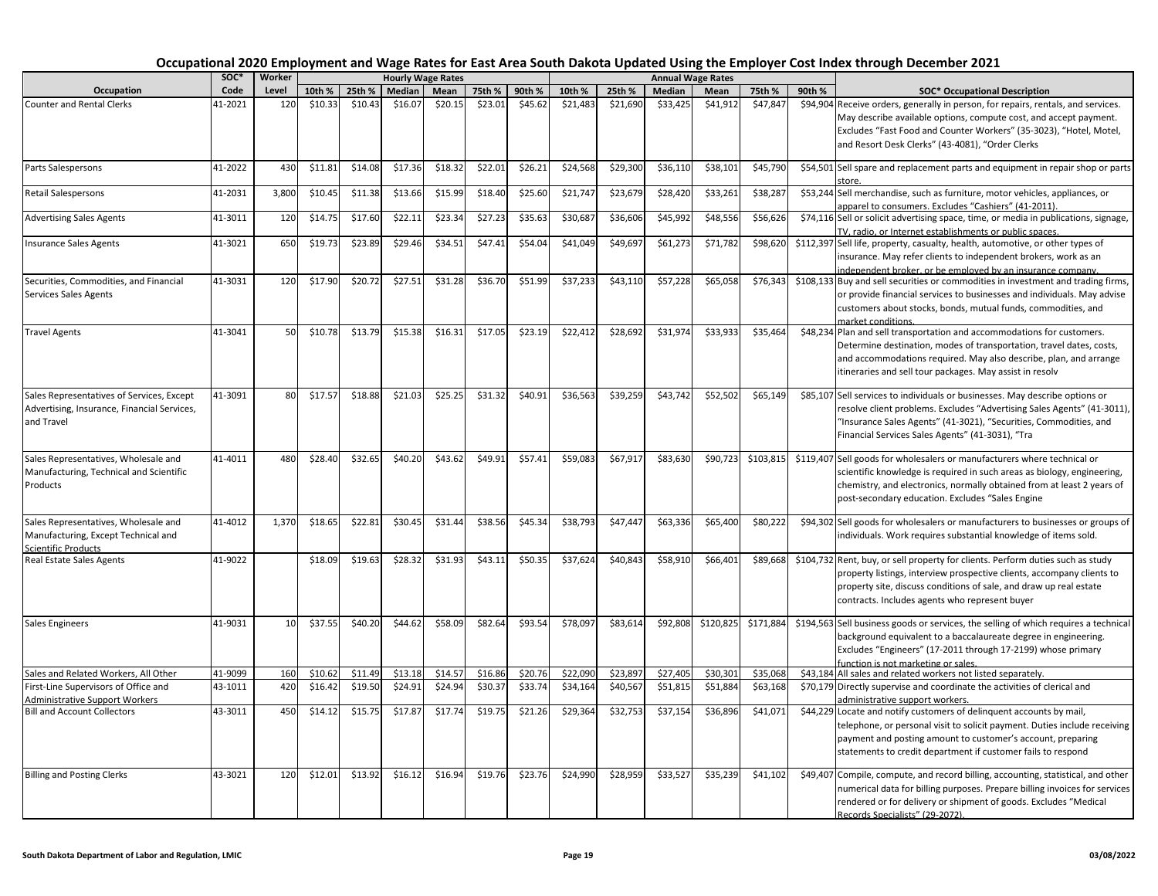|                                                                                                        | soc*    | Worker |         |         |         | <b>Hourly Wage Rates</b> |         |         |          |          |          | <b>Annual Wage Rates</b> |           |        |                                                                                                                                                                                                                                                                                   |
|--------------------------------------------------------------------------------------------------------|---------|--------|---------|---------|---------|--------------------------|---------|---------|----------|----------|----------|--------------------------|-----------|--------|-----------------------------------------------------------------------------------------------------------------------------------------------------------------------------------------------------------------------------------------------------------------------------------|
| Occupation                                                                                             | Code    | Level  | 10th %  | 25th %  | Median  | Mean                     | 75th %  | 90th %  | 10th %   | 25th %   | Median   | Mean                     | 75th %    | 90th % | <b>SOC* Occupational Description</b>                                                                                                                                                                                                                                              |
| <b>Counter and Rental Clerks</b>                                                                       | 41-2021 | 120    | \$10.33 | \$10.43 | \$16.07 | \$20.15                  | \$23.01 | \$45.62 | \$21,483 | \$21,690 | \$33,425 | \$41,912                 | \$47,847  |        | \$94,904 Receive orders, generally in person, for repairs, rentals, and services.<br>May describe available options, compute cost, and accept payment.<br>Excludes "Fast Food and Counter Workers" (35-3023), "Hotel, Motel,<br>and Resort Desk Clerks" (43-4081), "Order Clerks  |
| Parts Salespersons                                                                                     | 41-2022 | 430    | \$11.81 | \$14.08 | \$17.36 | \$18.32                  | \$22.01 | \$26.21 | \$24,568 | \$29,300 | \$36,110 | \$38,101                 | \$45,790  |        | \$54,501 Sell spare and replacement parts and equipment in repair shop or parts<br>store.                                                                                                                                                                                         |
| Retail Salespersons                                                                                    | 41-2031 | 3,800  | \$10.45 | \$11.38 | \$13.66 | \$15.99                  | \$18.40 | \$25.60 | \$21,747 | \$23,679 | \$28,42  | \$33,26:                 | \$38,287  |        | \$53,244 Sell merchandise, such as furniture, motor vehicles, appliances, or<br>apparel to consumers. Excludes "Cashiers" (41-2011)                                                                                                                                               |
| <b>Advertising Sales Agents</b>                                                                        | 41-3011 | 120    | \$14.75 | \$17.60 | \$22.11 | \$23.34                  | \$27.23 | \$35.63 | \$30,687 | \$36,606 | \$45,99  | \$48,556                 | \$56,626  |        | \$74,116 Sell or solicit advertising space, time, or media in publications, signage,<br>TV, radio, or Internet establishments or public spaces.                                                                                                                                   |
| nsurance Sales Agents                                                                                  | 41-3021 | 650    | \$19.73 | \$23.89 | \$29.46 | \$34.51                  | \$47.41 | \$54.04 | \$41,049 | \$49,697 | \$61,273 | \$71,782                 | \$98,620  |        | \$112,397 Sell life, property, casualty, health, automotive, or other types of<br>insurance. May refer clients to independent brokers, work as an<br>independent broker, or be emploved by an insurance company.                                                                  |
| Securities, Commodities, and Financial<br>Services Sales Agents                                        | 41-3031 | 120    | \$17.90 | \$20.72 | \$27.51 | \$31.28                  | \$36.70 | \$51.99 | \$37,233 | \$43,110 | \$57,228 | \$65,058                 | \$76,343  |        | \$108,133 Buy and sell securities or commodities in investment and trading firms,<br>or provide financial services to businesses and individuals. May advise<br>customers about stocks, bonds, mutual funds, commodities, and<br>market conditions.                               |
| <b>Travel Agents</b>                                                                                   | 41-3041 | 50     | \$10.78 | \$13.79 | \$15.38 | \$16.31                  | \$17.05 | \$23.19 | \$22,412 | \$28,692 | \$31,97  | \$33,933                 | \$35,464  |        | \$48,234 Plan and sell transportation and accommodations for customers.<br>Determine destination, modes of transportation, travel dates, costs,<br>and accommodations required. May also describe, plan, and arrange<br>itineraries and sell tour packages. May assist in resolv  |
| Sales Representatives of Services, Except<br>Advertising, Insurance, Financial Services,<br>and Travel | 41-3091 | 80     | \$17.57 | \$18.88 | \$21.03 | \$25.25                  | \$31.32 | \$40.91 | \$36,563 | \$39,259 | \$43,742 | \$52,502                 | \$65,149  |        | \$85,107 Sell services to individuals or businesses. May describe options or<br>resolve client problems. Excludes "Advertising Sales Agents" (41-3011),<br>"Insurance Sales Agents" (41-3021), "Securities, Commodities, and<br>Financial Services Sales Agents" (41-3031), "Tra  |
| Sales Representatives, Wholesale and<br>Manufacturing, Technical and Scientific<br>Products            | 41-4011 | 480    | \$28.40 | \$32.65 | \$40.20 | \$43.62                  | \$49.91 | \$57.41 | \$59,083 | \$67,917 | \$83,630 | \$90,723                 | \$103,815 |        | \$119,407 Sell goods for wholesalers or manufacturers where technical or<br>scientific knowledge is required in such areas as biology, engineering,<br>chemistry, and electronics, normally obtained from at least 2 years of<br>post-secondary education. Excludes "Sales Engine |
| Sales Representatives, Wholesale and<br>Manufacturing, Except Technical and<br>Scientific Products     | 41-4012 | 1,370  | \$18.65 | \$22.81 | \$30.45 | \$31.44                  | \$38.56 | \$45.34 | \$38,793 | \$47,447 | \$63,336 | \$65,400                 | \$80,222  |        | \$94,302 Sell goods for wholesalers or manufacturers to businesses or groups of<br>individuals. Work requires substantial knowledge of items sold.                                                                                                                                |
| Real Estate Sales Agents                                                                               | 41-9022 |        | \$18.09 | \$19.63 | \$28.32 | \$31.93                  | \$43.11 | \$50.35 | \$37,624 | \$40,843 | \$58,91  | \$66,401                 | \$89,668  |        | \$104,732 Rent, buy, or sell property for clients. Perform duties such as study<br>property listings, interview prospective clients, accompany clients to<br>property site, discuss conditions of sale, and draw up real estate<br>contracts. Includes agents who represent buyer |
| Sales Engineers                                                                                        | 41-9031 | 10     | \$37.55 | \$40.20 | \$44.62 | \$58.09                  | \$82.64 | \$93.54 | \$78,097 | \$83,614 | \$92,808 | \$120,825                | \$171,884 |        | \$194,563 Sell business goods or services, the selling of which requires a technical<br>background equivalent to a baccalaureate degree in engineering.<br>Excludes "Engineers" (17-2011 through 17-2199) whose primary<br>function is not marketing or sales.                    |
| Sales and Related Workers, All Other                                                                   | 41-9099 | 160    | \$10.62 | \$11.49 | \$13.18 | \$14.57                  | \$16.86 | \$20.76 | \$22,090 | \$23,897 | \$27,405 | \$30,301                 | \$35,068  |        | \$43,184 All sales and related workers not listed separately.                                                                                                                                                                                                                     |
| First-Line Supervisors of Office and<br>Administrative Support Workers                                 | 43-1011 | 420    | \$16.42 | \$19.50 | \$24.91 | \$24.94                  | \$30.37 | \$33.74 | \$34,164 | \$40,567 | \$51,815 | \$51,884                 | \$63,168  |        | \$70,179 Directly supervise and coordinate the activities of clerical and<br>administrative support workers.                                                                                                                                                                      |
| <b>Bill and Account Collectors</b>                                                                     | 43-3011 | 450    | \$14.12 | \$15.75 | \$17.87 | \$17.74                  | \$19.75 | \$21.26 | \$29,364 | \$32,753 | \$37,154 | \$36,896                 | \$41,071  |        | \$44,229 Locate and notify customers of delinquent accounts by mail,<br>telephone, or personal visit to solicit payment. Duties include receiving<br>payment and posting amount to customer's account, preparing<br>statements to credit department if customer fails to respond  |
| <b>Billing and Posting Clerks</b>                                                                      | 43-3021 | 120    | \$12.01 | \$13.92 | \$16.12 | \$16.94                  | \$19.76 | \$23.76 | \$24,990 | \$28,959 | \$33,52  | \$35,239                 | \$41,102  |        | \$49,407 Compile, compute, and record billing, accounting, statistical, and other<br>numerical data for billing purposes. Prepare billing invoices for services<br>rendered or for delivery or shipment of goods. Excludes "Medical<br>Records Specialists" (29-2072).            |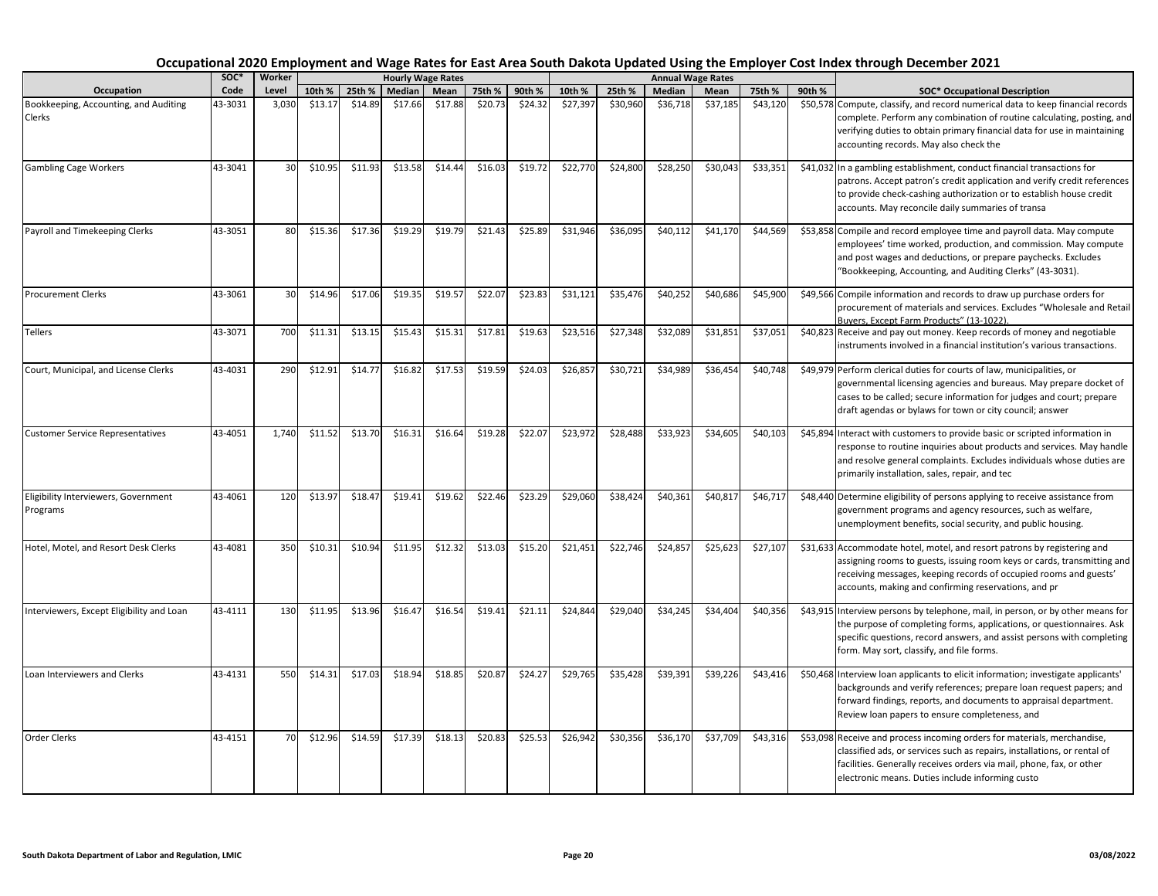|                                                  | SOC*    | Worker          |         |         |         | <b>Hourly Wage Rates</b> |         |         |          |          |          | <b>Annual Wage Rates</b> |          |        |                                                                                                                                                                                                                                                                                  |
|--------------------------------------------------|---------|-----------------|---------|---------|---------|--------------------------|---------|---------|----------|----------|----------|--------------------------|----------|--------|----------------------------------------------------------------------------------------------------------------------------------------------------------------------------------------------------------------------------------------------------------------------------------|
| Occupation                                       | Code    | Level           | 10th %  | 25th %  | Median  | Mean                     | 75th %  | 90th %  | 10th %   | 25th %   | Median   | Mean                     | 75th %   | 90th % | <b>SOC* Occupational Description</b>                                                                                                                                                                                                                                             |
| Bookkeeping, Accounting, and Auditing<br>Clerks  | 43-3031 | 3,030           | \$13.17 | \$14.89 | \$17.66 | \$17.88                  | \$20.73 | \$24.32 | \$27,397 | \$30,960 | \$36,718 | \$37,185                 | \$43,120 |        | \$50,578 Compute, classify, and record numerical data to keep financial records<br>complete. Perform any combination of routine calculating, posting, and<br>verifying duties to obtain primary financial data for use in maintaining<br>accounting records. May also check the  |
| <b>Gambling Cage Workers</b>                     | 43-3041 | 30 <sup>1</sup> | \$10.95 | \$11.93 | \$13.58 | \$14.44                  | \$16.03 | \$19.72 | \$22,770 | \$24,800 | \$28,250 | \$30,043                 | \$33,351 |        | \$41,032 In a gambling establishment, conduct financial transactions for<br>patrons. Accept patron's credit application and verify credit references<br>to provide check-cashing authorization or to establish house credit<br>accounts. May reconcile daily summaries of transa |
| Payroll and Timekeeping Clerks                   | 43-3051 | 80              | \$15.36 | \$17.36 | \$19.29 | \$19.79                  | \$21.43 | \$25.89 | \$31,946 | \$36,095 | \$40,112 | \$41,170                 | \$44,569 |        | \$53,858 Compile and record employee time and payroll data. May compute<br>employees' time worked, production, and commission. May compute<br>and post wages and deductions, or prepare paychecks. Excludes<br>"Bookkeeping, Accounting, and Auditing Clerks" (43-3031).         |
| <b>Procurement Clerks</b>                        | 43-3061 | 30              | \$14.96 | \$17.06 | \$19.35 | \$19.57                  | \$22.07 | \$23.83 | \$31,121 | \$35,476 | \$40,252 | \$40,686                 | \$45,900 |        | \$49,566 Compile information and records to draw up purchase orders for<br>procurement of materials and services. Excludes "Wholesale and Retail<br>Buvers. Except Farm Products" (13-1022).                                                                                     |
| Tellers                                          | 43-3071 | 700             | \$11.31 | \$13.15 | \$15.43 | \$15.31                  | \$17.81 | \$19.63 | \$23,516 | \$27,348 | \$32,089 | \$31,851                 | \$37,051 |        | \$40,823 Receive and pay out money. Keep records of money and negotiable<br>instruments involved in a financial institution's various transactions.                                                                                                                              |
| Court, Municipal, and License Clerks             | 43-4031 | 290             | \$12.91 | \$14.77 | \$16.82 | \$17.53                  | \$19.59 | \$24.03 | \$26,857 | \$30,721 | \$34,989 | \$36,454                 | \$40,748 |        | \$49,979 Perform clerical duties for courts of law, municipalities, or<br>governmental licensing agencies and bureaus. May prepare docket of<br>cases to be called; secure information for judges and court; prepare<br>draft agendas or bylaws for town or city council; answer |
| <b>Customer Service Representatives</b>          | 43-4051 | 1.740           | \$11.52 | \$13.70 | \$16.31 | \$16.64                  | \$19.28 | \$22.07 | \$23,972 | \$28,488 | \$33,923 | \$34,605                 | \$40,103 |        | \$45,894 Interact with customers to provide basic or scripted information in<br>response to routine inquiries about products and services. May handle<br>and resolve general complaints. Excludes individuals whose duties are<br>primarily installation, sales, repair, and tec |
| Eligibility Interviewers, Government<br>Programs | 43-4061 | 120             | \$13.97 | \$18.47 | \$19.41 | \$19.62                  | \$22.46 | \$23.29 | \$29,060 | \$38,424 | \$40,361 | \$40,817                 | \$46,717 |        | \$48,440 Determine eligibility of persons applying to receive assistance from<br>government programs and agency resources, such as welfare,<br>unemployment benefits, social security, and public housing.                                                                       |
| Hotel, Motel, and Resort Desk Clerks             | 43-4081 | 350             | \$10.31 | \$10.94 | \$11.95 | \$12.32                  | \$13.03 | \$15.20 | \$21,451 | \$22,746 | \$24,857 | \$25,623                 | \$27,107 |        | \$31,633 Accommodate hotel, motel, and resort patrons by registering and<br>assigning rooms to guests, issuing room keys or cards, transmitting and<br>receiving messages, keeping records of occupied rooms and guests'<br>accounts, making and confirming reservations, and pr |
| Interviewers, Except Eligibility and Loan        | 43-4111 | 130             | \$11.95 | \$13.96 | \$16.47 | \$16.54                  | \$19.41 | \$21.11 | \$24,844 | \$29,040 | \$34,245 | \$34,404                 | \$40,356 |        | \$43,915 Interview persons by telephone, mail, in person, or by other means for<br>the purpose of completing forms, applications, or questionnaires. Ask<br>specific questions, record answers, and assist persons with completing<br>form. May sort, classify, and file forms.  |
| Loan Interviewers and Clerks                     | 43-4131 | 550             | \$14.31 | \$17.03 | \$18.94 | \$18.85                  | \$20.87 | \$24.27 | \$29,765 | \$35,428 | \$39,391 | \$39,226                 | \$43,416 |        | \$50,468 Interview loan applicants to elicit information; investigate applicants'<br>backgrounds and verify references; prepare loan request papers; and<br>forward findings, reports, and documents to appraisal department.<br>Review loan papers to ensure completeness, and  |
| <b>Order Clerks</b>                              | 43-4151 | 70              | \$12.96 | \$14.59 | \$17.39 | \$18.13                  | \$20.83 | \$25.53 | \$26,942 | \$30,356 | \$36,170 | \$37,709                 | \$43,316 |        | \$53,098 Receive and process incoming orders for materials, merchandise,<br>classified ads, or services such as repairs, installations, or rental of<br>facilities. Generally receives orders via mail, phone, fax, or other<br>electronic means. Duties include informing custo |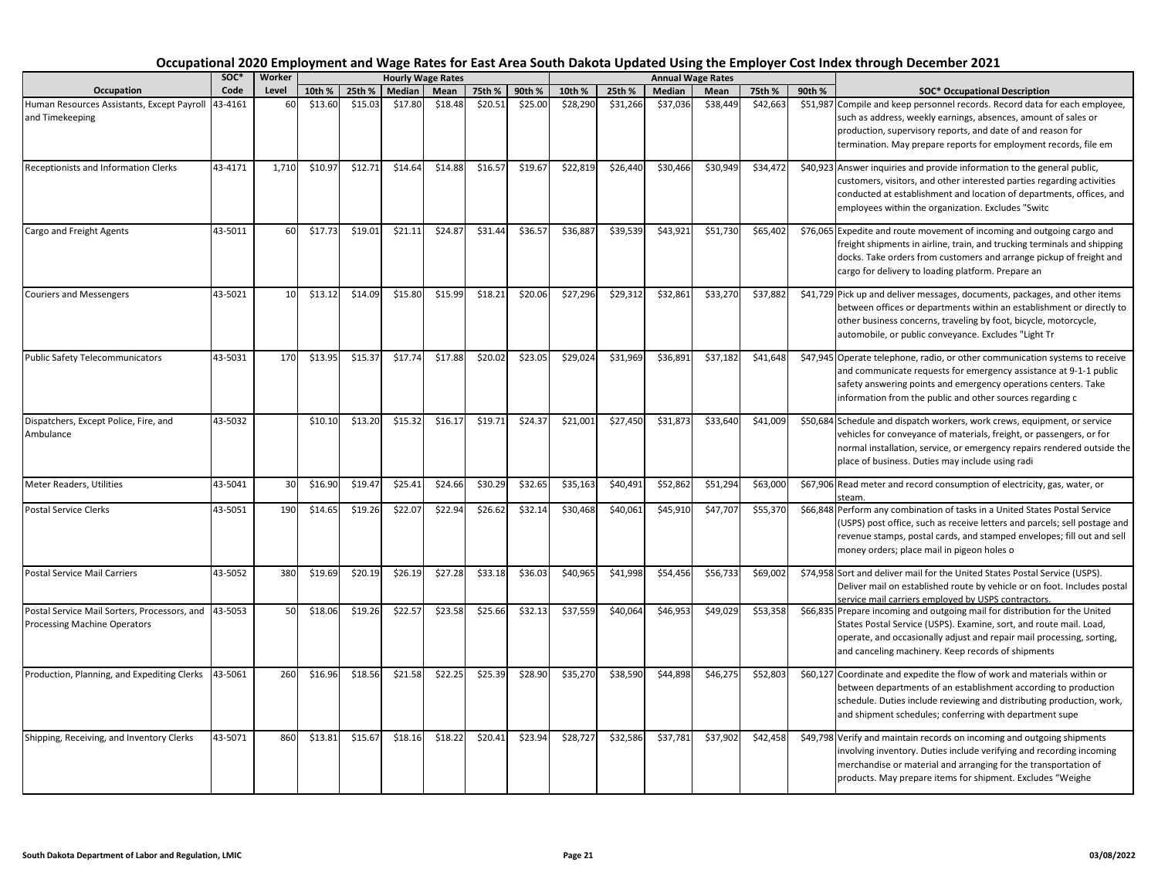|                                                                              | soc*    | Worker |         |         |         | <b>Hourly Wage Rates</b> |         |         |          |          |          | <b>Annual Wage Rates</b> |          |        |                                                                                                                                                                                                                                                                                  |
|------------------------------------------------------------------------------|---------|--------|---------|---------|---------|--------------------------|---------|---------|----------|----------|----------|--------------------------|----------|--------|----------------------------------------------------------------------------------------------------------------------------------------------------------------------------------------------------------------------------------------------------------------------------------|
| Occupation                                                                   | Code    | Level  | 10th %  | 25th %  | Median  | Mean                     | 75th %  | 90th %  | 10th %   | 25th %   | Median   | Mean                     | 75th %   | 90th % | <b>SOC* Occupational Description</b>                                                                                                                                                                                                                                             |
| Human Resources Assistants, Except Payroll<br>and Timekeeping                | 43-4161 | 60     | \$13.60 | \$15.03 | \$17.80 | \$18.48                  | \$20.51 | \$25.00 | \$28,290 | \$31,266 | \$37,036 | \$38,449                 | \$42,663 |        | \$51,987 Compile and keep personnel records. Record data for each employee,<br>such as address, weekly earnings, absences, amount of sales or<br>production, supervisory reports, and date of and reason for<br>termination. May prepare reports for employment records, file em |
| Receptionists and Information Clerks                                         | 43-4171 | 1,710  | \$10.97 | \$12.71 | \$14.64 | \$14.88                  | \$16.57 | \$19.67 | \$22,819 | \$26,440 | \$30,466 | \$30,949                 | \$34,472 |        | \$40,923 Answer inquiries and provide information to the general public,<br>customers, visitors, and other interested parties regarding activities<br>conducted at establishment and location of departments, offices, and<br>employees within the organization. Excludes "Switc |
| Cargo and Freight Agents                                                     | 43-5011 | 60     | \$17.73 | \$19.01 | \$21.11 | \$24.87                  | \$31.44 | \$36.57 | \$36,887 | \$39,539 | \$43,921 | \$51,73                  | \$65,402 |        | \$76,065 Expedite and route movement of incoming and outgoing cargo and<br>freight shipments in airline, train, and trucking terminals and shipping<br>docks. Take orders from customers and arrange pickup of freight and<br>cargo for delivery to loading platform. Prepare an |
| <b>Couriers and Messengers</b>                                               | 43-5021 | 10     | \$13.12 | \$14.09 | \$15.80 | \$15.99                  | \$18.21 | \$20.06 | \$27,296 | \$29,312 | \$32,861 | \$33,270                 | \$37,882 |        | \$41,729 Pick up and deliver messages, documents, packages, and other items<br>between offices or departments within an establishment or directly to<br>other business concerns, traveling by foot, bicycle, motorcycle,<br>automobile, or public conveyance. Excludes "Light Tr |
| <b>Public Safety Telecommunicators</b>                                       | 43-5031 | 170    | \$13.95 | \$15.37 | \$17.74 | \$17.88                  | \$20.02 | \$23.05 | \$29,024 | \$31,969 | \$36,891 | \$37,182                 | \$41,648 |        | \$47,945 Operate telephone, radio, or other communication systems to receive<br>and communicate requests for emergency assistance at 9-1-1 public<br>safety answering points and emergency operations centers. Take<br>information from the public and other sources regarding c |
| Dispatchers, Except Police, Fire, and<br>Ambulance                           | 43-5032 |        | \$10.10 | \$13.20 | \$15.32 | \$16.17                  | \$19.71 | \$24.37 | \$21,001 | \$27,450 | \$31,873 | \$33,64                  | \$41,009 |        | \$50,684 Schedule and dispatch workers, work crews, equipment, or service<br>vehicles for conveyance of materials, freight, or passengers, or for<br>normal installation, service, or emergency repairs rendered outside the<br>place of business. Duties may include using radi |
| Meter Readers, Utilities                                                     | 43-5041 | 30     | \$16.90 | \$19.4  | \$25.41 | \$24.66                  | \$30.29 | \$32.65 | \$35,163 | \$40,491 | \$52,862 | \$51,294                 | \$63,000 |        | \$67,906 Read meter and record consumption of electricity, gas, water, or                                                                                                                                                                                                        |
| Postal Service Clerks                                                        | 43-5051 | 190    | \$14.65 | \$19.26 | \$22.07 | \$22.94                  | \$26.62 | \$32.14 | \$30,468 | \$40,061 | \$45,910 | \$47,707                 | \$55,370 |        | \$66,848 Perform any combination of tasks in a United States Postal Service<br>(USPS) post office, such as receive letters and parcels; sell postage and<br>revenue stamps, postal cards, and stamped envelopes; fill out and sell<br>money orders; place mail in pigeon holes o |
| <b>Postal Service Mail Carriers</b>                                          | 43-5052 | 380    | \$19.69 | \$20.19 | \$26.19 | \$27.28                  | \$33.18 | \$36.03 | \$40,965 | \$41,998 | \$54,456 | \$56,73                  | \$69,002 |        | \$74,958 Sort and deliver mail for the United States Postal Service (USPS).<br>Deliver mail on established route by vehicle or on foot. Includes postal<br>service mail carriers employed by USPS contractors.                                                                   |
| Postal Service Mail Sorters, Processors, and<br>Processing Machine Operators | 43-5053 | 50     | \$18.06 | \$19.26 | \$22.57 | \$23.58                  | \$25.66 | \$32.13 | \$37,559 | \$40,064 | \$46,953 | \$49,029                 | \$53,358 |        | \$66,835 Prepare incoming and outgoing mail for distribution for the United<br>States Postal Service (USPS). Examine, sort, and route mail. Load,<br>operate, and occasionally adjust and repair mail processing, sorting,<br>and canceling machinery. Keep records of shipments |
| Production, Planning, and Expediting Clerks                                  | 43-5061 | 260    | \$16.96 | \$18.56 | \$21.58 | \$22.25                  | \$25.39 | \$28.90 | \$35,270 | \$38,590 | \$44,898 | \$46,275                 | \$52,803 |        | \$60,127 Coordinate and expedite the flow of work and materials within or<br>between departments of an establishment according to production<br>schedule. Duties include reviewing and distributing production, work,<br>and shipment schedules; conferring with department supe |
| Shipping, Receiving, and Inventory Clerks                                    | 43-5071 | 860    | \$13.81 | \$15.67 | \$18.16 | \$18.22                  | \$20.41 | \$23.94 | \$28,727 | \$32,586 | \$37,781 | \$37,902                 | \$42,458 |        | \$49,798 Verify and maintain records on incoming and outgoing shipments<br>involving inventory. Duties include verifying and recording incoming<br>merchandise or material and arranging for the transportation of<br>products. May prepare items for shipment. Excludes "Weighe |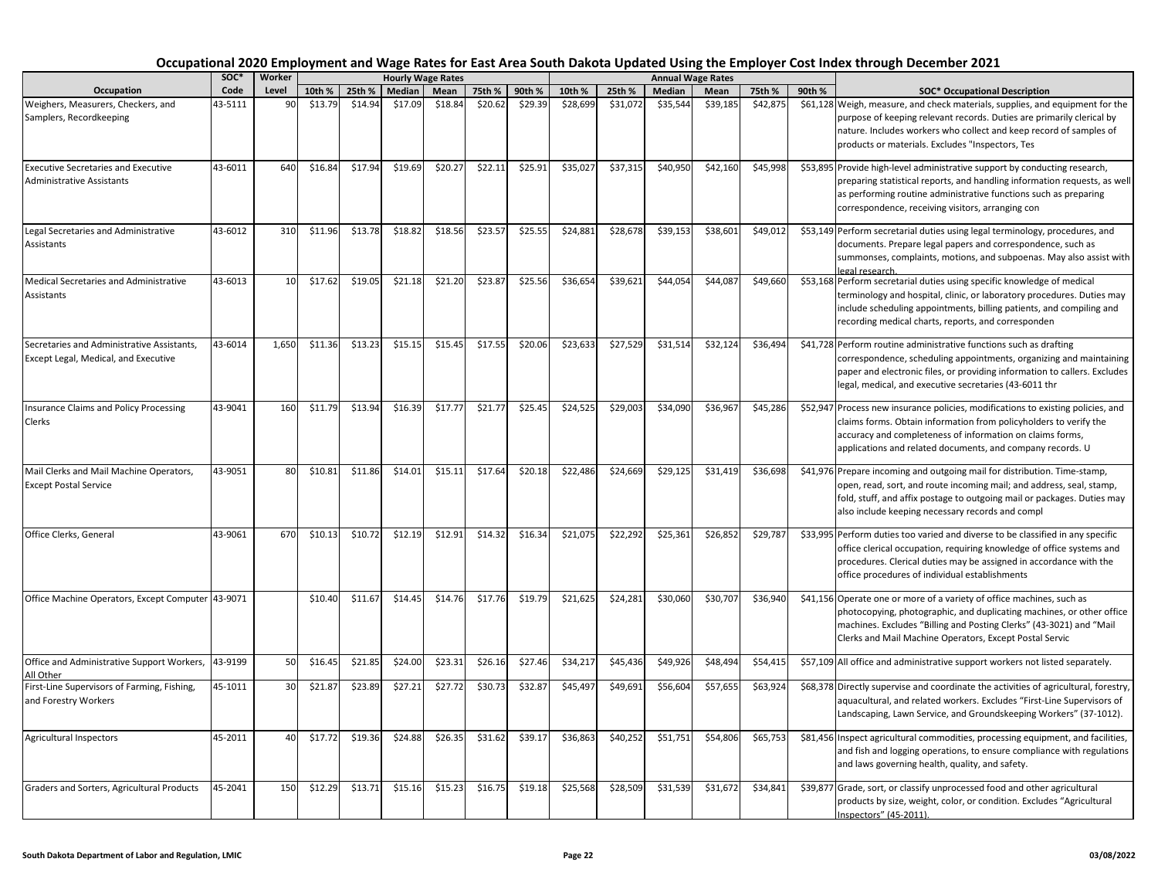|                                                                                    | soc*    | Worker |         |         |         | <b>Hourly Wage Rates</b> |         |         |          |          |          | <b>Annual Wage Rates</b> |          |        |                                                                                                                                                                                                                                                                                  |
|------------------------------------------------------------------------------------|---------|--------|---------|---------|---------|--------------------------|---------|---------|----------|----------|----------|--------------------------|----------|--------|----------------------------------------------------------------------------------------------------------------------------------------------------------------------------------------------------------------------------------------------------------------------------------|
| Occupation                                                                         | Code    | Level  | 10th %  | 25th %  | Median  | Mean                     | 75th %  | 90th %  | 10th %   | 25th %   | Median   | Mean                     | 75th %   | 90th % | <b>SOC*</b> Occupational Description                                                                                                                                                                                                                                             |
| Weighers, Measurers, Checkers, and<br>Samplers, Recordkeeping                      | 43-5111 | 90     | \$13.79 | \$14.94 | \$17.09 | \$18.84                  | \$20.62 | \$29.39 | \$28,699 | \$31,072 | \$35,544 | \$39,185                 | \$42,875 |        | \$61,128 Weigh, measure, and check materials, supplies, and equipment for the<br>purpose of keeping relevant records. Duties are primarily clerical by<br>nature. Includes workers who collect and keep record of samples of<br>products or materials. Excludes "Inspectors, Tes |
| <b>Executive Secretaries and Executive</b><br><b>Administrative Assistants</b>     | 43-6011 | 640    | \$16.84 | \$17.94 | \$19.69 | \$20.27                  | \$22.11 | \$25.91 | \$35,027 | \$37,315 | \$40,950 | \$42,160                 | \$45,998 |        | \$53,895 Provide high-level administrative support by conducting research,<br>preparing statistical reports, and handling information requests, as well<br>as performing routine administrative functions such as preparing<br>correspondence, receiving visitors, arranging con |
| Legal Secretaries and Administrative<br>Assistants                                 | 43-6012 | 310    | \$11.96 | \$13.78 | \$18.82 | \$18.56                  | \$23.57 | \$25.55 | \$24,881 | \$28,678 | \$39,153 | \$38,601                 | \$49,012 |        | \$53,149 Perform secretarial duties using legal terminology, procedures, and<br>documents. Prepare legal papers and correspondence, such as<br>summonses, complaints, motions, and subpoenas. May also assist with<br>egal research.                                             |
| Medical Secretaries and Administrative<br>Assistants                               | 43-6013 | 10     | \$17.62 | \$19.05 | \$21.18 | \$21.20                  | \$23.87 | \$25.56 | \$36,654 | \$39,621 | \$44,054 | \$44,087                 | \$49,660 |        | \$53,168 Perform secretarial duties using specific knowledge of medical<br>terminology and hospital, clinic, or laboratory procedures. Duties may<br>include scheduling appointments, billing patients, and compiling and<br>recording medical charts, reports, and corresponden |
| Secretaries and Administrative Assistants,<br>Except Legal, Medical, and Executive | 43-6014 | 1,650  | \$11.36 | \$13.23 | \$15.15 | \$15.45                  | \$17.55 | \$20.06 | \$23,633 | \$27,529 | \$31,514 | \$32,124                 | \$36,494 |        | \$41,728 Perform routine administrative functions such as drafting<br>correspondence, scheduling appointments, organizing and maintaining<br>paper and electronic files, or providing information to callers. Excludes<br>legal, medical, and executive secretaries (43-6011 thr |
| Insurance Claims and Policy Processing<br>Clerks                                   | 43-9041 | 160    | \$11.79 | \$13.94 | \$16.39 | \$17.77                  | \$21.77 | \$25.45 | \$24,525 | \$29,003 | \$34,090 | \$36,967                 | \$45,286 |        | \$52,947 Process new insurance policies, modifications to existing policies, and<br>claims forms. Obtain information from policyholders to verify the<br>accuracy and completeness of information on claims forms,<br>applications and related documents, and company records. U |
| Mail Clerks and Mail Machine Operators,<br><b>Except Postal Service</b>            | 43-9051 | 80     | \$10.81 | \$11.86 | \$14.01 | \$15.11                  | \$17.64 | \$20.18 | \$22,486 | \$24,669 | \$29,125 | \$31,419                 | \$36,698 |        | \$41,976 Prepare incoming and outgoing mail for distribution. Time-stamp,<br>open, read, sort, and route incoming mail; and address, seal, stamp,<br>fold, stuff, and affix postage to outgoing mail or packages. Duties may<br>also include keeping necessary records and compl |
| Office Clerks, General                                                             | 43-9061 | 670    | \$10.13 | \$10.72 | \$12.19 | \$12.91                  | \$14.32 | \$16.34 | \$21,075 | \$22,292 | \$25,361 | \$26,852                 | \$29,787 |        | \$33,995 Perform duties too varied and diverse to be classified in any specific<br>office clerical occupation, requiring knowledge of office systems and<br>procedures. Clerical duties may be assigned in accordance with the<br>office procedures of individual establishments |
| Office Machine Operators, Except Computer 43-9071                                  |         |        | \$10.40 | \$11.67 | \$14.45 | \$14.76                  | \$17.76 | \$19.79 | \$21,625 | \$24,281 | \$30,060 | \$30,707                 | \$36,940 |        | \$41,156 Operate one or more of a variety of office machines, such as<br>photocopying, photographic, and duplicating machines, or other office<br>machines. Excludes "Billing and Posting Clerks" (43-3021) and "Mail<br>Clerks and Mail Machine Operators, Except Postal Servic |
| Office and Administrative Support Workers,<br>All Other                            | 43-9199 | 50     | \$16.45 | \$21.85 | \$24.00 | \$23.31                  | \$26.16 | \$27.46 | \$34,217 | \$45,436 | \$49,926 | \$48,494                 | \$54,415 |        | \$57,109 All office and administrative support workers not listed separately.                                                                                                                                                                                                    |
| First-Line Supervisors of Farming, Fishing,<br>and Forestry Workers                | 45-1011 | 30     | \$21.87 | \$23.89 | \$27.21 | \$27.72                  | \$30.73 | \$32.87 | \$45,497 | \$49,691 | \$56,604 | \$57,655                 | \$63,924 |        | \$68,378 Directly supervise and coordinate the activities of agricultural, forestry,<br>aquacultural, and related workers. Excludes "First-Line Supervisors of<br>Landscaping, Lawn Service, and Groundskeeping Workers" (37-1012).                                              |
| <b>Agricultural Inspectors</b>                                                     | 45-2011 | 40     | \$17.72 | \$19.36 | \$24.88 | \$26.35                  | \$31.62 | \$39.17 | \$36,863 | \$40,252 | \$51,751 | \$54,806                 | \$65,753 |        | \$81,456 Inspect agricultural commodities, processing equipment, and facilities,<br>and fish and logging operations, to ensure compliance with regulations<br>and laws governing health, quality, and safety.                                                                    |
| Graders and Sorters, Agricultural Products                                         | 45-2041 | 150    | \$12.29 | \$13.71 | \$15.16 | \$15.23                  | \$16.75 | \$19.18 | \$25,568 | \$28,509 | \$31,539 | \$31,672                 | \$34,841 |        | \$39,877 Grade, sort, or classify unprocessed food and other agricultural<br>products by size, weight, color, or condition. Excludes "Agricultural<br>Inspectors" (45-2011).                                                                                                     |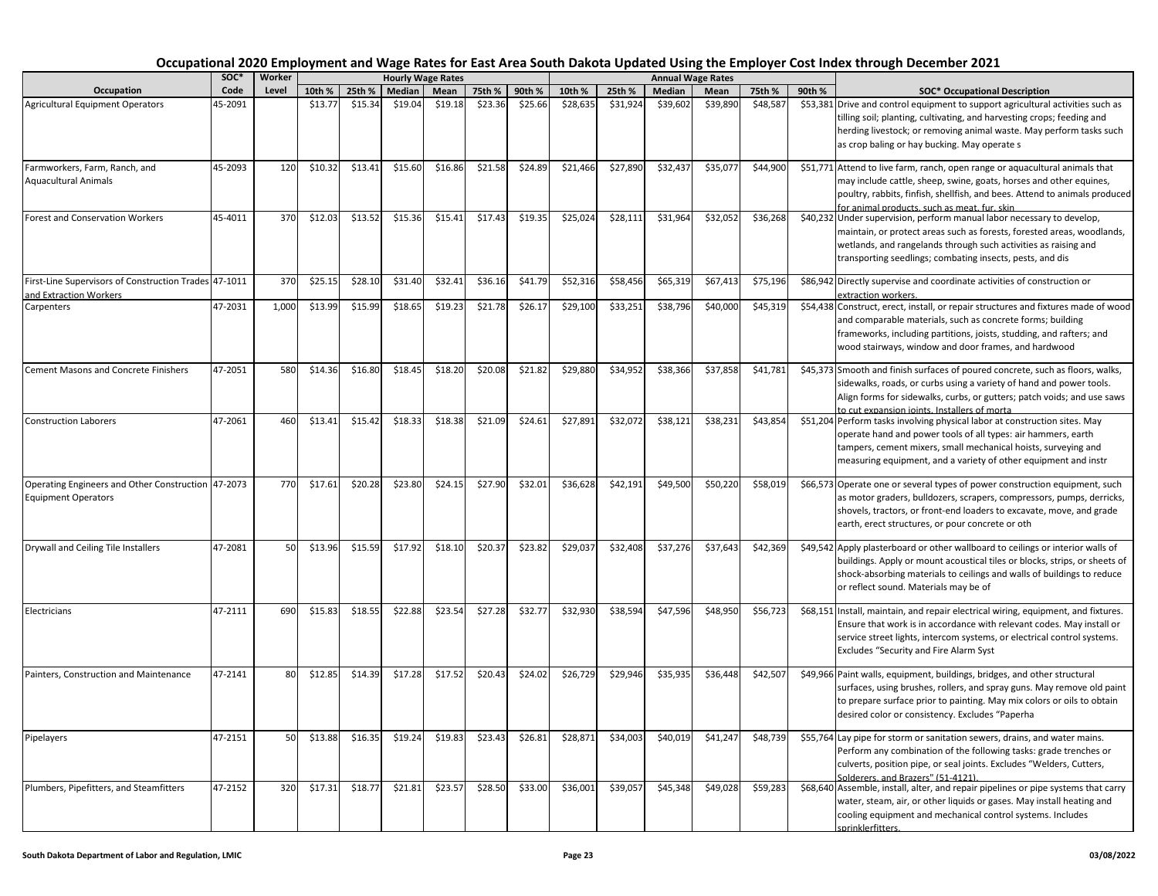|                                                                                  | soc*    | Worker |         |         |         | <b>Hourly Wage Rates</b> |         |         |          |          |          | <b>Annual Wage Rates</b> |          |        |                                                                                                                                                                                                                                                                                         |
|----------------------------------------------------------------------------------|---------|--------|---------|---------|---------|--------------------------|---------|---------|----------|----------|----------|--------------------------|----------|--------|-----------------------------------------------------------------------------------------------------------------------------------------------------------------------------------------------------------------------------------------------------------------------------------------|
| Occupation                                                                       | Code    | Level  | 10th %  | 25th %  | Median  | Mean                     | 75th %  | 90th %  | 10th %   | 25th %   | Median   | Mean                     | 75th %   | 90th % | <b>SOC* Occupational Description</b>                                                                                                                                                                                                                                                    |
| <b>Agricultural Equipment Operators</b>                                          | 45-2091 |        | \$13.77 | \$15.34 | \$19.04 | \$19.18                  | \$23.36 | \$25.66 | \$28,635 | \$31,924 | \$39,602 | \$39,890                 | \$48,587 |        | \$53,381 Drive and control equipment to support agricultural activities such as<br>tilling soil; planting, cultivating, and harvesting crops; feeding and<br>herding livestock; or removing animal waste. May perform tasks such<br>as crop baling or hay bucking. May operate s        |
| Farmworkers, Farm, Ranch, and<br><b>Aquacultural Animals</b>                     | 45-2093 | 120    | \$10.32 | \$13.41 | \$15.60 | \$16.86                  | \$21.58 | \$24.89 | \$21,466 | \$27,890 | \$32,437 | \$35,07                  | \$44,900 |        | \$51,771 Attend to live farm, ranch, open range or aquacultural animals that<br>may include cattle, sheep, swine, goats, horses and other equines,<br>poultry, rabbits, finfish, shellfish, and bees. Attend to animals produced<br>for animal products, such as meat, fur, skin        |
| Forest and Conservation Workers                                                  | 45-4011 | 370    | \$12.03 | \$13.52 | \$15.36 | \$15.41                  | \$17.43 | \$19.35 | \$25,024 | \$28,111 | \$31,964 | \$32,05                  | \$36,268 |        | \$40,232 Under supervision, perform manual labor necessary to develop,<br>maintain, or protect areas such as forests, forested areas, woodlands,<br>wetlands, and rangelands through such activities as raising and<br>transporting seedlings; combating insects, pests, and dis        |
| First-Line Supervisors of Construction Trades 47-1011<br>and Extraction Workers  |         | 370    | \$25.15 | \$28.10 | \$31.40 | \$32.41                  | \$36.16 | \$41.79 | \$52,316 | \$58,456 | \$65,319 | \$67,413                 | \$75,196 |        | \$86,942 Directly supervise and coordinate activities of construction or<br>extraction workers.                                                                                                                                                                                         |
| Carpenters                                                                       | 47-2031 | 1,000  | \$13.99 | \$15.99 | \$18.65 | \$19.23                  | \$21.78 | \$26.17 | \$29,100 | \$33,251 | \$38,796 | \$40,000                 | \$45,319 |        | \$54,438 Construct, erect, install, or repair structures and fixtures made of wood<br>and comparable materials, such as concrete forms; building<br>frameworks, including partitions, joists, studding, and rafters; and<br>wood stairways, window and door frames, and hardwood        |
| Cement Masons and Concrete Finishers                                             | 47-2051 | 580    | \$14.36 | \$16.80 | \$18.45 | \$18.20                  | \$20.08 | \$21.82 | \$29,880 | \$34,952 | \$38,366 | \$37,858                 | \$41,781 |        | \$45,373 Smooth and finish surfaces of poured concrete, such as floors, walks,<br>sidewalks, roads, or curbs using a variety of hand and power tools.<br>Align forms for sidewalks, curbs, or gutters; patch voids; and use saws<br>to cut expansion ioints. Installers of morta        |
| <b>Construction Laborers</b>                                                     | 47-2061 | 460    | \$13.41 | \$15.42 | \$18.33 | \$18.38                  | \$21.09 | \$24.61 | \$27,891 | \$32,072 | \$38,121 | \$38,23                  | \$43,854 |        | \$51,204 Perform tasks involving physical labor at construction sites. May<br>operate hand and power tools of all types: air hammers, earth<br>tampers, cement mixers, small mechanical hoists, surveying and<br>measuring equipment, and a variety of other equipment and instr        |
| Operating Engineers and Other Construction 47-2073<br><b>Equipment Operators</b> |         | 770    | \$17.61 | \$20.28 | \$23.80 | \$24.15                  | \$27.90 | \$32.01 | \$36,628 | \$42,191 | \$49,500 | \$50,22                  | \$58,019 |        | \$66,573 Operate one or several types of power construction equipment, such<br>as motor graders, bulldozers, scrapers, compressors, pumps, derricks,<br>shovels, tractors, or front-end loaders to excavate, move, and grade<br>earth, erect structures, or pour concrete or oth        |
| Drywall and Ceiling Tile Installers                                              | 47-2081 | 50     | \$13.96 | \$15.59 | \$17.92 | \$18.10                  | \$20.37 | \$23.82 | \$29,037 | \$32,408 | \$37,276 | \$37,64                  | \$42,369 |        | \$49,542 Apply plasterboard or other wallboard to ceilings or interior walls of<br>buildings. Apply or mount acoustical tiles or blocks, strips, or sheets of<br>shock-absorbing materials to ceilings and walls of buildings to reduce<br>or reflect sound. Materials may be of        |
| Electricians                                                                     | 47-2111 | 690    | \$15.83 | \$18.55 | \$22.88 | \$23.54                  | \$27.28 | \$32.77 | \$32,930 | \$38,594 | \$47,596 | \$48,950                 | \$56,723 |        | \$68,151 Install, maintain, and repair electrical wiring, equipment, and fixtures.<br>Ensure that work is in accordance with relevant codes. May install or<br>service street lights, intercom systems, or electrical control systems.<br><b>Excludes "Security and Fire Alarm Syst</b> |
| Painters, Construction and Maintenance                                           | 47-2141 | 80     | \$12.85 | \$14.39 | \$17.28 | \$17.52                  | \$20.43 | \$24.02 | \$26,729 | \$29,946 | \$35,935 | \$36,448                 | \$42,507 |        | \$49,966 Paint walls, equipment, buildings, bridges, and other structural<br>surfaces, using brushes, rollers, and spray guns. May remove old paint<br>to prepare surface prior to painting. May mix colors or oils to obtain<br>desired color or consistency. Excludes "Paperha        |
| Pipelayers                                                                       | 47-2151 | 50     | \$13.88 | \$16.35 | \$19.24 | \$19.83                  | \$23.43 | \$26.81 | \$28,871 | \$34,003 | \$40,019 | \$41,247                 | \$48,739 |        | \$55,764 Lay pipe for storm or sanitation sewers, drains, and water mains.<br>Perform any combination of the following tasks: grade trenches or<br>culverts, position pipe, or seal joints. Excludes "Welders, Cutters,<br>Solderers, and Brazers" (51-4121).                           |
| Plumbers, Pipefitters, and Steamfitters                                          | 47-2152 | 320    | \$17.31 | \$18.7  | \$21.81 | \$23.57                  | \$28.50 | \$33.00 | \$36,001 | \$39,057 | \$45,348 | \$49,02                  | \$59,283 |        | \$68,640 Assemble, install, alter, and repair pipelines or pipe systems that carry<br>water, steam, air, or other liquids or gases. May install heating and<br>cooling equipment and mechanical control systems. Includes<br>sprinklerfitters.                                          |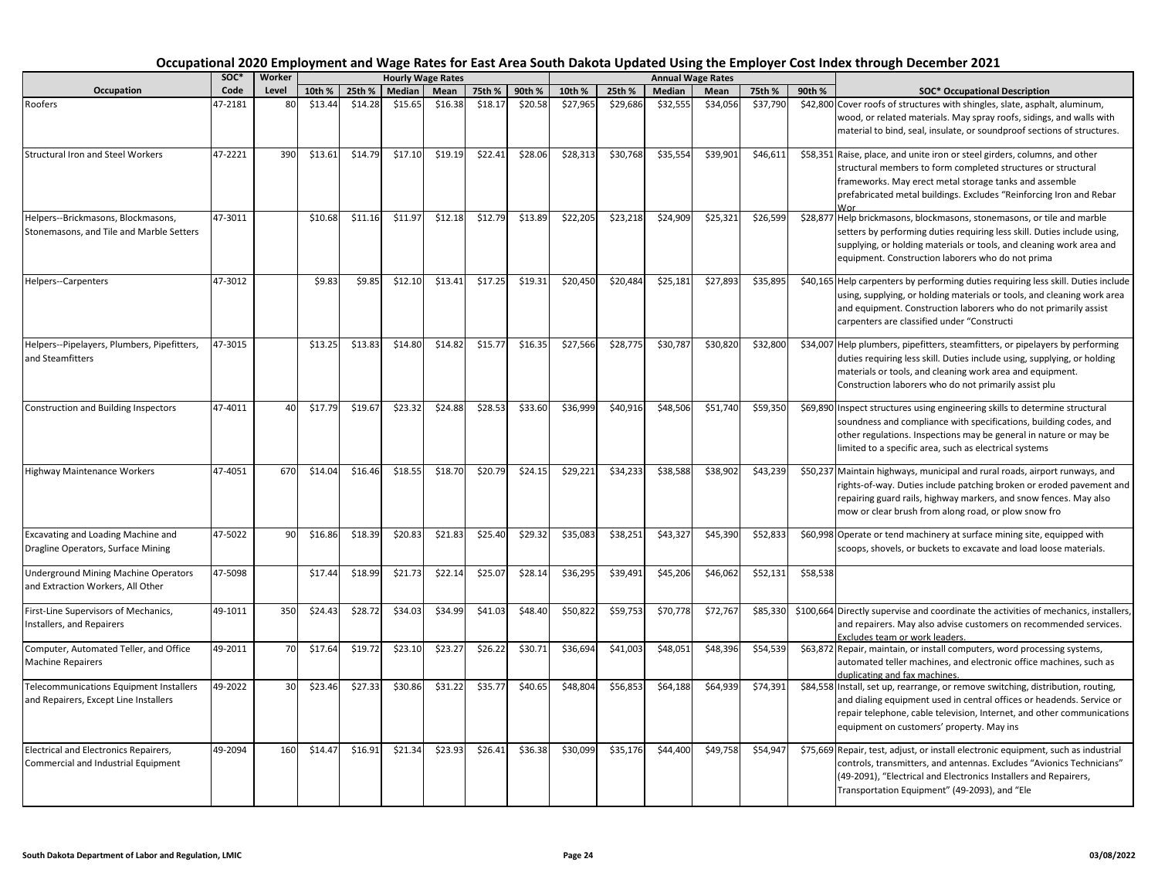# **10th % 25th % Median Mean 75th % 90th % 10th % 25th % Median Mean 75th % 90th % SOC\* Occupational Description Level Occupation SOC\* Code Worker Hourly Wage Rates Annual Wage Rates** frameworks. May erect metal storage tanks and assemble

| Occupational 2020 Employment and Wage Rates for East Area South Dakota Updated Using the Employer Cost Index through December 2021 |
|------------------------------------------------------------------------------------------------------------------------------------|
|------------------------------------------------------------------------------------------------------------------------------------|

| Roofers                                                                          | 47-2181 | 80              | \$13.44 | \$14.28 | \$15.65 | \$16.38 | \$18.17 | \$20.58 | \$27,965 | \$29,686 | \$32,555 | \$34,056 | \$37,790 |          | \$42,800 Cover roofs of structures with shingles, slate, asphalt, aluminum,<br>wood, or related materials. May spray roofs, sidings, and walls with<br>material to bind, seal, insulate, or soundproof sections of structures.                                                   |
|----------------------------------------------------------------------------------|---------|-----------------|---------|---------|---------|---------|---------|---------|----------|----------|----------|----------|----------|----------|----------------------------------------------------------------------------------------------------------------------------------------------------------------------------------------------------------------------------------------------------------------------------------|
| <b>Structural Iron and Steel Workers</b>                                         | 47-2221 | 390             | \$13.61 | \$14.79 | \$17.10 | \$19.19 | \$22.41 | \$28.06 | \$28,313 | \$30,768 | \$35,554 | \$39,901 | \$46,611 |          | \$58,351 Raise, place, and unite iron or steel girders, columns, and other<br>structural members to form completed structures or structural<br>frameworks. May erect metal storage tanks and assemble<br>prefabricated metal buildings. Excludes "Reinforcing Iron and Rebar     |
| Helpers--Brickmasons, Blockmasons,<br>Stonemasons, and Tile and Marble Setters   | 47-3011 |                 | \$10.68 | \$11.16 | \$11.97 | \$12.18 | \$12.79 | \$13.89 | \$22,205 | \$23,218 | \$24,909 | \$25,321 | \$26,599 |          | \$28,877 Help brickmasons, blockmasons, stonemasons, or tile and marble<br>setters by performing duties requiring less skill. Duties include using,<br>supplying, or holding materials or tools, and cleaning work area and<br>equipment. Construction laborers who do not prima |
| Helpers--Carpenters                                                              | 47-3012 |                 | \$9.83  | \$9.85  | \$12.10 | \$13.41 | \$17.25 | \$19.31 | \$20,450 | \$20,484 | \$25,181 | \$27,893 | \$35,895 |          | \$40,165 Help carpenters by performing duties requiring less skill. Duties include<br>using, supplying, or holding materials or tools, and cleaning work area<br>and equipment. Construction laborers who do not primarily assist<br>carpenters are classified under "Constructi |
| Helpers--Pipelayers, Plumbers, Pipefitters,<br>and Steamfitters                  | 47-3015 |                 | \$13.25 | \$13.83 | \$14.80 | \$14.82 | \$15.77 | \$16.35 | \$27,566 | \$28,775 | \$30,787 | \$30,820 | \$32,800 |          | \$34,007 Help plumbers, pipefitters, steamfitters, or pipelayers by performing<br>duties requiring less skill. Duties include using, supplying, or holding<br>materials or tools, and cleaning work area and equipment.<br>Construction laborers who do not primarily assist plu |
| Construction and Building Inspectors                                             | 47-4011 | 40              | \$17.79 | \$19.67 | \$23.32 | \$24.88 | \$28.53 | \$33.60 | \$36,999 | \$40,916 | \$48,506 | \$51,740 | \$59,350 |          | \$69,890 Inspect structures using engineering skills to determine structural<br>soundness and compliance with specifications, building codes, and<br>other regulations. Inspections may be general in nature or may be<br>limited to a specific area, such as electrical systems |
| Highway Maintenance Workers                                                      | 47-4051 | 670             | \$14.04 | \$16.46 | \$18.55 | \$18.70 | \$20.79 | \$24.15 | \$29,221 | \$34,233 | \$38,588 | \$38,902 | \$43,239 |          | \$50,237 Maintain highways, municipal and rural roads, airport runways, and<br>rights-of-way. Duties include patching broken or eroded pavement and<br>repairing guard rails, highway markers, and snow fences. May also<br>mow or clear brush from along road, or plow snow fro |
| Excavating and Loading Machine and<br>Dragline Operators, Surface Mining         | 47-5022 | 90              | \$16.86 | \$18.39 | \$20.83 | \$21.83 | \$25.40 | \$29.32 | \$35,083 | \$38,251 | \$43,327 | \$45,390 | \$52,833 |          | \$60,998 Operate or tend machinery at surface mining site, equipped with<br>scoops, shovels, or buckets to excavate and load loose materials.                                                                                                                                    |
| <b>Underground Mining Machine Operators</b><br>and Extraction Workers, All Other | 47-5098 |                 | \$17.44 | \$18.99 | \$21.73 | \$22.14 | \$25.07 | \$28.14 | \$36,295 | \$39,491 | \$45,206 | \$46,062 | 552,131  | \$58,538 |                                                                                                                                                                                                                                                                                  |
| First-Line Supervisors of Mechanics,<br>Installers, and Repairers                | 49-1011 | 350             | \$24.43 | \$28.72 | \$34.03 | \$34.99 | \$41.03 | \$48.40 | \$50,822 | \$59,753 | \$70,778 | \$72,767 | \$85,330 |          | \$100,664 Directly supervise and coordinate the activities of mechanics, installers,<br>and repairers. May also advise customers on recommended services.<br>Excludes team or work leaders.                                                                                      |
| Computer, Automated Teller, and Office<br><b>Machine Repairers</b>               | 49-2011 | 70              | \$17.64 | \$19.72 | \$23.10 | \$23.27 | \$26.22 | \$30.71 | \$36,694 | \$41,003 | \$48,051 | \$48,396 | \$54,539 |          | \$63,872 Repair, maintain, or install computers, word processing systems,<br>automated teller machines, and electronic office machines, such as<br>duplicating and fax machines.                                                                                                 |
| Telecommunications Equipment Installers<br>and Repairers, Except Line Installers | 49-2022 | 30 <sup>1</sup> | \$23.46 | \$27.33 | \$30.86 | \$31.22 | \$35.77 | \$40.65 | \$48,804 | \$56,853 | \$64,188 | \$64,939 | \$74,391 |          | \$84,558 Install, set up, rearrange, or remove switching, distribution, routing,<br>and dialing equipment used in central offices or headends. Service or<br>repair telephone, cable television, Internet, and other communications<br>equipment on customers' property. May ins |
| Electrical and Electronics Repairers,<br>Commercial and Industrial Equipment     | 49-2094 | 160             | \$14.47 | \$16.91 | \$21.34 | \$23.93 | \$26.41 | \$36.38 | \$30,099 | \$35,176 | \$44,400 | \$49,758 | \$54,947 |          | \$75,669 Repair, test, adjust, or install electronic equipment, such as industrial<br>controls, transmitters, and antennas. Excludes "Avionics Technicians"<br>(49-2091), "Electrical and Electronics Installers and Repairers,<br>Transportation Equipment" (49-2093), and "Ele |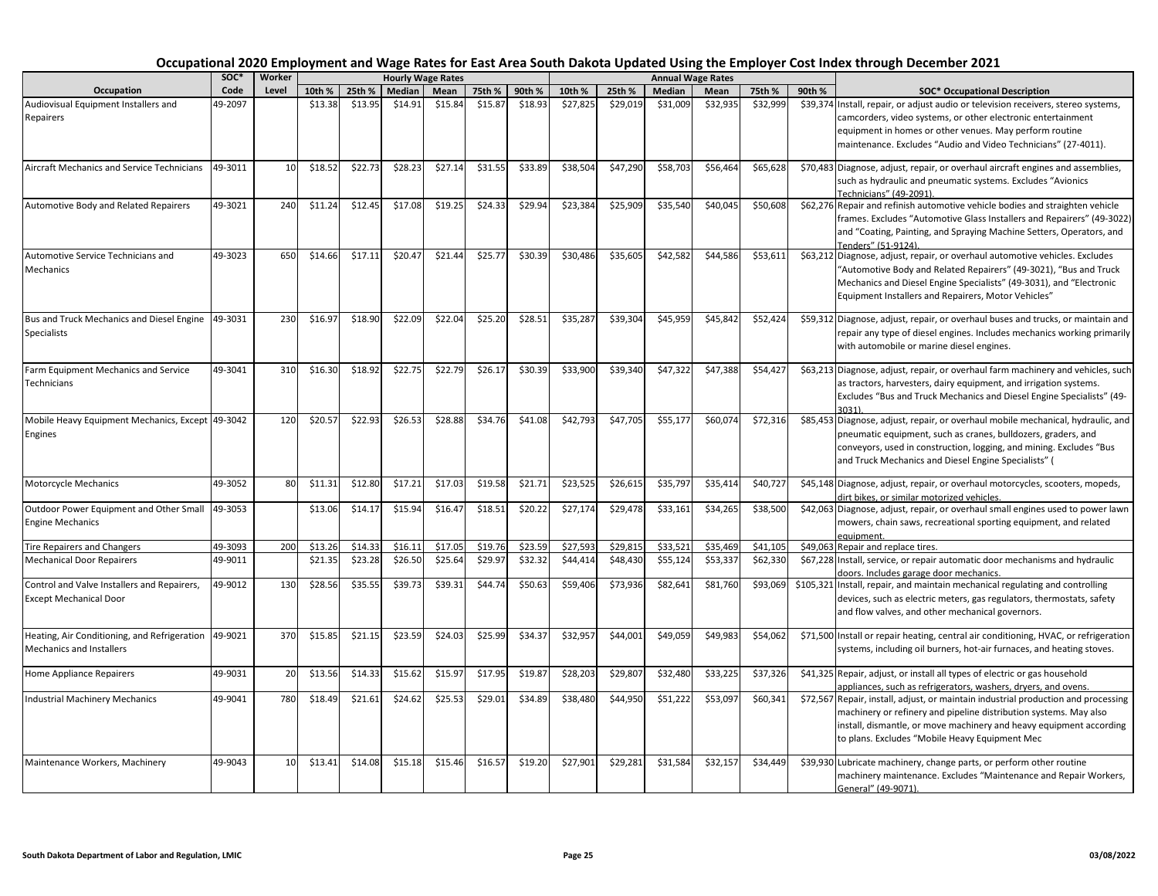| Occupation                                                                      | SOC*    | Worker |         |         |         | <b>Hourly Wage Rates</b> |         |         |          |          |          | <b>Annual Wage Rates</b> |          |        |                                                                                                                                                                                                                                                                                  |
|---------------------------------------------------------------------------------|---------|--------|---------|---------|---------|--------------------------|---------|---------|----------|----------|----------|--------------------------|----------|--------|----------------------------------------------------------------------------------------------------------------------------------------------------------------------------------------------------------------------------------------------------------------------------------|
|                                                                                 | Code    | Level  | 10th %  | 25th %  | Median  | Mean                     | 75th %  | 90th %  | 10th %   | 25th %   | Median   | Mean                     | 75th %   | 90th % | <b>SOC* Occupational Description</b>                                                                                                                                                                                                                                             |
| Audiovisual Equipment Installers and<br>Repairers                               | 49-2097 |        | \$13.38 | \$13.95 | \$14.91 | \$15.84                  | \$15.87 | \$18.93 | \$27,825 | \$29,019 | \$31,009 | \$32,935                 | \$32,999 |        | \$39,374 Install, repair, or adjust audio or television receivers, stereo systems,<br>camcorders, video systems, or other electronic entertainment<br>equipment in homes or other venues. May perform routine<br>maintenance. Excludes "Audio and Video Technicians" (27-4011).  |
| <b>Aircraft Mechanics and Service Technicians</b>                               | 49-3011 | 10     | \$18.52 | \$22.73 | \$28.23 | \$27.14                  | \$31.55 | \$33.89 | \$38,504 | \$47,290 | \$58,703 | \$56,464                 | \$65,628 |        | \$70,483 Diagnose, adjust, repair, or overhaul aircraft engines and assemblies,<br>such as hydraulic and pneumatic systems. Excludes "Avionics<br>Fechnicians" (49-2091).                                                                                                        |
| Automotive Body and Related Repairers                                           | 49-3021 | 240    | \$11.24 | \$12.45 | \$17.08 | \$19.25                  | \$24.33 | \$29.94 | \$23,384 | \$25,909 | \$35,540 | \$40,045                 | \$50,608 |        | \$62,276 Repair and refinish automotive vehicle bodies and straighten vehicle<br>frames. Excludes "Automotive Glass Installers and Repairers" (49-3022)<br>and "Coating, Painting, and Spraying Machine Setters, Operators, and<br>Tenders" (51-9124)                            |
| Automotive Service Technicians and<br>Mechanics                                 | 49-3023 | 650    | \$14.66 | \$17.11 | \$20.47 | \$21.44                  | \$25.77 | \$30.39 | \$30,486 | \$35,605 | \$42,582 | \$44,586                 | \$53,611 |        | \$63,212 Diagnose, adjust, repair, or overhaul automotive vehicles. Excludes<br>"Automotive Body and Related Repairers" (49-3021), "Bus and Truck<br>Mechanics and Diesel Engine Specialists" (49-3031), and "Electronic<br>Equipment Installers and Repairers, Motor Vehicles"  |
| Bus and Truck Mechanics and Diesel Engine<br><b>Specialists</b>                 | 49-3031 | 230    | \$16.97 | \$18.90 | \$22.09 | \$22.04                  | \$25.20 | \$28.51 | \$35,287 | \$39,304 | \$45,959 | \$45,842                 | \$52,424 |        | \$59,312 Diagnose, adjust, repair, or overhaul buses and trucks, or maintain and<br>repair any type of diesel engines. Includes mechanics working primarily<br>with automobile or marine diesel engines.                                                                         |
| Farm Equipment Mechanics and Service<br>Technicians                             | 49-3041 | 310    | \$16.30 | \$18.92 | \$22.75 | \$22.79                  | \$26.17 | \$30.39 | \$33,900 | \$39,340 | \$47,322 | \$47,388                 | \$54,427 |        | \$63,213 Diagnose, adjust, repair, or overhaul farm machinery and vehicles, such<br>as tractors, harvesters, dairy equipment, and irrigation systems.<br>Excludes "Bus and Truck Mechanics and Diesel Engine Specialists" (49-<br>3031)                                          |
| Mobile Heavy Equipment Mechanics, Except 49-3042<br>Engines                     |         | 120    | \$20.57 | \$22.93 | \$26.53 | \$28.88                  | \$34.76 | \$41.08 | \$42,793 | \$47,705 | \$55,177 | \$60,074                 | \$72,316 |        | \$85,453 Diagnose, adjust, repair, or overhaul mobile mechanical, hydraulic, and<br>pneumatic equipment, such as cranes, bulldozers, graders, and<br>conveyors, used in construction, logging, and mining. Excludes "Bus<br>and Truck Mechanics and Diesel Engine Specialists" ( |
| <b>Motorcycle Mechanics</b>                                                     | 49-3052 | 80     | \$11.31 | \$12.80 | \$17.21 | \$17.03                  | \$19.58 | \$21.71 | \$23,525 | \$26,615 | \$35,797 | \$35,414                 | \$40,727 |        | \$45,148 Diagnose, adjust, repair, or overhaul motorcycles, scooters, mopeds,<br>dirt bikes, or similar motorized vehicles.                                                                                                                                                      |
| Outdoor Power Equipment and Other Small<br><b>Engine Mechanics</b>              | 49-3053 |        | \$13.06 | \$14.17 | \$15.94 | \$16.47                  | \$18.51 | \$20.22 | \$27,174 | \$29,478 | \$33,161 | \$34,265                 | \$38,500 |        | \$42,063 Diagnose, adjust, repair, or overhaul small engines used to power lawn<br>mowers, chain saws, recreational sporting equipment, and related<br>eauipment.                                                                                                                |
| <b>Tire Repairers and Changers</b>                                              | 49-3093 | 200    | \$13.26 | \$14.33 | \$16.11 | \$17.05                  | \$19.76 | \$23.59 | \$27,593 | \$29,815 | \$33,521 | \$35,469                 | \$41.105 |        | \$49,063 Repair and replace tires.                                                                                                                                                                                                                                               |
| <b>Mechanical Door Repairers</b>                                                | 49-9011 |        | \$21.35 | \$23.28 | \$26.50 | \$25.64                  | \$29.97 | \$32.32 | \$44,414 | \$48,430 | \$55,124 | \$53,337                 | \$62,330 |        | \$67,228 Install, service, or repair automatic door mechanisms and hydraulic<br>doors. Includes garage door mechanics.                                                                                                                                                           |
| Control and Valve Installers and Repairers,<br><b>Except Mechanical Door</b>    | 49-9012 | 130    | \$28.56 | \$35.55 | \$39.73 | \$39.31                  | \$44.74 | \$50.63 | \$59,406 | \$73,936 | \$82,641 | \$81,760                 | \$93,069 |        | \$105,321 Install, repair, and maintain mechanical regulating and controlling<br>devices, such as electric meters, gas regulators, thermostats, safety<br>and flow valves, and other mechanical governors.                                                                       |
| Heating, Air Conditioning, and Refrigeration<br><b>Mechanics and Installers</b> | 49-9021 | 370    | \$15.85 | \$21.15 | \$23.59 | \$24.03                  | \$25.99 | \$34.37 | \$32,957 | \$44,001 | \$49,059 | \$49,98                  | \$54,062 |        | \$71,500 Install or repair heating, central air conditioning, HVAC, or refrigeration<br>systems, including oil burners, hot-air furnaces, and heating stoves.                                                                                                                    |
| <b>Home Appliance Repairers</b>                                                 | 49-9031 | 20     | \$13.56 | \$14.33 | \$15.62 | \$15.97                  | \$17.95 | \$19.87 | \$28,203 | \$29,807 | \$32,480 | \$33,225                 | \$37,326 |        | \$41,325 Repair, adjust, or install all types of electric or gas household<br>appliances, such as refrigerators, washers, dryers, and ovens.                                                                                                                                     |
| Industrial Machinery Mechanics                                                  | 49-9041 | 780    | \$18.49 | \$21.61 | \$24.62 | \$25.53                  | \$29.01 | \$34.89 | \$38,480 | \$44,950 | \$51,222 | \$53,097                 | \$60,341 |        | \$72,567 Repair, install, adjust, or maintain industrial production and processing<br>machinery or refinery and pipeline distribution systems. May also<br>install, dismantle, or move machinery and heavy equipment according<br>to plans. Excludes "Mobile Heavy Equipment Mec |
| Maintenance Workers, Machinery                                                  | 49-9043 | 10     | \$13.41 | \$14.08 | \$15.18 | \$15.46                  | \$16.57 | \$19.20 | \$27,901 | \$29,281 | \$31,584 | \$32,157                 | \$34,449 |        | \$39,930 Lubricate machinery, change parts, or perform other routine<br>machinery maintenance. Excludes "Maintenance and Repair Workers,<br>General" (49-9071).                                                                                                                  |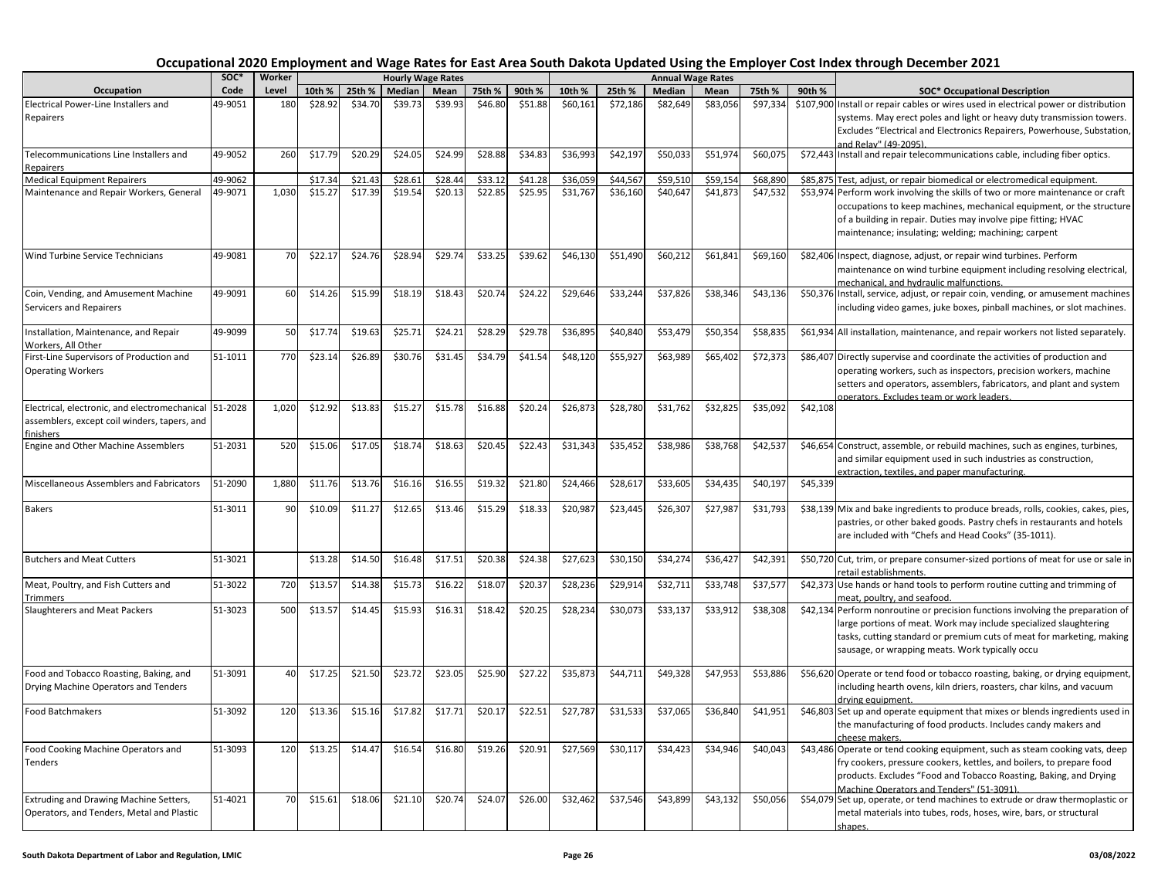|                                                                                                                    | soc*    | Worker |         |         | <b>Hourly Wage Rates</b> |         |         |         |          |          | <b>Annual Wage Rates</b> |          |          |          |                                                                                                                                                                                                                                                                                  |
|--------------------------------------------------------------------------------------------------------------------|---------|--------|---------|---------|--------------------------|---------|---------|---------|----------|----------|--------------------------|----------|----------|----------|----------------------------------------------------------------------------------------------------------------------------------------------------------------------------------------------------------------------------------------------------------------------------------|
| Occupation                                                                                                         | Code    | Level  | 10th %  | 25th %  | Median                   | Mean    | 75th %  | 90th %  | 10th %   | 25th %   | Median                   | Mean     | 75th %   | 90th %   | <b>SOC* Occupational Description</b>                                                                                                                                                                                                                                             |
| Electrical Power-Line Installers and                                                                               | 49-9051 | 180    | \$28.92 | \$34.70 | \$39.73                  | \$39.93 | \$46.80 | \$51.88 | \$60,161 | \$72,186 | \$82,649                 | \$83,056 | \$97,334 |          | \$107,900 Install or repair cables or wires used in electrical power or distribution                                                                                                                                                                                             |
| Repairers                                                                                                          |         |        |         |         |                          |         |         |         |          |          |                          |          |          |          | systems. May erect poles and light or heavy duty transmission towers.                                                                                                                                                                                                            |
|                                                                                                                    |         |        |         |         |                          |         |         |         |          |          |                          |          |          |          | Excludes "Electrical and Electronics Repairers, Powerhouse, Substation,<br>and Relay" (49-2095).                                                                                                                                                                                 |
| Telecommunications Line Installers and<br>Repairers                                                                | 49-9052 | 260    | \$17.79 | \$20.29 | \$24.05                  | \$24.99 | \$28.88 | \$34.83 | \$36,993 | \$42,197 | \$50,033                 | \$51,974 | \$60,075 |          | \$72,443 Install and repair telecommunications cable, including fiber optics.                                                                                                                                                                                                    |
| <b>Medical Equipment Repairers</b>                                                                                 | 49-9062 |        | \$17.34 | \$21.43 | \$28.61                  | \$28.44 | \$33.12 | \$41.28 | \$36.059 | \$44.567 | \$59.51                  | \$59.15  | \$68,890 |          | \$85,875 Test, adjust, or repair biomedical or electromedical equipment.                                                                                                                                                                                                         |
| Maintenance and Repair Workers, General                                                                            | 49-9071 | 1,030  | \$15.27 | \$17.39 | \$19.54                  | \$20.13 | \$22.85 | \$25.95 | \$31,767 | \$36,160 | \$40,647                 | \$41,873 | \$47,532 |          | \$53,974 Perform work involving the skills of two or more maintenance or craft                                                                                                                                                                                                   |
|                                                                                                                    |         |        |         |         |                          |         |         |         |          |          |                          |          |          |          | occupations to keep machines, mechanical equipment, or the structure<br>of a building in repair. Duties may involve pipe fitting; HVAC<br>maintenance; insulating; welding; machining; carpent                                                                                   |
| Wind Turbine Service Technicians                                                                                   | 49-9081 | 70     | \$22.17 | \$24.76 | \$28.94                  | \$29.74 | \$33.25 | \$39.62 | \$46,130 | \$51,490 | \$60,212                 | \$61,841 | \$69,160 |          | \$82,406 Inspect, diagnose, adjust, or repair wind turbines. Perform<br>maintenance on wind turbine equipment including resolving electrical,<br>mechanical, and hydraulic malfunctions.                                                                                         |
| Coin, Vending, and Amusement Machine                                                                               | 49-9091 | 60     | \$14.26 | \$15.99 | \$18.19                  | \$18.43 | \$20.74 | \$24.22 | \$29,646 | \$33,244 | \$37,826                 | \$38,346 | \$43,136 |          | \$50,376 Install, service, adjust, or repair coin, vending, or amusement machines                                                                                                                                                                                                |
| Servicers and Repairers                                                                                            |         |        |         |         |                          |         |         |         |          |          |                          |          |          |          | including video games, juke boxes, pinball machines, or slot machines.                                                                                                                                                                                                           |
| Installation, Maintenance, and Repair<br>Workers. All Other                                                        | 49-9099 | 50     | \$17.7  | \$19.63 | \$25.71                  | \$24.21 | \$28.29 | \$29.78 | \$36,895 | \$40,840 | \$53,479                 | \$50,354 | \$58,835 |          | \$61,934 All installation, maintenance, and repair workers not listed separately.                                                                                                                                                                                                |
| First-Line Supervisors of Production and<br><b>Operating Workers</b>                                               | 51-1011 | 770    | \$23.1  | \$26.89 | \$30.76                  | \$31.45 | \$34.79 | \$41.54 | \$48,120 | \$55,927 | \$63,989                 | \$65,402 | \$72,373 |          | \$86,407 Directly supervise and coordinate the activities of production and<br>operating workers, such as inspectors, precision workers, machine<br>setters and operators, assemblers, fabricators, and plant and system<br>operators. Excludes team or work leaders.            |
| Electrical, electronic, and electromechanical 51-2028<br>assemblers, except coil winders, tapers, and<br>finishers |         | 1,020  | \$12.92 | \$13.83 | \$15.27                  | \$15.78 | \$16.88 | \$20.24 | \$26,873 | \$28,780 | \$31,762                 | \$32,825 | \$35,092 | \$42,108 |                                                                                                                                                                                                                                                                                  |
| <b>Engine and Other Machine Assemblers</b>                                                                         | 51-2031 | 520    | \$15.06 | \$17.05 | \$18.74                  | \$18.63 | \$20.45 | \$22.43 | \$31,343 | \$35,452 | \$38,986                 | \$38,768 | \$42,537 |          | \$46,654 Construct, assemble, or rebuild machines, such as engines, turbines,<br>and similar equipment used in such industries as construction,                                                                                                                                  |
| Miscellaneous Assemblers and Fabricators                                                                           | 51-2090 | 1,880  | \$11.76 | \$13.76 | \$16.16                  | \$16.55 | \$19.3  | \$21.80 | \$24,466 | \$28,617 | \$33,605                 | \$34,43  | \$40,197 | \$45,339 | extraction, textiles, and paper manufacturing.                                                                                                                                                                                                                                   |
| <b>Bakers</b>                                                                                                      | 51-3011 | 90     | \$10.09 | \$11.27 | \$12.65                  | \$13.46 | \$15.29 | \$18.33 | \$20,987 | \$23,445 | \$26,30                  | \$27,987 | \$31,793 |          | \$38,139 Mix and bake ingredients to produce breads, rolls, cookies, cakes, pies,                                                                                                                                                                                                |
|                                                                                                                    |         |        |         |         |                          |         |         |         |          |          |                          |          |          |          | pastries, or other baked goods. Pastry chefs in restaurants and hotels<br>are included with "Chefs and Head Cooks" (35-1011).                                                                                                                                                    |
| <b>Butchers and Meat Cutters</b>                                                                                   | 51-3021 |        | \$13.28 | \$14.50 | \$16.48                  | \$17.51 | \$20.38 | \$24.38 | \$27,623 | \$30,150 | \$34,274                 | \$36,427 | \$42,391 |          | \$50,720 Cut, trim, or prepare consumer-sized portions of meat for use or sale in<br>retail establishments.                                                                                                                                                                      |
| Meat, Poultry, and Fish Cutters and<br>Trimmers                                                                    | 51-3022 | 720    | \$13.5  | \$14.38 | \$15.73                  | \$16.22 | \$18.0  | \$20.3  | \$28,236 | \$29,914 | \$32,713                 | \$33,748 | \$37,57  |          | \$42,373 Use hands or hand tools to perform routine cutting and trimming of<br>meat, poultry, and seafood.                                                                                                                                                                       |
| Slaughterers and Meat Packers                                                                                      | 51-3023 | 500    | \$13.5  | \$14.45 | \$15.93                  | \$16.31 | \$18.42 | \$20.25 | \$28,234 | \$30,073 | \$33,137                 | \$33,912 | \$38,308 |          | \$42,134 Perform nonroutine or precision functions involving the preparation of<br>large portions of meat. Work may include specialized slaughtering<br>tasks, cutting standard or premium cuts of meat for marketing, making<br>sausage, or wrapping meats. Work typically occu |
| Food and Tobacco Roasting, Baking, and<br>Drying Machine Operators and Tenders                                     | 51-3091 | 40     | \$17.25 | \$21.50 | \$23.72                  | \$23.05 | \$25.90 | \$27.22 | \$35,873 | \$44,711 | \$49,328                 | \$47,953 | \$53,886 |          | \$56,620 Operate or tend food or tobacco roasting, baking, or drying equipment,<br>including hearth ovens, kiln driers, roasters, char kilns, and vacuum                                                                                                                         |
| <b>Food Batchmakers</b>                                                                                            | 51-3092 | 120    | \$13.36 | \$15.16 | \$17.82                  | \$17.71 | \$20.17 | \$22.51 | \$27,787 | \$31,533 | \$37,065                 | \$36,840 | \$41,951 |          | drving equipment.<br>\$46,803 Set up and operate equipment that mixes or blends ingredients used in<br>the manufacturing of food products. Includes candy makers and<br>cheese makers.                                                                                           |
| Food Cooking Machine Operators and<br>Tenders                                                                      | 51-3093 | 120    | \$13.25 | \$14.47 | \$16.54                  | \$16.80 | \$19.26 | \$20.91 | \$27,569 | \$30,117 | \$34,423                 | \$34,946 | \$40,043 |          | \$43,486 Operate or tend cooking equipment, such as steam cooking vats, deep<br>fry cookers, pressure cookers, kettles, and boilers, to prepare food<br>products. Excludes "Food and Tobacco Roasting, Baking, and Drying<br>Machine Operators and Tenders" (51-3091).           |
| Extruding and Drawing Machine Setters,<br>Operators, and Tenders, Metal and Plastic                                | 51-4021 | 70     | \$15.61 | \$18.06 | \$21.10                  | \$20.74 | \$24.07 | \$26.00 | \$32,462 | \$37,546 | \$43,899                 | \$43,132 | \$50,056 |          | \$54,079 Set up, operate, or tend machines to extrude or draw thermoplastic or<br>metal materials into tubes, rods, hoses, wire, bars, or structural<br>shapes.                                                                                                                  |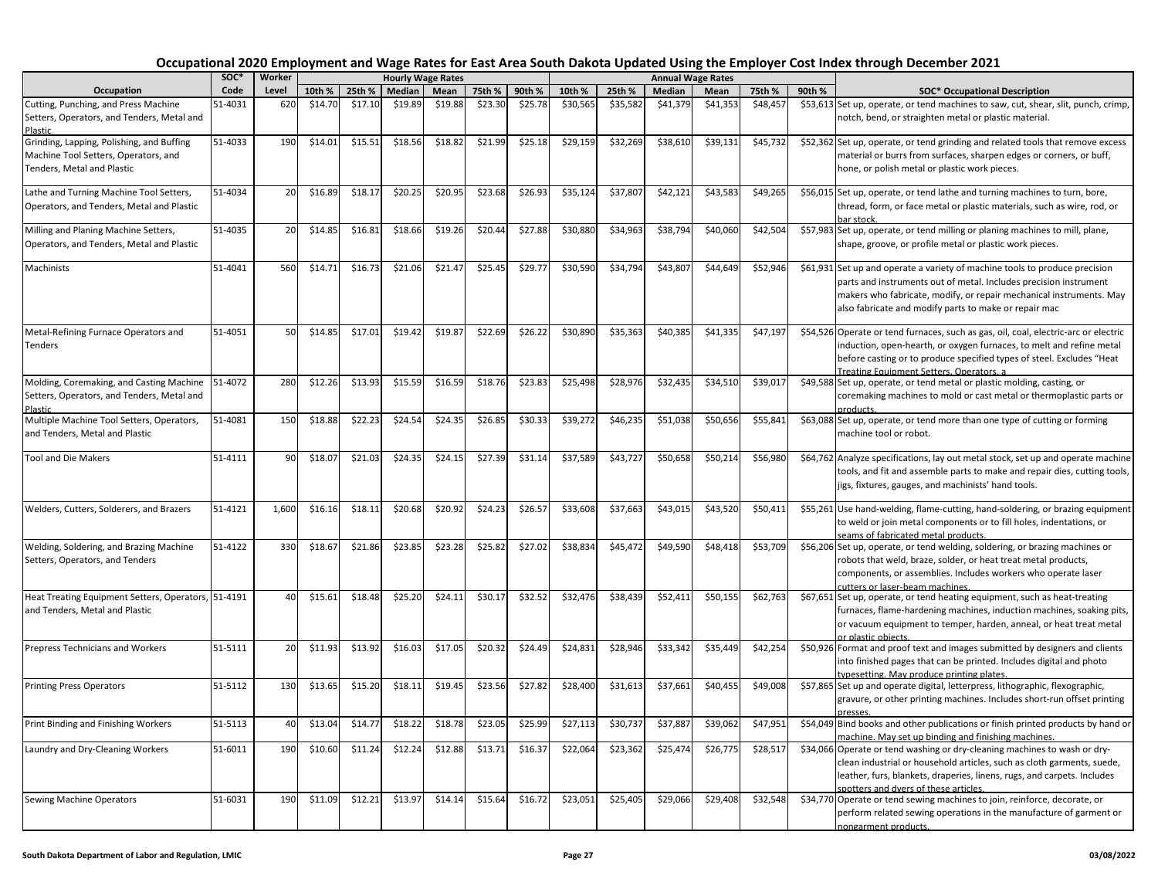| Occupation                                                   | soc*    | Worker | <b>Hourly Wage Rates</b> |         |         |         |         |         |          |          |          | <b>Annual Wage Rates</b> |          |        |                                                                                                                                                |
|--------------------------------------------------------------|---------|--------|--------------------------|---------|---------|---------|---------|---------|----------|----------|----------|--------------------------|----------|--------|------------------------------------------------------------------------------------------------------------------------------------------------|
|                                                              | Code    | Level  | 10th %                   | 25th %  | Median  | Mean    | 75th %  | 90th %  | 10th %   | 25th %   | Median   | Mean                     | 75th %   | 90th % | <b>SOC* Occupational Description</b>                                                                                                           |
| Cutting, Punching, and Press Machine                         | 51-4031 | 620    | \$14.70                  | \$17.10 | \$19.89 | \$19.88 | \$23.30 | \$25.78 | \$30,565 | \$35,582 | \$41,379 | \$41,353                 | \$48,457 |        | \$53,613 Set up, operate, or tend machines to saw, cut, shear, slit, punch, crimp,                                                             |
| Setters, Operators, and Tenders, Metal and<br><b>Plastic</b> |         |        |                          |         |         |         |         |         |          |          |          |                          |          |        | notch, bend, or straighten metal or plastic material.                                                                                          |
| Grinding, Lapping, Polishing, and Buffing                    | 51-4033 | 190    | \$14.01                  | \$15.51 | \$18.56 | \$18.82 | \$21.99 | \$25.18 | \$29,159 | \$32,269 | \$38,610 | \$39,131                 | \$45,732 |        | \$52,362 Set up, operate, or tend grinding and related tools that remove excess                                                                |
| Machine Tool Setters, Operators, and                         |         |        |                          |         |         |         |         |         |          |          |          |                          |          |        | material or burrs from surfaces, sharpen edges or corners, or buff,                                                                            |
| Tenders, Metal and Plastic                                   |         |        |                          |         |         |         |         |         |          |          |          |                          |          |        | hone, or polish metal or plastic work pieces.                                                                                                  |
| Lathe and Turning Machine Tool Setters,                      | 51-4034 | 20     | \$16.89                  | \$18.1  | \$20.25 | \$20.95 | \$23.68 | \$26.93 | \$35,124 | \$37,807 | \$42,121 | \$43,583                 | \$49,265 |        | \$56,015 Set up, operate, or tend lathe and turning machines to turn, bore,                                                                    |
| Operators, and Tenders, Metal and Plastic                    |         |        |                          |         |         |         |         |         |          |          |          |                          |          |        | thread, form, or face metal or plastic materials, such as wire, rod, or<br>bar stock.                                                          |
| Milling and Planing Machine Setters,                         | 51-4035 | 20     | \$14.85                  | \$16.81 | \$18.66 | \$19.26 | \$20.44 | \$27.88 | \$30,880 | \$34,963 | \$38,794 | \$40,060                 | \$42,504 |        | \$57,983 Set up, operate, or tend milling or planing machines to mill, plane,                                                                  |
| Operators, and Tenders, Metal and Plastic                    |         |        |                          |         |         |         |         |         |          |          |          |                          |          |        | shape, groove, or profile metal or plastic work pieces.                                                                                        |
| Machinists                                                   | 51-4041 | 560    | \$14.71                  | \$16.73 | \$21.06 | \$21.47 | \$25.45 | \$29.77 | \$30,590 | \$34,794 | \$43,807 | \$44,649                 | \$52,946 |        | \$61,931 Set up and operate a variety of machine tools to produce precision                                                                    |
|                                                              |         |        |                          |         |         |         |         |         |          |          |          |                          |          |        | parts and instruments out of metal. Includes precision instrument                                                                              |
|                                                              |         |        |                          |         |         |         |         |         |          |          |          |                          |          |        | makers who fabricate, modify, or repair mechanical instruments. May                                                                            |
|                                                              |         |        |                          |         |         |         |         |         |          |          |          |                          |          |        | also fabricate and modify parts to make or repair mac                                                                                          |
| Metal-Refining Furnace Operators and                         | 51-4051 | 50     | \$14.85                  | \$17.01 | \$19.42 | \$19.87 | \$22.69 | \$26.22 | \$30,890 | \$35,363 | \$40,385 | \$41,335                 | \$47,197 |        | \$54,526 Operate or tend furnaces, such as gas, oil, coal, electric-arc or electric                                                            |
| Tenders                                                      |         |        |                          |         |         |         |         |         |          |          |          |                          |          |        | induction, open-hearth, or oxygen furnaces, to melt and refine metal                                                                           |
|                                                              |         |        |                          |         |         |         |         |         |          |          |          |                          |          |        | before casting or to produce specified types of steel. Excludes "Heat<br>Treating Equipment Setters, Operators, a                              |
| Molding, Coremaking, and Casting Machine                     | 51-4072 | 280    | \$12.26                  | \$13.93 | \$15.59 | \$16.59 | \$18.76 | \$23.83 | \$25,498 | \$28,976 | \$32,435 | \$34,510                 | \$39,01  |        | \$49,588 Set up, operate, or tend metal or plastic molding, casting, or                                                                        |
| Setters, Operators, and Tenders, Metal and                   |         |        |                          |         |         |         |         |         |          |          |          |                          |          |        | coremaking machines to mold or cast metal or thermoplastic parts or                                                                            |
| Plastic                                                      |         |        |                          |         |         |         |         |         |          |          |          |                          |          |        | products.                                                                                                                                      |
| Multiple Machine Tool Setters, Operators,                    | 51-4081 | 150    | \$18.88                  | \$22.23 | \$24.54 | \$24.35 | \$26.85 | \$30.33 | \$39,272 | \$46,235 | \$51,038 | \$50,656                 | \$55,841 |        | \$63,088 Set up, operate, or tend more than one type of cutting or forming                                                                     |
| and Tenders, Metal and Plastic                               |         |        |                          |         |         |         |         |         |          |          |          |                          |          |        | machine tool or robot.                                                                                                                         |
| <b>Tool and Die Makers</b>                                   | 51-4111 | 90     | \$18.07                  | \$21.03 | \$24.35 | \$24.15 | \$27.39 | \$31.14 | \$37,589 | \$43,727 | \$50,658 | \$50,214                 | \$56,980 |        | \$64,762 Analyze specifications, lay out metal stock, set up and operate machine                                                               |
|                                                              |         |        |                          |         |         |         |         |         |          |          |          |                          |          |        | tools, and fit and assemble parts to make and repair dies, cutting tools,                                                                      |
|                                                              |         |        |                          |         |         |         |         |         |          |          |          |                          |          |        | jigs, fixtures, gauges, and machinists' hand tools.                                                                                            |
| Welders, Cutters, Solderers, and Brazers                     | 51-4121 | 1,600  | \$16.16                  | \$18.11 | \$20.68 | \$20.92 | \$24.23 | \$26.57 | \$33,608 | \$37,663 | \$43,015 | \$43,520                 | \$50,411 |        | \$55,261 Use hand-welding, flame-cutting, hand-soldering, or brazing equipment                                                                 |
|                                                              |         |        |                          |         |         |         |         |         |          |          |          |                          |          |        | to weld or join metal components or to fill holes, indentations, or                                                                            |
|                                                              |         |        |                          |         |         |         | \$25.82 |         |          |          |          |                          |          |        | seams of fabricated metal products.                                                                                                            |
| Welding, Soldering, and Brazing Machine                      | 51-4122 | 330    | \$18.6                   | \$21.86 | \$23.85 | \$23.28 |         | \$27.02 | \$38,834 | \$45,472 | \$49,590 | \$48,418                 | \$53,709 |        | \$56,206 Set up, operate, or tend welding, soldering, or brazing machines or<br>robots that weld, braze, solder, or heat treat metal products, |
| Setters, Operators, and Tenders                              |         |        |                          |         |         |         |         |         |          |          |          |                          |          |        | components, or assemblies. Includes workers who operate laser                                                                                  |
|                                                              |         |        |                          |         |         |         |         |         |          |          |          |                          |          |        | cutters or laser-beam machines.                                                                                                                |
| Heat Treating Equipment Setters, Operators, 51-4191          |         | 40     | \$15.61                  | \$18.48 | \$25.20 | \$24.11 | \$30.17 | \$32.52 | \$32,476 | \$38,439 | \$52,411 | \$50,155                 | \$62,763 |        | \$67,651 Set up, operate, or tend heating equipment, such as heat-treating                                                                     |
| and Tenders, Metal and Plastic                               |         |        |                          |         |         |         |         |         |          |          |          |                          |          |        | furnaces, flame-hardening machines, induction machines, soaking pits,                                                                          |
|                                                              |         |        |                          |         |         |         |         |         |          |          |          |                          |          |        | or vacuum equipment to temper, harden, anneal, or heat treat metal                                                                             |
|                                                              |         |        |                          |         |         |         |         |         |          |          |          |                          |          |        | or plastic objects.                                                                                                                            |
| <b>Prepress Technicians and Workers</b>                      | 51-5111 | 20     | \$11.93                  | \$13.92 | \$16.03 | \$17.05 | \$20.32 | \$24.49 | \$24,831 | \$28,946 | \$33,342 | \$35,449                 | \$42,254 |        | \$50,926 Format and proof text and images submitted by designers and clients                                                                   |
|                                                              |         |        |                          |         |         |         |         |         |          |          |          |                          |          |        | into finished pages that can be printed. Includes digital and photo<br>typesetting. May produce printing plates                                |
| <b>Printing Press Operators</b>                              | 51-5112 | 130    | \$13.65                  | \$15.20 | \$18.11 | \$19.45 | \$23.56 | \$27.82 | \$28,400 | \$31,613 | \$37,661 | \$40,455                 | \$49,008 |        | \$57,865 Set up and operate digital, letterpress, lithographic, flexographic,                                                                  |
|                                                              |         |        |                          |         |         |         |         |         |          |          |          |                          |          |        | gravure, or other printing machines. Includes short-run offset printing                                                                        |
|                                                              |         |        |                          |         |         |         |         |         |          |          |          |                          |          |        | presses.                                                                                                                                       |
| Print Binding and Finishing Workers                          | 51-5113 | 40     | \$13.04                  | \$14.77 | \$18.22 | \$18.78 | \$23.05 | \$25.99 | \$27,113 | \$30,737 | \$37,887 | \$39,062                 | \$47,951 |        | \$54,049 Bind books and other publications or finish printed products by hand or                                                               |
|                                                              |         |        |                          |         |         |         |         |         |          |          |          |                          |          |        | machine. May set up binding and finishing machines.                                                                                            |
| Laundry and Dry-Cleaning Workers                             | 51-6011 | 190    | \$10.60                  | \$11.24 | \$12.24 | \$12.88 | \$13.71 | \$16.37 | \$22,064 | \$23,362 | \$25,474 | \$26,775                 | \$28,517 |        | \$34,066 Operate or tend washing or dry-cleaning machines to wash or dry-                                                                      |
|                                                              |         |        |                          |         |         |         |         |         |          |          |          |                          |          |        | clean industrial or household articles, such as cloth garments, suede,                                                                         |
|                                                              |         |        |                          |         |         |         |         |         |          |          |          |                          |          |        | leather, furs, blankets, draperies, linens, rugs, and carpets. Includes                                                                        |
| Sewing Machine Operators                                     | 51-6031 | 190    | \$11.09                  | \$12.21 | \$13.97 | \$14.14 | \$15.64 | \$16.72 | \$23,051 | \$25,405 | \$29,066 | \$29,408                 | \$32,548 |        | spotters and dvers of these articles.<br>\$34,770 Operate or tend sewing machines to join, reinforce, decorate, or                             |
|                                                              |         |        |                          |         |         |         |         |         |          |          |          |                          |          |        | perform related sewing operations in the manufacture of garment or                                                                             |
|                                                              |         |        |                          |         |         |         |         |         |          |          |          |                          |          |        | nongarment products.                                                                                                                           |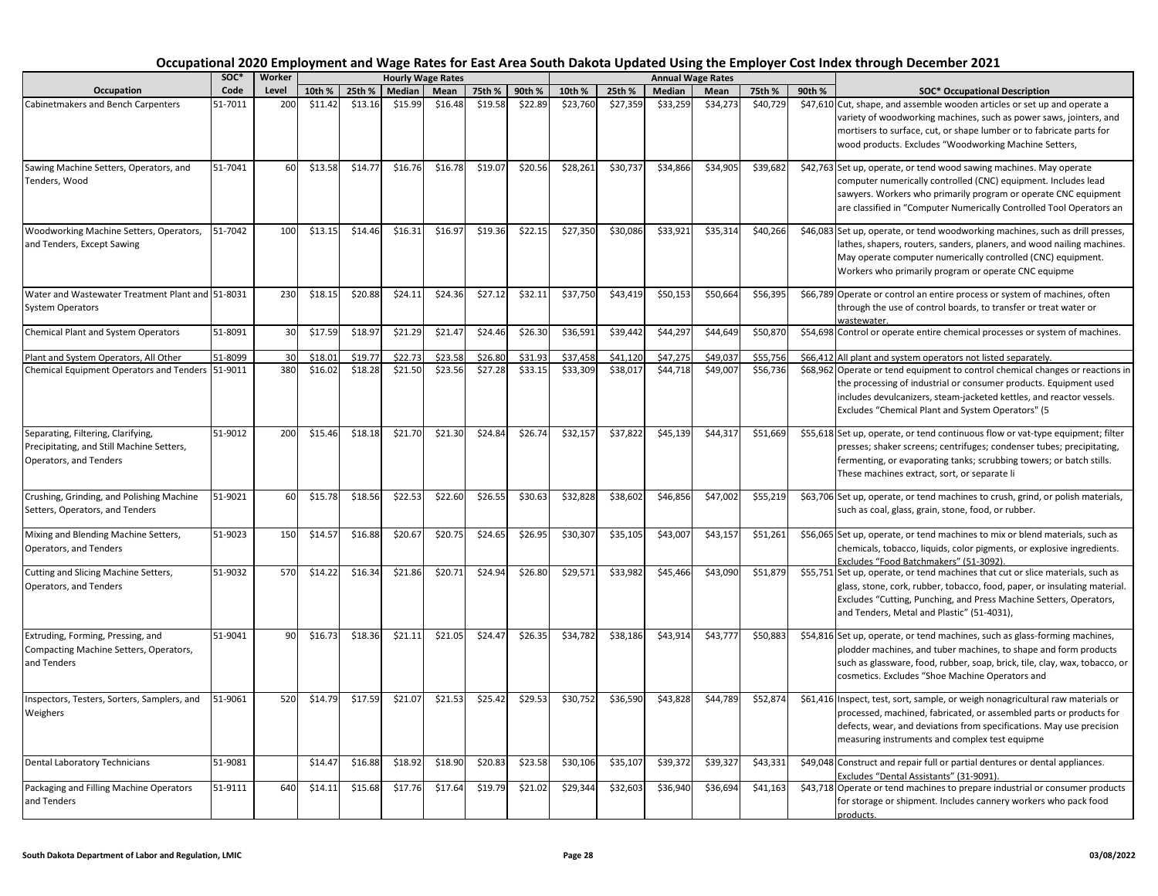|                                                                                                           | SOC*    | Worker<br>Level |         |         |         | <b>Hourly Wage Rates</b> |         |         |          |          |          | <b>Annual Wage Rates</b> |          |        |                                                                                                                                                                                                                                                                                  |
|-----------------------------------------------------------------------------------------------------------|---------|-----------------|---------|---------|---------|--------------------------|---------|---------|----------|----------|----------|--------------------------|----------|--------|----------------------------------------------------------------------------------------------------------------------------------------------------------------------------------------------------------------------------------------------------------------------------------|
| Occupation                                                                                                | Code    |                 | 10th %  | 25th %  | Median  | Mean                     | 75th %  | 90th %  | 10th %   | 25th %   | Median   | Mean                     | 75th %   | 90th % | <b>SOC* Occupational Description</b>                                                                                                                                                                                                                                             |
| Cabinetmakers and Bench Carpenters                                                                        | 51-7011 | 200             | \$11.42 | \$13.16 | \$15.99 | \$16.48                  | \$19.58 | \$22.89 | \$23,760 | \$27,359 | \$33,259 | \$34,273                 | \$40,729 |        | \$47,610 Cut, shape, and assemble wooden articles or set up and operate a<br>variety of woodworking machines, such as power saws, jointers, and<br>mortisers to surface, cut, or shape lumber or to fabricate parts for<br>wood products. Excludes "Woodworking Machine Setters, |
| Sawing Machine Setters, Operators, and<br>Tenders, Wood                                                   | 51-7041 | 60              | \$13.58 | \$14.77 | \$16.76 | \$16.78                  | \$19.07 | \$20.56 | \$28,261 | \$30,737 | \$34,866 | \$34,905                 | \$39,682 |        | \$42,763 Set up, operate, or tend wood sawing machines. May operate<br>computer numerically controlled (CNC) equipment. Includes lead<br>sawyers. Workers who primarily program or operate CNC equipment<br>are classified in "Computer Numerically Controlled Tool Operators an |
| Woodworking Machine Setters, Operators,<br>and Tenders, Except Sawing                                     | 51-7042 | 100             | \$13.15 | \$14.46 | \$16.31 | \$16.97                  | \$19.36 | \$22.15 | \$27,350 | \$30,086 | \$33,921 | \$35,314                 | \$40,266 |        | \$46,083 Set up, operate, or tend woodworking machines, such as drill presses,<br>lathes, shapers, routers, sanders, planers, and wood nailing machines.<br>May operate computer numerically controlled (CNC) equipment.<br>Workers who primarily program or operate CNC equipme |
| Water and Wastewater Treatment Plant and 51-8031<br><b>System Operators</b>                               |         | 230             | \$18.15 | \$20.88 | \$24.11 | \$24.36                  | \$27.12 | \$32.11 | \$37,750 | \$43,419 | \$50,153 | \$50,664                 | \$56,395 |        | \$66,789 Operate or control an entire process or system of machines, often<br>through the use of control boards, to transfer or treat water or<br>wastewater.                                                                                                                    |
| Chemical Plant and System Operators                                                                       | 51-8091 | 30              | \$17.59 | \$18.97 | \$21.29 | \$21.47                  | \$24.46 | \$26.30 | \$36,591 | \$39,442 | \$44,297 | \$44,649                 | \$50,870 |        | \$54,698 Control or operate entire chemical processes or system of machines.                                                                                                                                                                                                     |
| Plant and System Operators, All Other                                                                     | 51-8099 | 30              | \$18.01 | \$19.7  | \$22.73 | \$23.58                  | \$26.80 | \$31.93 | \$37,458 | \$41,120 | \$47,275 | \$49,037                 | \$55,756 |        | \$66,412 All plant and system operators not listed separately.                                                                                                                                                                                                                   |
| Chemical Equipment Operators and Tenders 51-9011                                                          |         | 380             | \$16.02 | \$18.28 | \$21.50 | \$23.56                  | \$27.28 | \$33.15 | \$33,309 | \$38,017 | \$44,718 | \$49,007                 | \$56,736 |        | \$68,962 Operate or tend equipment to control chemical changes or reactions in<br>the processing of industrial or consumer products. Equipment used<br>includes devulcanizers, steam-jacketed kettles, and reactor vessels.<br>Excludes "Chemical Plant and System Operators" (5 |
| Separating, Filtering, Clarifying,<br>Precipitating, and Still Machine Setters,<br>Operators, and Tenders | 51-9012 | 200             | \$15.46 | \$18.18 | \$21.70 | \$21.30                  | \$24.84 | \$26.74 | \$32,157 | \$37,822 | \$45,139 | \$44,317                 | \$51,669 |        | \$55,618 Set up, operate, or tend continuous flow or vat-type equipment; filter<br>presses; shaker screens; centrifuges; condenser tubes; precipitating,<br>fermenting, or evaporating tanks; scrubbing towers; or batch stills.<br>These machines extract, sort, or separate li |
| Crushing, Grinding, and Polishing Machine<br>Setters, Operators, and Tenders                              | 51-9021 | 60              | \$15.78 | \$18.56 | \$22.53 | \$22.60                  | \$26.55 | \$30.63 | \$32,828 | \$38,602 | \$46,856 | \$47,002                 | \$55,219 |        | \$63,706 Set up, operate, or tend machines to crush, grind, or polish materials,<br>such as coal, glass, grain, stone, food, or rubber.                                                                                                                                          |
| Mixing and Blending Machine Setters,<br>Operators, and Tenders                                            | 51-9023 | 150             | \$14.57 | \$16.88 | \$20.67 | \$20.75                  | \$24.65 | \$26.95 | \$30,307 | \$35,105 | \$43,007 | \$43,157                 | \$51,261 |        | \$56,065 Set up, operate, or tend machines to mix or blend materials, such as<br>chemicals, tobacco, liquids, color pigments, or explosive ingredients.<br>Excludes "Food Batchmakers" (51-3092)                                                                                 |
| Cutting and Slicing Machine Setters,<br>Operators, and Tenders                                            | 51-9032 | 570             | \$14.22 | \$16.34 | \$21.86 | \$20.71                  | \$24.94 | \$26.80 | \$29,571 | \$33,982 | \$45,466 | \$43,090                 | \$51,879 |        | \$55,751 Set up, operate, or tend machines that cut or slice materials, such as<br>glass, stone, cork, rubber, tobacco, food, paper, or insulating material.<br>Excludes "Cutting, Punching, and Press Machine Setters, Operators,<br>and Tenders, Metal and Plastic" (51-4031), |
| Extruding, Forming, Pressing, and<br>Compacting Machine Setters, Operators,<br>and Tenders                | 51-9041 | 90              | \$16.73 | \$18.36 | \$21.11 | \$21.05                  | \$24.47 | \$26.35 | \$34,782 | \$38,186 | \$43,914 | \$43,77                  | \$50,883 |        | \$54,816 Set up, operate, or tend machines, such as glass-forming machines,<br>plodder machines, and tuber machines, to shape and form products<br>such as glassware, food, rubber, soap, brick, tile, clay, wax, tobacco, or<br>cosmetics. Excludes "Shoe Machine Operators and |
| Inspectors, Testers, Sorters, Samplers, and<br>Weighers                                                   | 51-9061 | 520             | \$14.79 | \$17.59 | \$21.07 | \$21.53                  | \$25.42 | \$29.53 | \$30,752 | \$36,590 | \$43,828 | \$44,789                 | \$52,874 |        | \$61,416 Inspect, test, sort, sample, or weigh nonagricultural raw materials or<br>processed, machined, fabricated, or assembled parts or products for<br>defects, wear, and deviations from specifications. May use precision<br>measuring instruments and complex test equipme |
| <b>Dental Laboratory Technicians</b>                                                                      | 51-9081 |                 | \$14.47 | \$16.88 | \$18.92 | \$18.90                  | \$20.83 | \$23.58 | \$30,106 | \$35,107 | \$39,372 | \$39,327                 | \$43,331 |        | \$49,048 Construct and repair full or partial dentures or dental appliances.<br>Excludes "Dental Assistants" (31-9091)                                                                                                                                                           |
| Packaging and Filling Machine Operators<br>and Tenders                                                    | 51-9111 | 640             | \$14.11 | \$15.68 | \$17.76 | \$17.64                  | \$19.79 | \$21.02 | \$29,344 | \$32,603 | \$36,940 | \$36,694                 | \$41,163 |        | \$43,718 Operate or tend machines to prepare industrial or consumer products<br>for storage or shipment. Includes cannery workers who pack food<br>products.                                                                                                                     |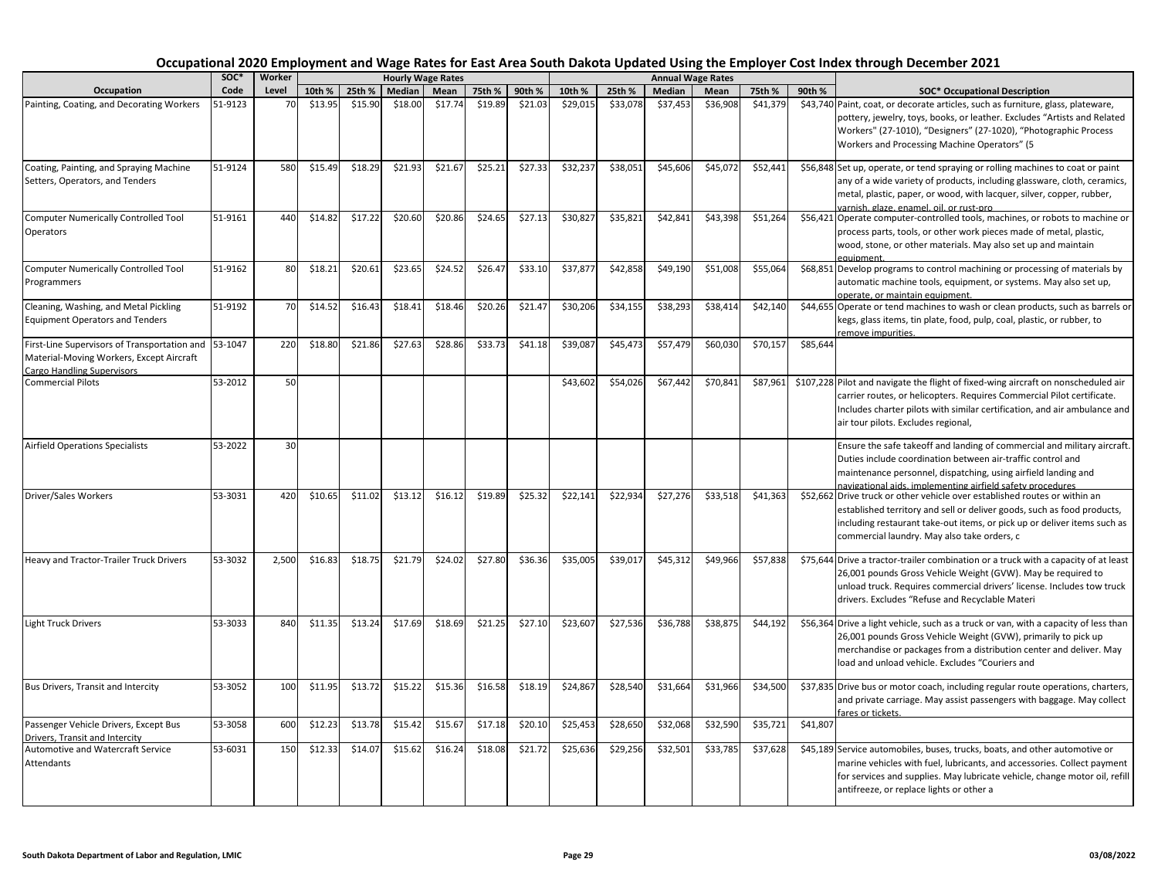| Occupation                                                                                                                            | SOC*    | Worker<br>Level | <b>Hourly Wage Rates</b> |         |         |         |         |         |          |          |          | <b>Annual Wage Rates</b> |          |          |                                                                                                                                                                                                                                                                                  |
|---------------------------------------------------------------------------------------------------------------------------------------|---------|-----------------|--------------------------|---------|---------|---------|---------|---------|----------|----------|----------|--------------------------|----------|----------|----------------------------------------------------------------------------------------------------------------------------------------------------------------------------------------------------------------------------------------------------------------------------------|
|                                                                                                                                       | Code    |                 | 10th %                   | 25th %  | Median  | Mean    | 75th %  | 90th %  | 10th %   | 25th %   | Median   | Mean                     | 75th %   | 90th %   | <b>SOC* Occupational Description</b>                                                                                                                                                                                                                                             |
| Painting, Coating, and Decorating Workers                                                                                             | 51-9123 | 70              | \$13.95                  | \$15.90 | \$18.00 | \$17.74 | \$19.89 | \$21.03 | \$29,015 | \$33,078 | \$37,453 | \$36,908                 | \$41,379 |          | \$43,740 Paint, coat, or decorate articles, such as furniture, glass, plateware,<br>pottery, jewelry, toys, books, or leather. Excludes "Artists and Related<br>Workers" (27-1010), "Designers" (27-1020), "Photographic Process<br>Workers and Processing Machine Operators" (5 |
| Coating, Painting, and Spraying Machine<br>Setters, Operators, and Tenders                                                            | 51-9124 | 580             | \$15.49                  | \$18.29 | \$21.93 | \$21.67 | \$25.21 | \$27.33 | \$32,237 | \$38,051 | \$45,606 | \$45,072                 | \$52,441 |          | \$56,848 Set up, operate, or tend spraying or rolling machines to coat or paint<br>any of a wide variety of products, including glassware, cloth, ceramics,<br>metal, plastic, paper, or wood, with lacquer, silver, copper, rubber,<br>varnish, glaze, enamel, oil, or rust-pro |
| <b>Computer Numerically Controlled Tool</b><br>Operators                                                                              | 51-9161 | 440             | \$14.82                  | \$17.22 | \$20.60 | \$20.86 | \$24.65 | \$27.13 | \$30,827 | \$35,821 | \$42,841 | \$43,398                 | \$51,264 |          | \$56,421 Operate computer-controlled tools, machines, or robots to machine or<br>process parts, tools, or other work pieces made of metal, plastic,<br>wood, stone, or other materials. May also set up and maintain<br>equipment.                                               |
| <b>Computer Numerically Controlled Tool</b><br>Programmers                                                                            | 51-9162 | 80              | \$18.21                  | \$20.61 | \$23.65 | \$24.52 | \$26.47 | \$33.10 | \$37,877 | \$42,858 | \$49,190 | \$51,008                 | \$55,064 |          | \$68,851 Develop programs to control machining or processing of materials by<br>automatic machine tools, equipment, or systems. May also set up,<br>operate, or maintain equipment.                                                                                              |
| Cleaning, Washing, and Metal Pickling<br><b>Equipment Operators and Tenders</b>                                                       | 51-9192 | 70              | \$14.52                  | \$16.43 | \$18.41 | \$18.46 | \$20.26 | \$21.47 | \$30,206 | \$34,155 | \$38,293 | \$38,414                 | \$42,140 |          | \$44,655 Operate or tend machines to wash or clean products, such as barrels or<br>kegs, glass items, tin plate, food, pulp, coal, plastic, or rubber, to<br>remove impurities.                                                                                                  |
| First-Line Supervisors of Transportation and 53-1047<br>Material-Moving Workers, Except Aircraft<br><b>Cargo Handling Supervisors</b> |         | 220             | \$18.80                  | \$21.86 | \$27.63 | \$28.86 | \$33.73 | \$41.18 | \$39,087 | \$45,473 | \$57,479 | \$60,030                 | \$70,157 | \$85,644 |                                                                                                                                                                                                                                                                                  |
| <b>Commercial Pilots</b>                                                                                                              | 53-2012 | 50              |                          |         |         |         |         |         | \$43,602 | \$54,026 | \$67,442 | \$70,841                 | \$87,961 |          | \$107,228 Pilot and navigate the flight of fixed-wing aircraft on nonscheduled air<br>carrier routes, or helicopters. Requires Commercial Pilot certificate.<br>Includes charter pilots with similar certification, and air ambulance and<br>air tour pilots. Excludes regional, |
| <b>Airfield Operations Specialists</b>                                                                                                | 53-2022 | 30              |                          |         |         |         |         |         |          |          |          |                          |          |          | Ensure the safe takeoff and landing of commercial and military aircraft.<br>Duties include coordination between air-traffic control and<br>maintenance personnel, dispatching, using airfield landing and<br>navigational aids, implementing airfield safety procedures          |
| Driver/Sales Workers                                                                                                                  | 53-3031 | 420             | \$10.65                  | \$11.02 | \$13.12 | \$16.12 | \$19.89 | \$25.32 | \$22,141 | \$22,934 | \$27,276 | \$33,518                 | \$41,363 |          | \$52,662 Drive truck or other vehicle over established routes or within an<br>established territory and sell or deliver goods, such as food products,<br>including restaurant take-out items, or pick up or deliver items such as<br>commercial laundry. May also take orders, c |
| Heavy and Tractor-Trailer Truck Drivers                                                                                               | 53-3032 | 2,500           | \$16.83                  | \$18.75 | \$21.79 | \$24.02 | \$27.80 | \$36.36 | \$35,005 | \$39,017 | \$45,312 | \$49,966                 | \$57,838 |          | \$75,644 Drive a tractor-trailer combination or a truck with a capacity of at least<br>26,001 pounds Gross Vehicle Weight (GVW). May be required to<br>unload truck. Requires commercial drivers' license. Includes tow truck<br>drivers. Excludes "Refuse and Recyclable Materi |
| <b>Light Truck Drivers</b>                                                                                                            | 53-3033 | 840             | \$11.35                  | \$13.24 | \$17.69 | \$18.69 | \$21.25 | \$27.10 | \$23,607 | \$27,536 | \$36,788 | \$38,875                 | \$44,192 |          | \$56,364 Drive a light vehicle, such as a truck or van, with a capacity of less than<br>26,001 pounds Gross Vehicle Weight (GVW), primarily to pick up<br>merchandise or packages from a distribution center and deliver. May<br>load and unload vehicle. Excludes "Couriers and |
| Bus Drivers, Transit and Intercity                                                                                                    | 53-3052 | 100             | \$11.95                  | \$13.72 | \$15.22 | \$15.36 | \$16.58 | \$18.19 | \$24,867 | \$28,540 | \$31,664 | \$31,966                 | \$34,500 |          | \$37,835 Drive bus or motor coach, including regular route operations, charters,<br>and private carriage. May assist passengers with baggage. May collect<br>fares or tickets.                                                                                                   |
| Passenger Vehicle Drivers, Except Bus<br>Drivers, Transit and Intercity                                                               | 53-3058 | 600             | \$12.23                  | \$13.78 | \$15.42 | \$15.67 | \$17.18 | \$20.10 | \$25,453 | \$28,650 | \$32,068 | \$32,590                 | \$35,721 | \$41,807 |                                                                                                                                                                                                                                                                                  |
| Automotive and Watercraft Service<br>Attendants                                                                                       | 53-6031 | 150             | \$12.33                  | \$14.07 | \$15.62 | \$16.24 | \$18.08 | \$21.72 | \$25,636 | \$29,256 | \$32,501 | \$33,785                 | \$37,628 |          | \$45,189 Service automobiles, buses, trucks, boats, and other automotive or<br>marine vehicles with fuel, lubricants, and accessories. Collect payment<br>for services and supplies. May lubricate vehicle, change motor oil, refill<br>antifreeze, or replace lights or other a |